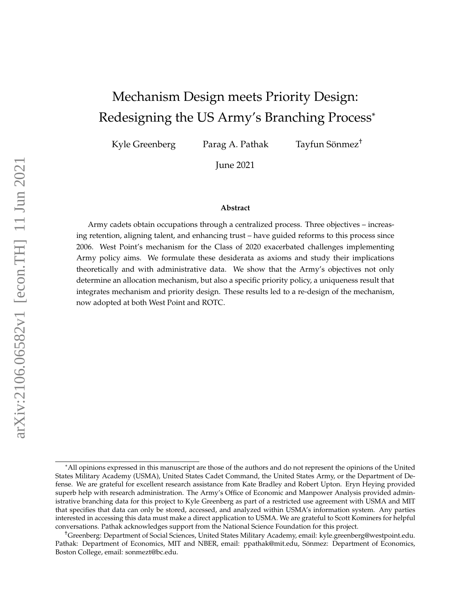# Mechanism Design meets Priority Design: Redesigning the US Army's Branching Process\*

Kyle Greenberg Parag A. Pathak

Tayfun Sönmez<sup>†</sup>

June 2021

#### **Abstract**

Army cadets obtain occupations through a centralized process. Three objectives – increasing retention, aligning talent, and enhancing trust – have guided reforms to this process since 2006. West Point's mechanism for the Class of 2020 exacerbated challenges implementing Army policy aims. We formulate these desiderata as axioms and study their implications theoretically and with administrative data. We show that the Army's objectives not only determine an allocation mechanism, but also a specific priority policy, a uniqueness result that integrates mechanism and priority design. These results led to a re-design of the mechanism, now adopted at both West Point and ROTC.

<sup>\*</sup>All opinions expressed in this manuscript are those of the authors and do not represent the opinions of the United States Military Academy (USMA), United States Cadet Command, the United States Army, or the Department of Defense. We are grateful for excellent research assistance from Kate Bradley and Robert Upton. Eryn Heying provided superb help with research administration. The Army's Office of Economic and Manpower Analysis provided administrative branching data for this project to Kyle Greenberg as part of a restricted use agreement with USMA and MIT that specifies that data can only be stored, accessed, and analyzed within USMA's information system. Any parties interested in accessing this data must make a direct application to USMA. We are grateful to Scott Kominers for helpful conversations. Pathak acknowledges support from the National Science Foundation for this project.

<sup>†</sup>Greenberg: Department of Social Sciences, United States Military Academy, email: kyle.greenberg@westpoint.edu. Pathak: Department of Economics, MIT and NBER, email: ppathak@mit.edu, Sönmez: Department of Economics, Boston College, email: sonmezt@bc.edu.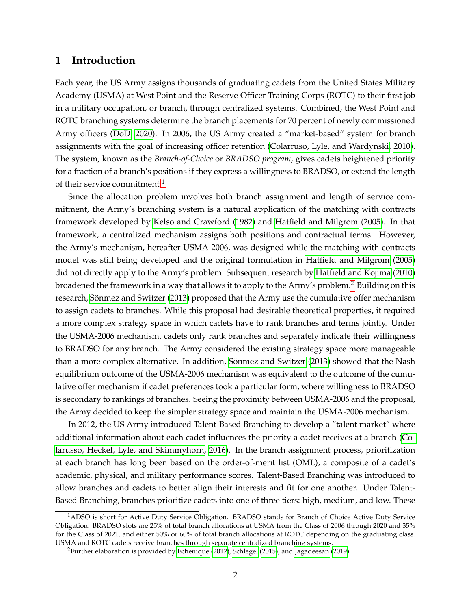# **1 Introduction**

Each year, the US Army assigns thousands of graduating cadets from the United States Military Academy (USMA) at West Point and the Reserve Officer Training Corps (ROTC) to their first job in a military occupation, or branch, through centralized systems. Combined, the West Point and ROTC branching systems determine the branch placements for 70 percent of newly commissioned Army officers [\(DoD, 2020\)](#page-38-0). In 2006, the US Army created a "market-based" system for branch assignments with the goal of increasing officer retention [\(Colarruso, Lyle, and Wardynski, 2010\)](#page-38-1). The system, known as the *Branch-of-Choice* or *BRADSO program*, gives cadets heightened priority for a fraction of a branch's positions if they express a willingness to BRADSO, or extend the length of their service commitment.<sup>[1](#page-1-0)</sup>

Since the allocation problem involves both branch assignment and length of service commitment, the Army's branching system is a natural application of the matching with contracts framework developed by [Kelso and Crawford](#page-39-0) [\(1982\)](#page-39-0) and [Hatfield and Milgrom](#page-39-1) [\(2005\)](#page-39-1). In that framework, a centralized mechanism assigns both positions and contractual terms. However, the Army's mechanism, hereafter USMA-2006, was designed while the matching with contracts model was still being developed and the original formulation in [Hatfield and Milgrom](#page-39-1) [\(2005\)](#page-39-1) did not directly apply to the Army's problem. Subsequent research by [Hatfield and Kojima](#page-39-2) [\(2010\)](#page-39-2) broadened the framework in a way that allows it to apply to the Army's problem.<sup>[2](#page-1-1)</sup> Building on this research, Sönmez and Switzer [\(2013\)](#page-41-0) proposed that the Army use the cumulative offer mechanism to assign cadets to branches. While this proposal had desirable theoretical properties, it required a more complex strategy space in which cadets have to rank branches and terms jointly. Under the USMA-2006 mechanism, cadets only rank branches and separately indicate their willingness to BRADSO for any branch. The Army considered the existing strategy space more manageable than a more complex alternative. In addition, Sönmez and Switzer [\(2013\)](#page-41-0) showed that the Nash equilibrium outcome of the USMA-2006 mechanism was equivalent to the outcome of the cumulative offer mechanism if cadet preferences took a particular form, where willingness to BRADSO is secondary to rankings of branches. Seeing the proximity between USMA-2006 and the proposal, the Army decided to keep the simpler strategy space and maintain the USMA-2006 mechanism.

In 2012, the US Army introduced Talent-Based Branching to develop a "talent market" where additional information about each cadet influences the priority a cadet receives at a branch [\(Co](#page-38-2)[larusso, Heckel, Lyle, and Skimmyhorn, 2016\)](#page-38-2). In the branch assignment process, prioritization at each branch has long been based on the order-of-merit list (OML), a composite of a cadet's academic, physical, and military performance scores. Talent-Based Branching was introduced to allow branches and cadets to better align their interests and fit for one another. Under Talent-Based Branching, branches prioritize cadets into one of three tiers: high, medium, and low. These

<span id="page-1-0"></span><sup>&</sup>lt;sup>1</sup>ADSO is short for Active Duty Service Obligation. BRADSO stands for Branch of Choice Active Duty Service Obligation. BRADSO slots are 25% of total branch allocations at USMA from the Class of 2006 through 2020 and 35% for the Class of 2021, and either 50% or 60% of total branch allocations at ROTC depending on the graduating class. USMA and ROTC cadets receive branches through separate centralized branching systems.

<span id="page-1-1"></span><sup>&</sup>lt;sup>2</sup> Further elaboration is provided by [Echenique](#page-38-3) [\(2012\)](#page-38-3), [Schlegel](#page-40-0) [\(2015\)](#page-40-0), and [Jagadeesan](#page-39-3) [\(2019\)](#page-39-3).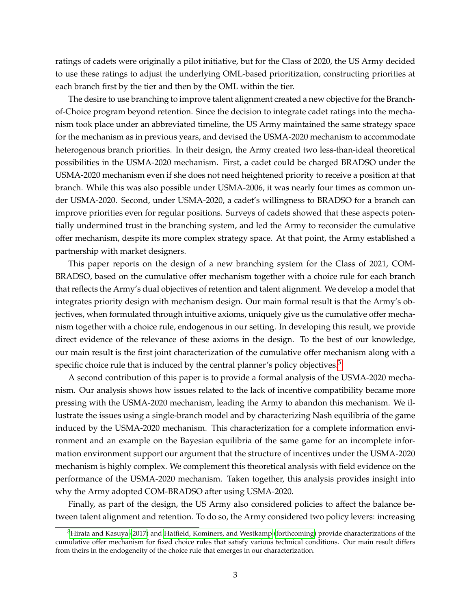ratings of cadets were originally a pilot initiative, but for the Class of 2020, the US Army decided to use these ratings to adjust the underlying OML-based prioritization, constructing priorities at each branch first by the tier and then by the OML within the tier.

The desire to use branching to improve talent alignment created a new objective for the Branchof-Choice program beyond retention. Since the decision to integrate cadet ratings into the mechanism took place under an abbreviated timeline, the US Army maintained the same strategy space for the mechanism as in previous years, and devised the USMA-2020 mechanism to accommodate heterogenous branch priorities. In their design, the Army created two less-than-ideal theoretical possibilities in the USMA-2020 mechanism. First, a cadet could be charged BRADSO under the USMA-2020 mechanism even if she does not need heightened priority to receive a position at that branch. While this was also possible under USMA-2006, it was nearly four times as common under USMA-2020. Second, under USMA-2020, a cadet's willingness to BRADSO for a branch can improve priorities even for regular positions. Surveys of cadets showed that these aspects potentially undermined trust in the branching system, and led the Army to reconsider the cumulative offer mechanism, despite its more complex strategy space. At that point, the Army established a partnership with market designers.

This paper reports on the design of a new branching system for the Class of 2021, COM-BRADSO, based on the cumulative offer mechanism together with a choice rule for each branch that reflects the Army's dual objectives of retention and talent alignment. We develop a model that integrates priority design with mechanism design. Our main formal result is that the Army's objectives, when formulated through intuitive axioms, uniquely give us the cumulative offer mechanism together with a choice rule, endogenous in our setting. In developing this result, we provide direct evidence of the relevance of these axioms in the design. To the best of our knowledge, our main result is the first joint characterization of the cumulative offer mechanism along with a specific choice rule that is induced by the central planner's policy objectives.<sup>[3](#page-2-0)</sup>

A second contribution of this paper is to provide a formal analysis of the USMA-2020 mechanism. Our analysis shows how issues related to the lack of incentive compatibility became more pressing with the USMA-2020 mechanism, leading the Army to abandon this mechanism. We illustrate the issues using a single-branch model and by characterizing Nash equilibria of the game induced by the USMA-2020 mechanism. This characterization for a complete information environment and an example on the Bayesian equilibria of the same game for an incomplete information environment support our argument that the structure of incentives under the USMA-2020 mechanism is highly complex. We complement this theoretical analysis with field evidence on the performance of the USMA-2020 mechanism. Taken together, this analysis provides insight into why the Army adopted COM-BRADSO after using USMA-2020.

Finally, as part of the design, the US Army also considered policies to affect the balance between talent alignment and retention. To do so, the Army considered two policy levers: increasing

<span id="page-2-0"></span> ${}^{3}$ [Hirata and Kasuya](#page-39-4) [\(2017\)](#page-39-4) and [Hatfield, Kominers, and Westkamp](#page-39-5) [\(forthcoming\)](#page-39-5) provide characterizations of the cumulative offer mechanism for fixed choice rules that satisfy various technical conditions. Our main result differs from theirs in the endogeneity of the choice rule that emerges in our characterization.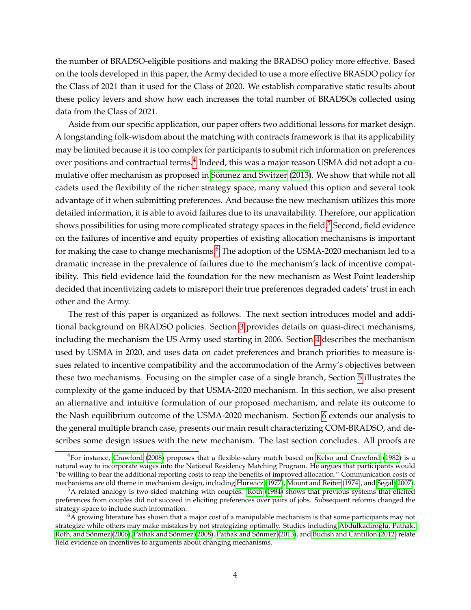the number of BRADSO-eligible positions and making the BRADSO policy more effective. Based on the tools developed in this paper, the Army decided to use a more effective BRASDO policy for the Class of 2021 than it used for the Class of 2020. We establish comparative static results about these policy levers and show how each increases the total number of BRADSOs collected using data from the Class of 2021.

Aside from our specific application, our paper offers two additional lessons for market design. A longstanding folk-wisdom about the matching with contracts framework is that its applicability may be limited because it is too complex for participants to submit rich information on preferences over positions and contractual terms. $^4$  $^4$  Indeed, this was a major reason USMA did not adopt a cu-mulative offer mechanism as proposed in Sönmez and Switzer [\(2013\)](#page-41-0). We show that while not all cadets used the flexibility of the richer strategy space, many valued this option and several took advantage of it when submitting preferences. And because the new mechanism utilizes this more detailed information, it is able to avoid failures due to its unavailability. Therefore, our application shows possibilities for using more complicated strategy spaces in the field.<sup>[5](#page-3-1)</sup> Second, field evidence on the failures of incentive and equity properties of existing allocation mechanisms is important for making the case to change mechanisms.<sup>[6](#page-3-2)</sup> The adoption of the USMA-2020 mechanism led to a dramatic increase in the prevalence of failures due to the mechanism's lack of incentive compatibility. This field evidence laid the foundation for the new mechanism as West Point leadership decided that incentivizing cadets to misreport their true preferences degraded cadets' trust in each other and the Army.

The rest of this paper is organized as follows. The next section introduces model and additional background on BRADSO policies. Section [3](#page-9-0) provides details on quasi-direct mechanisms, including the mechanism the US Army used starting in 2006. Section [4](#page-14-0) describes the mechanism used by USMA in 2020, and uses data on cadet preferences and branch priorities to measure issues related to incentive compatibility and the accommodation of the Army's objectives between these two mechanisms. Focusing on the simpler case of a single branch, Section [5](#page-19-0) illustrates the complexity of the game induced by that USMA-2020 mechanism. In this section, we also present an alternative and intuitive formulation of our proposed mechanism, and relate its outcome to the Nash equilibrium outcome of the USMA-2020 mechanism. Section [6](#page-27-0) extends our analysis to the general multiple branch case, presents our main result characterizing COM-BRADSO, and describes some design issues with the new mechanism. The last section concludes. All proofs are

<span id="page-3-0"></span><sup>4</sup>For instance, [Crawford](#page-38-4) [\(2008\)](#page-38-4) proposes that a flexible-salary match based on [Kelso and Crawford](#page-39-0) [\(1982\)](#page-39-0) is a natural way to incorporate wages into the National Residency Matching Program. He argues that participants would "be willing to bear the additional reporting costs to reap the benefits of improved allocation." Communication costs of mechanisms are old theme in mechanism design, including [Hurwicz](#page-39-6) [\(1977\)](#page-39-6), [Mount and Reiter](#page-40-1) [\(1974\)](#page-40-1), and [Segal](#page-40-2) [\(2007\)](#page-40-2).

<span id="page-3-1"></span><sup>5</sup>A related analogy is two-sided matching with couples. [Roth](#page-40-3) [\(1984\)](#page-40-3) shows that previous systems that elicited preferences from couples did not succeed in eliciting preferences over pairs of jobs. Subsequent reforms changed the strategy-space to include such information.

<span id="page-3-2"></span> $6\overline{A}$  growing literature has shown that a major cost of a manipulable mechanism is that some participants may not strategize while others may make mistakes by not strategizing optimally. Studies including [Abdulkadiroglu, Pathak,](#page-37-0) ˘ Roth, and Sönmez [\(2006\)](#page-37-0), [Pathak and S](#page-40-5)önmez [\(2008\)](#page-40-4), Pathak and Sönmez [\(2013\)](#page-40-5), and [Budish and Cantillon](#page-37-1) [\(2012\)](#page-37-1) relate field evidence on incentives to arguments about changing mechanisms.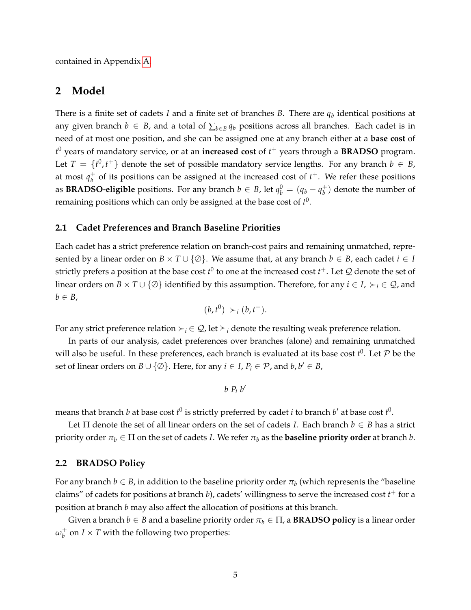contained in Appendix [A.](#page-42-0)

# **2 Model**

There is a finite set of cadets *I* and a finite set of branches *B*. There are *q<sup>b</sup>* identical positions at any given branch  $b \in B$ , and a total of  $\sum_{b \in B} q_b$  positions across all branches. Each cadet is in need of at most one position, and she can be assigned one at any branch either at a **base cost** of *t* <sup>0</sup> years of mandatory service, or at an **increased cost** of *t* <sup>+</sup> years through a **BRADSO** program. Let  $T = \{t^0, t^+\}$  denote the set of possible mandatory service lengths. For any branch  $b \in B$ , at most  $q_h^+$  $_b^+$  of its positions can be assigned at the increased cost of  $t^+$ . We refer these positions as **BRADSO-eligible** positions. For any branch  $b \in B$ , let  $q_b^0 = (q_b - q_b^+)$  $\binom{+}{b}$  denote the number of remaining positions which can only be assigned at the base cost of  $t^0$ .

#### **2.1 Cadet Preferences and Branch Baseline Priorities**

Each cadet has a strict preference relation on branch-cost pairs and remaining unmatched, represented by a linear order on  $B \times T \cup \{ \emptyset \}$ . We assume that, at any branch  $b \in B$ , each cadet  $i \in I$ strictly prefers a position at the base cost  $t^0$  to one at the increased cost  $t^+$ . Let  ${\mathcal Q}$  denote the set of linear orders on  $B \times T \cup \{ \emptyset \}$  identified by this assumption. Therefore, for any  $i \in I$ ,  $\succ_i \in \mathcal{Q}$ , and  $b \in B$ ,

$$
(b,t^0) >_i (b,t^+).
$$

For any strict preference relation  $\succ_i \in \mathcal{Q}$ , let  $\succeq_i$  denote the resulting weak preference relation.

In parts of our analysis, cadet preferences over branches (alone) and remaining unmatched will also be useful. In these preferences, each branch is evaluated at its base cost  $t^0$ . Let  $P$  be the set of linear orders on  $B \cup \{ \emptyset \}$ . Here, for any  $i \in I$ ,  $P_i \in \mathcal{P}$ , and  $b, b' \in B$ ,

$$
b\ P_i\ b'
$$

means that branch *b* at base cost  $t^0$  is strictly preferred by cadet *i* to branch  $b'$  at base cost  $t^0$ .

Let  $\Pi$  denote the set of all linear orders on the set of cadets *I*. Each branch  $b \in B$  has a strict priority order  $\pi_b \in \Pi$  on the set of cadets *I*. We refer  $\pi_b$  as the **baseline priority order** at branch *b*.

#### **2.2 BRADSO Policy**

For any branch  $b \in B$ , in addition to the baseline priority order  $\pi_b$  (which represents the "baseline claims" of cadets for positions at branch *b*), cadets' willingness to serve the increased cost *t* <sup>+</sup> for a position at branch *b* may also affect the allocation of positions at this branch.

Given a branch  $b \in B$  and a baseline priority order  $\pi_b \in \Pi$ , a **BRADSO policy** is a linear order *ω* +  $\frac{1}{b}$  on  $I \times T$  with the following two properties: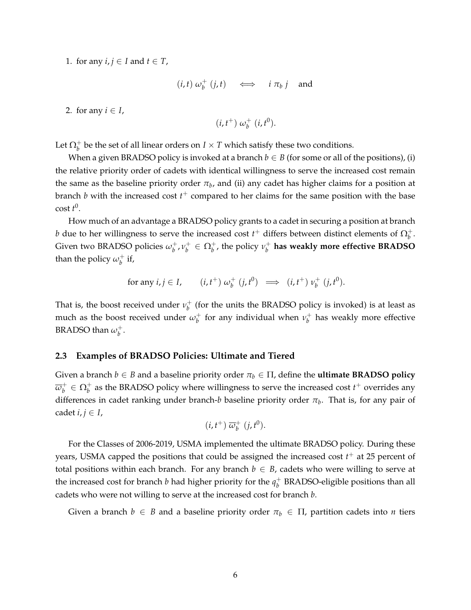1. for any  $i, j \in I$  and  $t \in T$ ,

$$
(i, t) \omega_b^+ (j, t) \iff i \pi_b j \text{ and}
$$

2. for any  $i \in I$ ,

$$
(i,t^+) \omega_b^+ (i,t^0).
$$

Let  $\Omega_b^+$  be the set of all linear orders on  $I\times T$  which satisfy these two conditions.

When a given BRADSO policy is invoked at a branch  $b \in B$  (for some or all of the positions), (i) the relative priority order of cadets with identical willingness to serve the increased cost remain the same as the baseline priority order  $\pi_b$ , and (ii) any cadet has higher claims for a position at branch *b* with the increased cost *t* <sup>+</sup> compared to her claims for the same position with the base cost *t* 0 .

How much of an advantage a BRADSO policy grants to a cadet in securing a position at branch *b* due to her willingness to serve the increased cost  $t^+$  differs between distinct elements of  $\Omega_b^+$ . Given two BRADSO policies *ω* + *b* , *ν* +  $\upsilon_b^+$  ∈  $\Omega_b^+$ , the policy  $\nu_b^+$ *b* **has weakly more effective BRADSO** than the policy  $\omega_b^+$  $\frac{1}{b}$  if,

for any 
$$
i, j \in I
$$
,  $(i, t^+) \omega_b^+(j, t^0) \implies (i, t^+) \nu_b^+(j, t^0)$ .

That is, the boost received under  $\nu_b^+$  $_b^+$  (for the units the BRADSO policy is invoked) is at least as much as the boost received under  $\omega_b^+$  $\psi_b^+$  for any individual when  $\nu_b^+$ *b* has weakly more effective BRADSO than  $\omega_b^+$ *b* .

#### <span id="page-5-0"></span>**2.3 Examples of BRADSO Policies: Ultimate and Tiered**

Given a branch  $b \in B$  and a baseline priority order  $\pi_b \in \Pi$ , define the **ultimate BRADSO policy** *ω* +  $b^+_b \in \Omega^+_b$  as the BRADSO policy where willingness to serve the increased cost  $t^+$  overrides any differences in cadet ranking under branch-*b* baseline priority order *π<sup>b</sup>* . That is, for any pair of cadet  $i, j \in I$ ,

$$
(i, t^+) \overline{\omega}_b^+ (j, t^0).
$$

For the Classes of 2006-2019, USMA implemented the ultimate BRADSO policy. During these years, USMA capped the positions that could be assigned the increased cost *t* <sup>+</sup> at 25 percent of total positions within each branch. For any branch  $b \in B$ , cadets who were willing to serve at the increased cost for branch *b* had higher priority for the  $q_h^+$ *b* BRADSO-eligible positions than all cadets who were not willing to serve at the increased cost for branch *b*.

Given a branch  $b \in B$  and a baseline priority order  $\pi_b \in \Pi$ , partition cadets into *n* tiers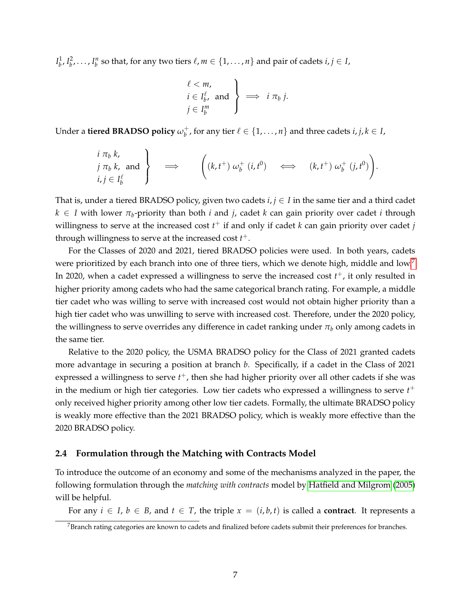$I_b^1, I_b^2, \ldots, I_b^n$  so that, for any two tiers  $\ell, m \in \{1, \ldots, n\}$  and pair of cadets  $i, j \in I$ ,

$$
\left\{\n \begin{array}{l}\n \ell < m, \\
 i \in I_b^{\ell}, \text{ and } \\
 j \in I_b^m\n \end{array}\n \right\}\n \implies i \pi_b j.
$$

Under a **tiered BRADSO policy** *ω* +  $\mathbf{b}^+$ , for any tier  $\ell \in \{1, \ldots, n\}$  and three cadets  $i, j, k \in I$ ,

$$
\begin{array}{c}\ni \pi_b k, \\
j \pi_b k, \text{ and } \\ i,j \in I_b^{\ell}\n\end{array}\n\right\} \implies \qquad \left( (k, t^+) \omega_b^+ (i, t^0) \iff (k, t^+) \omega_b^+ (j, t^0) \right).
$$

That is, under a tiered BRADSO policy, given two cadets  $i, j \in I$  in the same tier and a third cadet *k* ∈ *I* with lower *π<sub>b</sub>*-priority than both *i* and *j*, cadet *k* can gain priority over cadet *i* through willingness to serve at the increased cost *t* <sup>+</sup> if and only if cadet *k* can gain priority over cadet *j* through willingness to serve at the increased cost *t* +.

For the Classes of 2020 and 2021, tiered BRADSO policies were used. In both years, cadets were prioritized by each branch into one of three tiers, which we denote high, middle and low.<sup>[7](#page-6-0)</sup> In 2020, when a cadet expressed a willingness to serve the increased cost  $t^+$ , it only resulted in higher priority among cadets who had the same categorical branch rating. For example, a middle tier cadet who was willing to serve with increased cost would not obtain higher priority than a high tier cadet who was unwilling to serve with increased cost. Therefore, under the 2020 policy, the willingness to serve overrides any difference in cadet ranking under *π<sup>b</sup>* only among cadets in the same tier.

Relative to the 2020 policy, the USMA BRADSO policy for the Class of 2021 granted cadets more advantage in securing a position at branch *b*. Specifically, if a cadet in the Class of 2021 expressed a willingness to serve *t* <sup>+</sup>, then she had higher priority over all other cadets if she was in the medium or high tier categories. Low tier cadets who expressed a willingness to serve *t* + only received higher priority among other low tier cadets. Formally, the ultimate BRADSO policy is weakly more effective than the 2021 BRADSO policy, which is weakly more effective than the 2020 BRADSO policy.

#### **2.4 Formulation through the Matching with Contracts Model**

To introduce the outcome of an economy and some of the mechanisms analyzed in the paper, the following formulation through the *matching with contracts* model by [Hatfield and Milgrom](#page-39-1) [\(2005\)](#page-39-1) will be helpful.

For any  $i \in I$ ,  $b \in B$ , and  $t \in T$ , the triple  $x = (i, b, t)$  is called a **contract**. It represents a

<span id="page-6-0"></span> $7$ Branch rating categories are known to cadets and finalized before cadets submit their preferences for branches.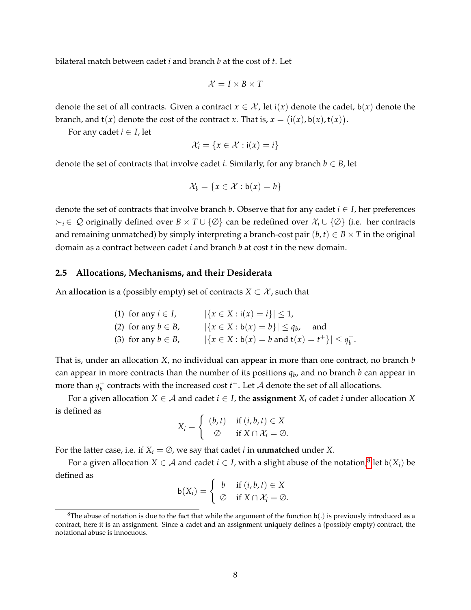bilateral match between cadet *i* and branch *b* at the cost of *t*. Let

$$
\mathcal{X} = I \times B \times T
$$

denote the set of all contracts. Given a contract  $x \in \mathcal{X}$ , let  $i(x)$  denote the cadet,  $b(x)$  denote the branch, and  $t(x)$  denote the cost of the contract *x*. That is,  $x = (i(x), b(x), t(x))$ .

For any cadet  $i \in I$ , let

$$
\mathcal{X}_i = \{x \in \mathcal{X} : i(x) = i\}
$$

denote the set of contracts that involve cadet *i*. Similarly, for any branch  $b \in B$ , let

$$
\mathcal{X}_b = \{x \in \mathcal{X} : \mathsf{b}(x) = b\}
$$

denote the set of contracts that involve branch *b*. Observe that for any cadet  $i \in I$ , her preferences *<sup>i</sup>* ∈ Q originally defined over *B* × *T* ∪ {∅} can be redefined over X*<sup>i</sup>* ∪ {∅} (i.e. her contracts and remaining unmatched) by simply interpreting a branch-cost pair  $(b, t) \in B \times T$  in the original domain as a contract between cadet *i* and branch *b* at cost *t* in the new domain.

#### <span id="page-7-1"></span>**2.5 Allocations, Mechanisms, and their Desiderata**

An **allocation** is a (possibly empty) set of contracts  $X \subset \mathcal{X}$ , such that

\n- (1) for any 
$$
i \in I
$$
,  $|\{x \in X : i(x) = i\}| \leq 1$ ,
\n- (2) for any  $b \in B$ ,  $|\{x \in X : b(x) = b\}| \leq q_b$ , and
\n- (3) for any  $b \in B$ ,  $|\{x \in X : b(x) = b \text{ and } t(x) = t^+\}| \leq q_b^+$ .
\n

That is, under an allocation *X*, no individual can appear in more than one contract, no branch *b* can appear in more contracts than the number of its positions *q<sup>b</sup>* , and no branch *b* can appear in more than  $q_h^+$  $_b^+$  contracts with the increased cost  $t^+$ . Let  ${\mathcal A}$  denote the set of all allocations.

For a given allocation *X*  $\in$  *A* and cadet *i*  $\in$  *I*, the **assignment** *X<sub>i</sub>* of cadet *i* under allocation *X* is defined as

$$
X_i = \begin{cases} (b, t) & \text{if } (i, b, t) \in X \\ \varnothing & \text{if } X \cap \mathcal{X}_i = \varnothing. \end{cases}
$$

For the latter case, i.e. if  $X_i = \emptyset$ , we say that cadet *i* in **unmatched** under *X*.

For a given allocation  $X \in \mathcal{A}$  and cadet  $i \in I$ , with a slight abuse of the notation, $^8$  $^8$  let b $(X_i)$  be defined as

$$
\mathsf{b}(X_i) = \left\{ \begin{array}{ll} b & \text{if } (i, b, t) \in X \\ \varnothing & \text{if } X \cap \mathcal{X}_i = \varnothing. \end{array} \right.
$$

<span id="page-7-0"></span><sup>&</sup>lt;sup>8</sup>The abuse of notation is due to the fact that while the argument of the function  $b(.)$  is previously introduced as a contract, here it is an assignment. Since a cadet and an assignment uniquely defines a (possibly empty) contract, the notational abuse is innocuous.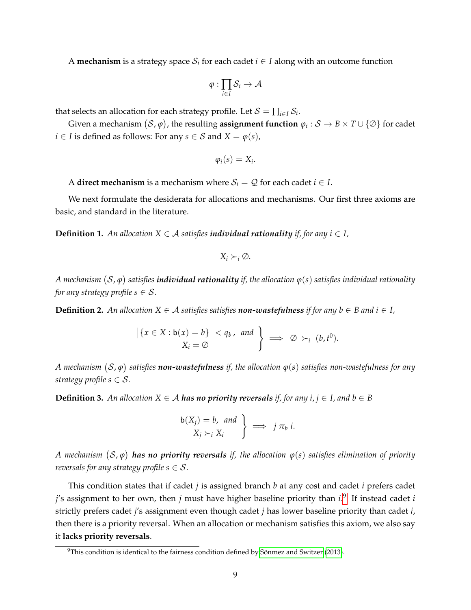A **mechanism** is a strategy space  $\mathcal{S}_i$  for each cadet  $i \in I$  along with an outcome function

$$
\varphi:\prod_{i\in I}\mathcal{S}_i\to\mathcal{A}
$$

that selects an allocation for each strategy profile. Let  $\mathcal{S} = \prod_{i \in I} \mathcal{S}_i$ .

Given a mechanism  $(\mathcal{S}, \varphi)$  , the resulting **assignment function**  $\varphi_i: \mathcal{S} \to B \times T \cup \{\varnothing\}$  for cadet *i* ∈ *I* is defined as follows: For any *s* ∈ *S* and *X* =  $\varphi$ (*s*),

$$
\varphi_i(s)=X_i.
$$

A **direct mechanism** is a mechanism where  $S_i = Q$  for each cadet  $i \in I$ .

We next formulate the desiderata for allocations and mechanisms. Our first three axioms are basic, and standard in the literature.

**Definition 1.** An allocation  $X \in \mathcal{A}$  satisfies *individual rationality if, for any*  $i \in I$ *,* 

$$
X_i \succ_i \varnothing.
$$

A mechanism  $(\mathcal{S}, \varphi)$  satisfies **individual rationality** if, the allocation  $\varphi(s)$  satisfies individual rationality *for any strategy profile s*  $\in$  *S*.

**Definition 2.** An allocation  $X \in \mathcal{A}$  satisfies satisfies **non-wastefulness** if for any  $b \in \mathcal{B}$  and  $i \in I$ ,

$$
\left|\left\{x \in X : b(x) = b\right\}\right| < q_b, \text{ and } \left\}\right| \implies \varnothing \succ_i (b, t^0).
$$
\n
$$
X_i = \varnothing
$$

 $A$  mechanism  $(\mathcal{S}, \varphi)$  satisfies  $\bm{n}$ on-wastefulness if, the allocation  $\varphi(s)$  satisfies non-wastefulness for any *strategy profile s*  $\in$  *S*.

**Definition 3.** An allocation  $X \in \mathcal{A}$  **has no priority reversals** if, for any  $i, j \in I$ , and  $b \in B$ 

$$
\left.\n \begin{array}{c}\n b(X_j) = b, \text{ and } \\
 X_j \succ_i X_i\n \end{array}\n \right\} \implies j \pi_b i.
$$

 $A$  mechanism  $(\mathcal{S}, \varphi)$  **has no priority reversals** if, the allocation  $\varphi(s)$  satisfies elimination of priority *reversals for any strategy profile s*  $\in$  *S*.

This condition states that if cadet *j* is assigned branch *b* at any cost and cadet *i* prefers cadet *j*'s assignment to her own, then *j* must have higher baseline priority than *i*. [9](#page-8-0) If instead cadet *i* strictly prefers cadet *j*'s assignment even though cadet *j* has lower baseline priority than cadet *i*, then there is a priority reversal. When an allocation or mechanism satisfies this axiom, we also say it **lacks priority reversals**.

<span id="page-8-0"></span> $9$ This condition is identical to the fairness condition defined by Sönmez and Switzer [\(2013\)](#page-41-0).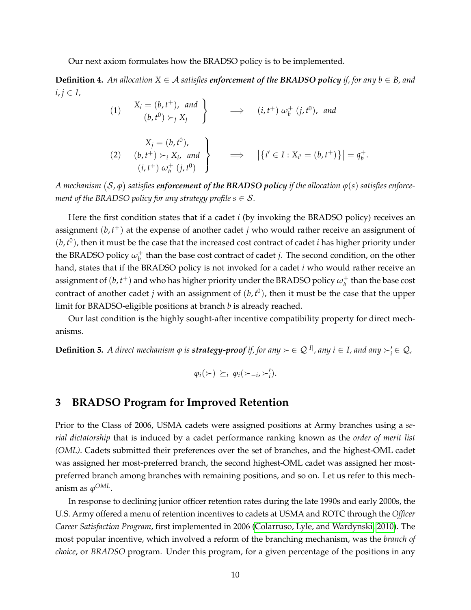Our next axiom formulates how the BRADSO policy is to be implemented.

**Definition 4.** An allocation  $X \in \mathcal{A}$  satisfies enforcement of the BRADSO policy if, for any  $b \in B$ , and  $i, j \in I$ 

> (1)  $X_i = (b, t^+),$  and  $(b, t^0) \succ_j X_j$  $\mathcal{L}$  $\implies$   $(i, t^+) \omega_b^+$ *b* (*j*, *t* 0 ), *and* (2)  $X_j = (b, t^0)$ ,  $(b, t<sup>+</sup>) \succ<sub>i</sub> X<sub>i</sub>$ , and  $(i, t^{+}) \omega_{b}^{+}$  $\frac{1}{b}$   $(j, t^0)$  $\mathcal{L}$  $\overline{\mathcal{L}}$  $\int$  $\Longrightarrow \left| \{ i' \in I : X_{i'} = (b, t^+) \} \right| = q_b^+$ *b* .

 $A$  mechanism  $(\mathcal{S}, \varphi)$  satisfies  $\bm{e}$ nforcement of the BRADSO policy if the allocation  $\varphi(s)$  satisfies enforce*ment of the BRADSO policy for any strategy profile s*  $\in$  *S*.

Here the first condition states that if a cadet *i* (by invoking the BRADSO policy) receives an assignment (*b*, *t* <sup>+</sup>) at the expense of another cadet *j* who would rather receive an assignment of  $(b, t^0)$ , then it must be the case that the increased cost contract of cadet *i* has higher priority under the BRADSO policy  $\omega_b^+$ *b* than the base cost contract of cadet *j*. The second condition, on the other hand, states that if the BRADSO policy is not invoked for a cadet *i* who would rather receive an assignment of  $(b, t^+)$  and who has higher priority under the BRADSO policy  $\omega_b^+$  $_b^+$  than the base cost contract of another cadet  $j$  with an assignment of  $(b, t^0)$ , then it must be the case that the upper limit for BRADSO-eligible positions at branch *b* is already reached.

Our last condition is the highly sought-after incentive compatibility property for direct mechanisms.

 $\bf{Definition 5.}$  *A direct mechanism*  $\varphi$  *is strategy-proof if, for any*  $\succ \in \mathcal{Q}^{|I|}$ *, any*  $i \in I$ *, and any*  $\succ_i' \in \mathcal{Q}$ *,* 

$$
\varphi_i(\succ) \succeq_i \varphi_i(\succ_{-i},\succ'_i).
$$

### <span id="page-9-0"></span>**3 BRADSO Program for Improved Retention**

Prior to the Class of 2006, USMA cadets were assigned positions at Army branches using a *serial dictatorship* that is induced by a cadet performance ranking known as the *order of merit list (OML)*. Cadets submitted their preferences over the set of branches, and the highest-OML cadet was assigned her most-preferred branch, the second highest-OML cadet was assigned her mostpreferred branch among branches with remaining positions, and so on. Let us refer to this mechanism as  $\varphi^{OML}.$ 

In response to declining junior officer retention rates during the late 1990s and early 2000s, the U.S. Army offered a menu of retention incentives to cadets at USMA and ROTC through the *Officer Career Satisfaction Program*, first implemented in 2006 [\(Colarruso, Lyle, and Wardynski, 2010\)](#page-38-1). The most popular incentive, which involved a reform of the branching mechanism, was the *branch of choice*, or *BRADSO* program. Under this program, for a given percentage of the positions in any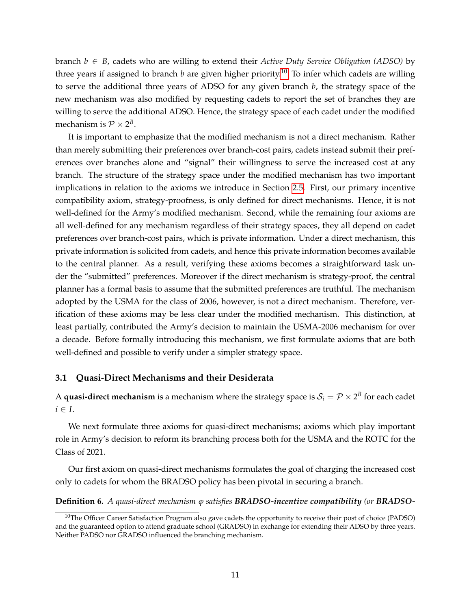branch *b* ∈ *B*, cadets who are willing to extend their *Active Duty Service Obligation (ADSO)* by three years if assigned to branch *b* are given higher priority.<sup>[10](#page-10-0)</sup> To infer which cadets are willing to serve the additional three years of ADSO for any given branch *b*, the strategy space of the new mechanism was also modified by requesting cadets to report the set of branches they are willing to serve the additional ADSO. Hence, the strategy space of each cadet under the modified mechanism is  $\mathcal{P} \times 2^B$ .

It is important to emphasize that the modified mechanism is not a direct mechanism. Rather than merely submitting their preferences over branch-cost pairs, cadets instead submit their preferences over branches alone and "signal" their willingness to serve the increased cost at any branch. The structure of the strategy space under the modified mechanism has two important implications in relation to the axioms we introduce in Section [2.5.](#page-7-1) First, our primary incentive compatibility axiom, strategy-proofness, is only defined for direct mechanisms. Hence, it is not well-defined for the Army's modified mechanism. Second, while the remaining four axioms are all well-defined for any mechanism regardless of their strategy spaces, they all depend on cadet preferences over branch-cost pairs, which is private information. Under a direct mechanism, this private information is solicited from cadets, and hence this private information becomes available to the central planner. As a result, verifying these axioms becomes a straightforward task under the "submitted" preferences. Moreover if the direct mechanism is strategy-proof, the central planner has a formal basis to assume that the submitted preferences are truthful. The mechanism adopted by the USMA for the class of 2006, however, is not a direct mechanism. Therefore, verification of these axioms may be less clear under the modified mechanism. This distinction, at least partially, contributed the Army's decision to maintain the USMA-2006 mechanism for over a decade. Before formally introducing this mechanism, we first formulate axioms that are both well-defined and possible to verify under a simpler strategy space.

#### **3.1 Quasi-Direct Mechanisms and their Desiderata**

A  $\bm{{\mathsf{quasi\textrm{-}direct\,meanism}}}$  is a mechanism where the strategy space is  $\mathcal{S}_i = \mathcal{P} \times 2^B$  for each cadet  $i \in I$ .

We next formulate three axioms for quasi-direct mechanisms; axioms which play important role in Army's decision to reform its branching process both for the USMA and the ROTC for the Class of 2021.

Our first axiom on quasi-direct mechanisms formulates the goal of charging the increased cost only to cadets for whom the BRADSO policy has been pivotal in securing a branch.

#### **Definition 6.** *A quasi-direct mechanism ϕ satisfies BRADSO-incentive compatibility (or BRADSO-*

<span id="page-10-0"></span> $10$ The Officer Career Satisfaction Program also gave cadets the opportunity to receive their post of choice (PADSO) and the guaranteed option to attend graduate school (GRADSO) in exchange for extending their ADSO by three years. Neither PADSO nor GRADSO influenced the branching mechanism.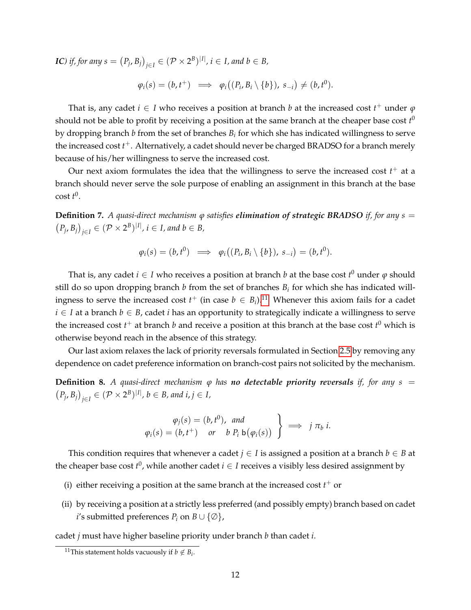*IC*) *if, for any s*  $= (P_j, B_j)_{j \in I} \in (\mathcal{P} \times 2^B)^{|I|}, i \in I$ , and  $b \in B$ ,

$$
\varphi_i(s) = (b, t^+) \implies \varphi_i((P_i, B_i \setminus \{b\}), s_{-i}) \neq (b, t^0).
$$

That is, any cadet  $i \in I$  who receives a position at branch  $b$  at the increased cost  $t^+$  under  $\varphi$ should not be able to profit by receiving a position at the same branch at the cheaper base cost  $t^0$ by dropping branch *b* from the set of branches *B<sup>i</sup>* for which she has indicated willingness to serve the increased cost *t* <sup>+</sup>. Alternatively, a cadet should never be charged BRADSO for a branch merely because of his/her willingness to serve the increased cost.

Our next axiom formulates the idea that the willingness to serve the increased cost *t* <sup>+</sup> at a branch should never serve the sole purpose of enabling an assignment in this branch at the base cost *t* 0 .

**Definition 7.** *A quasi-direct mechanism ϕ satisfies elimination of strategic BRADSO if, for any s* =  $(P_j, B_j)_{j \in I} \in (\mathcal{P} \times 2^B)^{|I|}, i \in I$ , and  $b \in B$ ,

$$
\varphi_i(s) = (b, t^0) \implies \varphi_i((P_i, B_i \setminus \{b\}), s_{-i}) = (b, t^0).
$$

That is, any cadet  $i \in I$  who receives a position at branch  $b$  at the base cost  $t^0$  under  $\varphi$  should still do so upon dropping branch  $b$  from the set of branches  $B_i$  for which she has indicated willingness to serve the increased cost  $t^+$  (in case  $b \in B_i$ ).<sup>[11](#page-11-0)</sup> Whenever this axiom fails for a cadet *i* ∈ *I* at a branch *b* ∈ *B*, cadet *i* has an opportunity to strategically indicate a willingness to serve the increased cost *t* <sup>+</sup> at branch *b* and receive a position at this branch at the base cost *t* <sup>0</sup> which is otherwise beyond reach in the absence of this strategy.

Our last axiom relaxes the lack of priority reversals formulated in Section [2.5](#page-7-1) by removing any dependence on cadet preference information on branch-cost pairs not solicited by the mechanism.

**Definition 8.** *A quasi-direct mechanism*  $\varphi$  *has no detectable priority reversals if, for any s* =  $(P_j, B_j)_{j \in I} \in (P \times 2^B)^{|I|}, b \in B$ , and  $i, j \in I$ ,

$$
\varphi_j(s) = (b, t^0), \text{ and} \qquad \varphi_i(s) = (b, t^+) \text{ or } b \ P_i \mathsf{b}(\varphi_i(s)) \quad \Longrightarrow \quad j \ \pi_b \ i.
$$

This condition requires that whenever a cadet  $j \in I$  is assigned a position at a branch  $b \in B$  at the cheaper base cost  $t^0$ , while another cadet  $i \in I$  receives a visibly less desired assignment by

- (i) either receiving a position at the same branch at the increased cost  $t^+$  or
- (ii) by receiving a position at a strictly less preferred (and possibly empty) branch based on cadet *i*'s submitted preferences  $P_i$  on  $B \cup \{ \emptyset \}$ ,

cadet *j* must have higher baseline priority under branch *b* than cadet *i*.

<span id="page-11-0"></span><sup>&</sup>lt;sup>11</sup>This statement holds vacuously if  $b \notin B_i$ .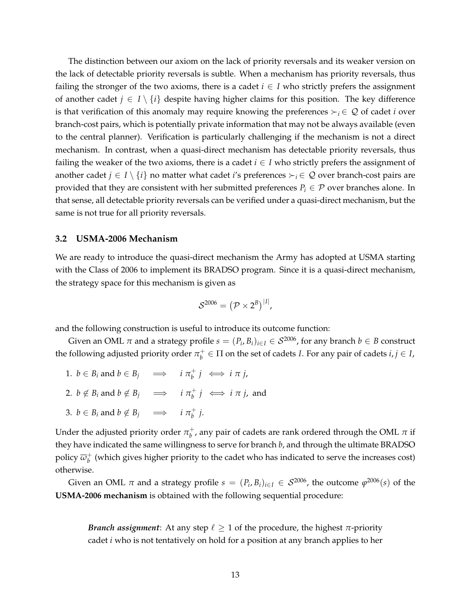The distinction between our axiom on the lack of priority reversals and its weaker version on the lack of detectable priority reversals is subtle. When a mechanism has priority reversals, thus failing the stronger of the two axioms, there is a cadet  $i \in I$  who strictly prefers the assignment of another cadet  $j \in I \setminus \{i\}$  despite having higher claims for this position. The key difference is that verification of this anomaly may require knowing the preferences  $\succ_i \in \mathcal{Q}$  of cadet *i* over branch-cost pairs, which is potentially private information that may not be always available (even to the central planner). Verification is particularly challenging if the mechanism is not a direct mechanism. In contrast, when a quasi-direct mechanism has detectable priority reversals, thus failing the weaker of the two axioms, there is a cadet  $i \in I$  who strictly prefers the assignment of another cadet  $j \in I \setminus \{i\}$  no matter what cadet *i*'s preferences  $\succ_i \in \mathcal{Q}$  over branch-cost pairs are provided that they are consistent with her submitted preferences  $P_i \in \mathcal{P}$  over branches alone. In that sense, all detectable priority reversals can be verified under a quasi-direct mechanism, but the same is not true for all priority reversals.

#### **3.2 USMA-2006 Mechanism**

We are ready to introduce the quasi-direct mechanism the Army has adopted at USMA starting with the Class of 2006 to implement its BRADSO program. Since it is a quasi-direct mechanism, the strategy space for this mechanism is given as

$$
\mathcal{S}^{2006} = (\mathcal{P} \times 2^B)^{|I|},
$$

and the following construction is useful to introduce its outcome function:

Given an OML  $\pi$  and a strategy profile  $s = (P_i,B_i)_{i \in I} \in \mathcal{S}^{2006}$ , for any branch  $b \in B$  construct the following adjusted priority order  $\pi_b^+$  $b<sup>+</sup><sub>b</sub> \in \Pi$  on the set of cadets *I*. For any pair of cadets  $i, j \in I$ ,

1.  $b \in B_i$  and  $b \in B_j$   $\implies$   $i \pi_b^+$  $\psi^+$ **j**  $\iff$ **i**  $\pi$ **j**, 2.  $b \notin B_i$  and  $b \notin B_j \implies i \pi_b^+$  $\frac{1}{b}$  *j*  $\iff$  *i*  $\pi$  *j*, and 3.  $b \in B_i$  and  $b \notin B_j \implies i \pi_b^+$ *b j*.

Under the adjusted priority order  $\pi_b^+$  $_b^+$ , any pair of cadets are rank ordered through the OML  $\pi$  if they have indicated the same willingness to serve for branch *b*, and through the ultimate BRADSO policy *ω* +  $_b^+$  (which gives higher priority to the cadet who has indicated to serve the increases cost) otherwise.

Given an OML  $\pi$  and a strategy profile  $s = (P_i, B_i)_{i \in I} \in \mathcal{S}^{2006}$ , the outcome  $\varphi^{2006}(s)$  of the **USMA-2006 mechanism** is obtained with the following sequential procedure:

*Branch assignment*: At any step  $\ell \geq 1$  of the procedure, the highest  $\pi$ -priority cadet *i* who is not tentatively on hold for a position at any branch applies to her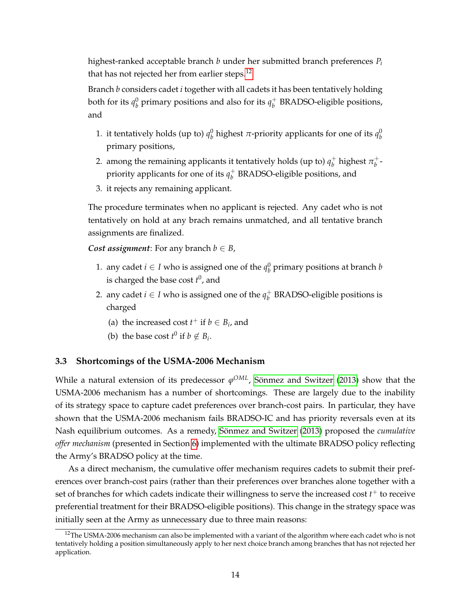highest-ranked acceptable branch *b* under her submitted branch preferences *P<sup>i</sup>* that has not rejected her from earlier steps.<sup>[12](#page-13-0)</sup>

Branch *b* considers cadet *i* together with all cadets it has been tentatively holding both for its  $q_b^0$  primary positions and also for its  $q_b^+$ *b* BRADSO-eligible positions, and

- 1. it tentatively holds (up to)  $q_b^0$  highest  $\pi$ -priority applicants for one of its  $q_b^0$ primary positions,
- 2. among the remaining applicants it tentatively holds (up to)  $q_h^+$  $_b^+$  highest  $\pi_b^+$ *b* priority applicants for one of its  $q_h^+$ *b* BRADSO-eligible positions, and
- 3. it rejects any remaining applicant.

The procedure terminates when no applicant is rejected. Any cadet who is not tentatively on hold at any brach remains unmatched, and all tentative branch assignments are finalized.

*Cost assignment*: For any branch  $b \in B$ ,

- 1. any cadet  $i \in I$  who is assigned one of the  $q_b^0$  primary positions at branch  $b$ is charged the base cost  $t^0$ , and
- 2. any cadet *i*  $\in$  *I* who is assigned one of the  $q_h^+$ *b* BRADSO-eligible positions is charged
	- (a) the increased cost  $t^+$  if  $b \in B_i$ , and
	- (b) the base cost  $t^0$  if  $b \notin B_i$ .

#### **3.3 Shortcomings of the USMA-2006 Mechanism**

While a natural extension of its predecessor  $\varphi^{OML}$ , Sönmez and Switzer [\(2013\)](#page-41-0) show that the USMA-2006 mechanism has a number of shortcomings. These are largely due to the inability of its strategy space to capture cadet preferences over branch-cost pairs. In particular, they have shown that the USMA-2006 mechanism fails BRADSO-IC and has priority reversals even at its Nash equilibrium outcomes. As a remedy, Sönmez and Switzer [\(2013\)](#page-41-0) proposed the *cumulative offer mechanism* (presented in Section [6\)](#page-27-0) implemented with the ultimate BRADSO policy reflecting the Army's BRADSO policy at the time.

As a direct mechanism, the cumulative offer mechanism requires cadets to submit their preferences over branch-cost pairs (rather than their preferences over branches alone together with a set of branches for which cadets indicate their willingness to serve the increased cost *t* <sup>+</sup> to receive preferential treatment for their BRADSO-eligible positions). This change in the strategy space was initially seen at the Army as unnecessary due to three main reasons:

<span id="page-13-0"></span><sup>&</sup>lt;sup>12</sup>The USMA-2006 mechanism can also be implemented with a variant of the algorithm where each cadet who is not tentatively holding a position simultaneously apply to her next choice branch among branches that has not rejected her application.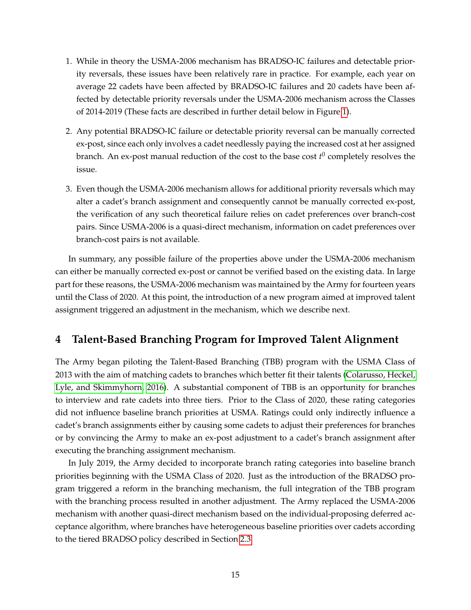- 1. While in theory the USMA-2006 mechanism has BRADSO-IC failures and detectable priority reversals, these issues have been relatively rare in practice. For example, each year on average 22 cadets have been affected by BRADSO-IC failures and 20 cadets have been affected by detectable priority reversals under the USMA-2006 mechanism across the Classes of 2014-2019 (These facts are described in further detail below in Figure [1\)](#page-59-0).
- 2. Any potential BRADSO-IC failure or detectable priority reversal can be manually corrected ex-post, since each only involves a cadet needlessly paying the increased cost at her assigned branch. An ex-post manual reduction of the cost to the base cost  $t^0$  completely resolves the issue.
- 3. Even though the USMA-2006 mechanism allows for additional priority reversals which may alter a cadet's branch assignment and consequently cannot be manually corrected ex-post, the verification of any such theoretical failure relies on cadet preferences over branch-cost pairs. Since USMA-2006 is a quasi-direct mechanism, information on cadet preferences over branch-cost pairs is not available.

In summary, any possible failure of the properties above under the USMA-2006 mechanism can either be manually corrected ex-post or cannot be verified based on the existing data. In large part for these reasons, the USMA-2006 mechanism was maintained by the Army for fourteen years until the Class of 2020. At this point, the introduction of a new program aimed at improved talent assignment triggered an adjustment in the mechanism, which we describe next.

# <span id="page-14-0"></span>**4 Talent-Based Branching Program for Improved Talent Alignment**

The Army began piloting the Talent-Based Branching (TBB) program with the USMA Class of 2013 with the aim of matching cadets to branches which better fit their talents [\(Colarusso, Heckel,](#page-38-2) [Lyle, and Skimmyhorn, 2016\)](#page-38-2). A substantial component of TBB is an opportunity for branches to interview and rate cadets into three tiers. Prior to the Class of 2020, these rating categories did not influence baseline branch priorities at USMA. Ratings could only indirectly influence a cadet's branch assignments either by causing some cadets to adjust their preferences for branches or by convincing the Army to make an ex-post adjustment to a cadet's branch assignment after executing the branching assignment mechanism.

In July 2019, the Army decided to incorporate branch rating categories into baseline branch priorities beginning with the USMA Class of 2020. Just as the introduction of the BRADSO program triggered a reform in the branching mechanism, the full integration of the TBB program with the branching process resulted in another adjustment. The Army replaced the USMA-2006 mechanism with another quasi-direct mechanism based on the individual-proposing deferred acceptance algorithm, where branches have heterogeneous baseline priorities over cadets according to the tiered BRADSO policy described in Section [2.3.](#page-5-0)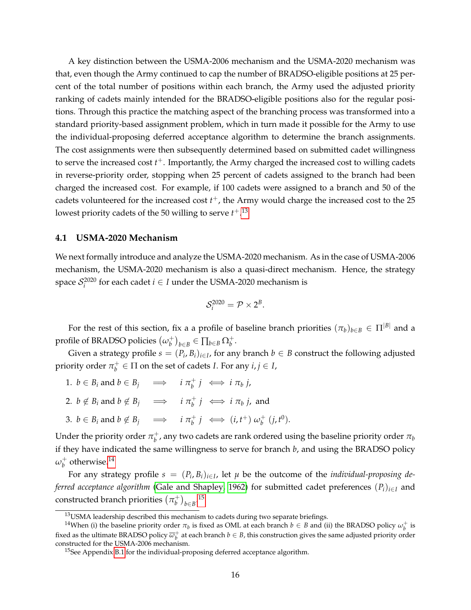A key distinction between the USMA-2006 mechanism and the USMA-2020 mechanism was that, even though the Army continued to cap the number of BRADSO-eligible positions at 25 percent of the total number of positions within each branch, the Army used the adjusted priority ranking of cadets mainly intended for the BRADSO-eligible positions also for the regular positions. Through this practice the matching aspect of the branching process was transformed into a standard priority-based assignment problem, which in turn made it possible for the Army to use the individual-proposing deferred acceptance algorithm to determine the branch assignments. The cost assignments were then subsequently determined based on submitted cadet willingness to serve the increased cost *t* <sup>+</sup>. Importantly, the Army charged the increased cost to willing cadets in reverse-priority order, stopping when 25 percent of cadets assigned to the branch had been charged the increased cost. For example, if 100 cadets were assigned to a branch and 50 of the cadets volunteered for the increased cost *t* <sup>+</sup>, the Army would charge the increased cost to the 25 lowest priority cadets of the 50 willing to serve *t* +. [13](#page-15-0)

#### **4.1 USMA-2020 Mechanism**

We next formally introduce and analyze the USMA-2020 mechanism. As in the case of USMA-2006 mechanism, the USMA-2020 mechanism is also a quasi-direct mechanism. Hence, the strategy space  $S_i^{2020}$  for each cadet  $i \in I$  under the USMA-2020 mechanism is

$$
\mathcal{S}_i^{2020} = \mathcal{P} \times 2^B.
$$

For the rest of this section, fix a a profile of baseline branch priorities  $(\pi_b)_{b \in B} \in \Pi^{|B|}$  and a profile of BRADSO policies *ω* +  $\binom{+}{b}$ <sub>*b*∈*B*</sub> ∈  $\prod_{b \in B} \Omega_b^+$ .

Given a strategy profile  $s = (P_i, B_i)_{i \in I}$ , for any branch  $b \in B$  construct the following adjusted priority order  $\pi_b^+$  $b^+$   $\in$   $\Pi$  on the set of cadets *I*. For any  $i, j \in I$ ,

- 1.  $b \in B_i$  and  $b \in B_j$   $\implies$   $i \pi_b^+$  $\phi^+$ **j**  $\iff$ **i**  $\pi_b$ **j**,
- 2.  $b \notin B_i$  and  $b \notin B_j \implies i \pi_b^+$  $\eta^+$ <sup>*j*</sup>  $\iff$  *i*  $\pi_b$  *j*, and
- 3.  $b \in B_i$  and  $b \notin B_j \implies i \pi_b^+$  $\psi_b^+$ *j*  $\iff$   $(i, t^+)$   $\omega_b^+$  $\frac{1}{b}$   $(j, t^0)$ .

Under the priority order  $\pi_b^+$  $_b^+$ , any two cadets are rank ordered using the baseline priority order  $\pi_b$ if they have indicated the same willingness to serve for branch *b*, and using the BRADSO policy *ω* +  $_b^+$  otherwise.<sup>[14](#page-15-1)</sup>

For any strategy profile  $s = (P_i, B_i)_{i \in I}$ , let  $\mu$  be the outcome of the *individual-proposing deferred acceptance algorithm* [\(Gale and Shapley, 1962\)](#page-38-5) for submitted cadet preferences (*Pi*)*i*∈*<sup>I</sup>* and  $\epsilon$  constructed branch priorities  $(\pi_b^+)$  $\binom{+}{b}$ <sub>*b*∈*B*</sub>.<sup>[15](#page-15-2)</sup>

<span id="page-15-1"></span><span id="page-15-0"></span><sup>&</sup>lt;sup>13</sup>USMA leadership described this mechanism to cadets during two separate briefings.

<sup>&</sup>lt;sup>14</sup>When (i) the baseline priority order  $\pi_b$  is fixed as OML at each branch  $b \in B$  and (ii) the BRADSO policy  $\omega_b^+$  is fixed as the ultimate BRADSO policy  $\overline{\omega}_b^+$  at each branch  $b \in B$ , this construction gives the same adjusted priority order constructed for the USMA-2006 mechanism.

<span id="page-15-2"></span><sup>&</sup>lt;sup>15</sup>See Appendix [B.1](#page-65-0) for the individual-proposing deferred acceptance algorithm.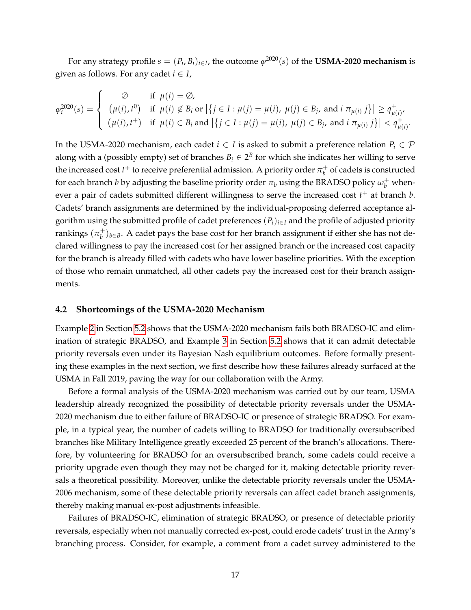For any strategy profile  $s = (P_i, B_i)_{i \in I}$ , the outcome  $\varphi^{2020}(s)$  of the **USMA-2020 mechanism** is given as follows. For any cadet  $i \in I$ ,

$$
\varphi_i^{2020}(s) = \begin{cases}\n\varnothing & \text{if } \mu(i) = \varnothing, \\
(\mu(i), t^0) & \text{if } \mu(i) \notin B_i \text{ or } \left| \{ j \in I : \mu(j) = \mu(i), \mu(j) \in B_j, \text{ and } i \pi_{\mu(i)} j \} \right| \geq q_{\mu(i)}^+, \\
(\mu(i), t^+) & \text{if } \mu(i) \in B_i \text{ and } \left| \{ j \in I : \mu(j) = \mu(i), \mu(j) \in B_j, \text{ and } i \pi_{\mu(i)} j \} \right| < q_{\mu(i)}^+.\n\end{cases}
$$

In the USMA-2020 mechanism, each cadet  $i \in I$  is asked to submit a preference relation  $P_i \in \mathcal{P}$ along with a (possibly empty) set of branches  $B_i \in 2^B$  for which she indicates her willing to serve the increased cost  $t^+$  to receive preferential admission. A priority order  $\pi^+_b$  $_b^+$  of cadets is constructed for each branch *b* by adjusting the baseline priority order  $\pi_b$  using the BRADSO policy  $\omega_b^+$  whenever a pair of cadets submitted different willingness to serve the increased cost *t* <sup>+</sup> at branch *b*. Cadets' branch assignments are determined by the individual-proposing deferred acceptance algorithm using the submitted profile of cadet preferences  $(P_i)_{i \in I}$  and the profile of adjusted priority rankings  $(\pi_b^+)$ *b* )*b*∈*B*. A cadet pays the base cost for her branch assignment if either she has not declared willingness to pay the increased cost for her assigned branch or the increased cost capacity for the branch is already filled with cadets who have lower baseline priorities. With the exception of those who remain unmatched, all other cadets pay the increased cost for their branch assignments.

#### <span id="page-16-0"></span>**4.2 Shortcomings of the USMA-2020 Mechanism**

Example [2](#page-24-0) in Section [5.2](#page-23-0) shows that the USMA-2020 mechanism fails both BRADSO-IC and elimination of strategic BRADSO, and Example [3](#page-26-0) in Section [5.2](#page-23-0) shows that it can admit detectable priority reversals even under its Bayesian Nash equilibrium outcomes. Before formally presenting these examples in the next section, we first describe how these failures already surfaced at the USMA in Fall 2019, paving the way for our collaboration with the Army.

Before a formal analysis of the USMA-2020 mechanism was carried out by our team, USMA leadership already recognized the possibility of detectable priority reversals under the USMA-2020 mechanism due to either failure of BRADSO-IC or presence of strategic BRADSO. For example, in a typical year, the number of cadets willing to BRADSO for traditionally oversubscribed branches like Military Intelligence greatly exceeded 25 percent of the branch's allocations. Therefore, by volunteering for BRADSO for an oversubscribed branch, some cadets could receive a priority upgrade even though they may not be charged for it, making detectable priority reversals a theoretical possibility. Moreover, unlike the detectable priority reversals under the USMA-2006 mechanism, some of these detectable priority reversals can affect cadet branch assignments, thereby making manual ex-post adjustments infeasible.

Failures of BRADSO-IC, elimination of strategic BRADSO, or presence of detectable priority reversals, especially when not manually corrected ex-post, could erode cadets' trust in the Army's branching process. Consider, for example, a comment from a cadet survey administered to the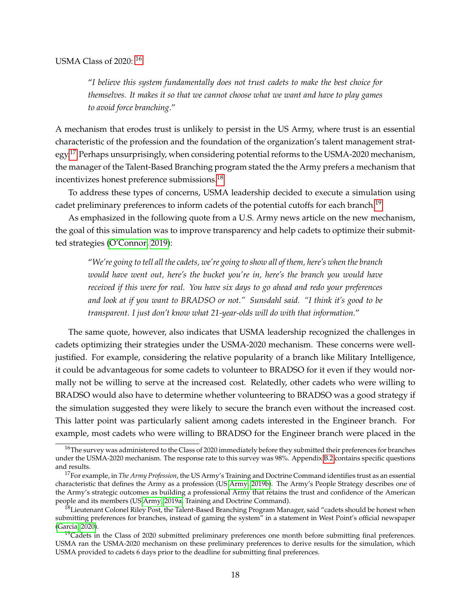"*I believe this system fundamentally does not trust cadets to make the best choice for themselves. It makes it so that we cannot choose what we want and have to play games to avoid force branching*."

A mechanism that erodes trust is unlikely to persist in the US Army, where trust is an essential characteristic of the profession and the foundation of the organization's talent management strat-egy.<sup>[17](#page-17-1)</sup> Perhaps unsurprisingly, when considering potential reforms to the USMA-2020 mechanism, the manager of the Talent-Based Branching program stated the the Army prefers a mechanism that incentivizes honest preference submissions.[18](#page-17-2)

To address these types of concerns, USMA leadership decided to execute a simulation using cadet preliminary preferences to inform cadets of the potential cutoffs for each branch.<sup>[19](#page-17-3)</sup>

As emphasized in the following quote from a U.S. Army news article on the new mechanism, the goal of this simulation was to improve transparency and help cadets to optimize their submitted strategies [\(O'Connor, 2019\)](#page-40-6):

"*We're going to tell all the cadets, we're going to show all of them, here's when the branch would have went out, here's the bucket you're in, here's the branch you would have received if this were for real. You have six days to go ahead and redo your preferences and look at if you want to BRADSO or not." Sunsdahl said. "I think it's good to be transparent. I just don't know what 21-year-olds will do with that information*."

The same quote, however, also indicates that USMA leadership recognized the challenges in cadets optimizing their strategies under the USMA-2020 mechanism. These concerns were welljustified. For example, considering the relative popularity of a branch like Military Intelligence, it could be advantageous for some cadets to volunteer to BRADSO for it even if they would normally not be willing to serve at the increased cost. Relatedly, other cadets who were willing to BRADSO would also have to determine whether volunteering to BRADSO was a good strategy if the simulation suggested they were likely to secure the branch even without the increased cost. This latter point was particularly salient among cadets interested in the Engineer branch. For example, most cadets who were willing to BRADSO for the Engineer branch were placed in the

<span id="page-17-0"></span><sup>&</sup>lt;sup>16</sup>The survey was administered to the Class of 2020 immediately before they submitted their preferences for branches under the USMA-2020 mechanism. The response rate to this survey was 98%. Appendix [B.2](#page-65-1) contains specific questions and results.

<span id="page-17-1"></span><sup>17</sup>For example, in *The Army Profession*, the US Army's Training and Doctrine Command identifies trust as an essential characteristic that defines the Army as a profession (US [Army, 2019b\)](#page-37-2). The Army's People Strategy describes one of the Army's strategic outcomes as building a professional Army that retains the trust and confidence of the American people and its members (US [Army, 2019a,](#page-37-3) Training and Doctrine Command).

<span id="page-17-2"></span><sup>&</sup>lt;sup>18</sup>Lieutenant Colonel Riley Post, the Talent-Based Branching Program Manager, said "cadets should be honest when submitting preferences for branches, instead of gaming the system" in a statement in West Point's official newspaper [\(Garcia, 2020\)](#page-38-6).

<span id="page-17-3"></span> $19$ Cadets in the Class of 2020 submitted preliminary preferences one month before submitting final preferences. USMA ran the USMA-2020 mechanism on these preliminary preferences to derive results for the simulation, which USMA provided to cadets 6 days prior to the deadline for submitting final preferences.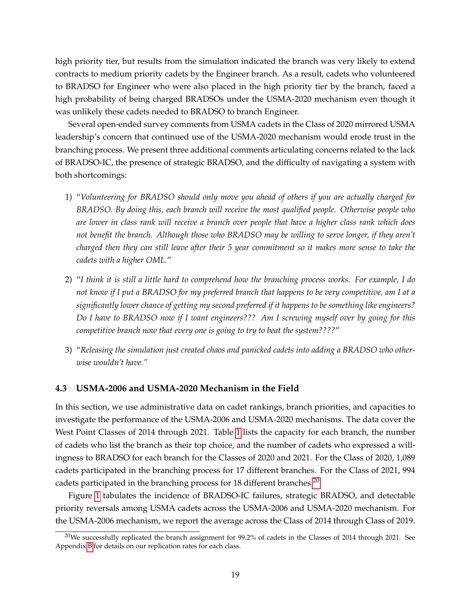high priority tier, but results from the simulation indicated the branch was very likely to extend contracts to medium priority cadets by the Engineer branch. As a result, cadets who volunteered to BRADSO for Engineer who were also placed in the high priority tier by the branch, faced a high probability of being charged BRADSOs under the USMA-2020 mechanism even though it was unlikely these cadets needed to BRADSO to branch Engineer.

Several open-ended survey comments from USMA cadets in the Class of 2020 mirrored USMA leadership's concern that continued use of the USMA-2020 mechanism would erode trust in the branching process. We present three additional comments articulating concerns related to the lack of BRADSO-IC, the presence of strategic BRADSO, and the difficulty of navigating a system with both shortcomings:

- 1) "*Volunteering for BRADSO should only move you ahead of others if you are actually charged for BRADSO. By doing this, each branch will receive the most qualified people. Otherwise people who are lower in class rank will receive a branch over people that have a higher class rank which does not benefit the branch. Although those who BRADSO may be willing to serve longer, if they aren't charged then they can still leave after their 5 year commitment so it makes more sense to take the cadets with a higher OML.*"
- 2) "*I think it is still a little hard to comprehend how the branching process works. For example, I do not know if I put a BRADSO for my preferred branch that happens to be very competitive, am I at a significantly lower chance of getting my second preferred if it happens to be something like engineers? Do I have to BRADSO now if I want engineers??? Am I screwing myself over by going for this competitive branch now that every one is going to try to beat the system????*"
- 3) "*Releasing the simulation just created chaos and panicked cadets into adding a BRADSO who otherwise wouldn't have."*

#### **4.3 USMA-2006 and USMA-2020 Mechanism in the Field**

In this section, we use administrative data on cadet rankings, branch priorities, and capacities to investigate the performance of the USMA-2006 and USMA-2020 mechanisms. The data cover the West Point Classes of 2014 through 2021. Table [1](#page-58-0) lists the capacity for each branch, the number of cadets who list the branch as their top choice, and the number of cadets who expressed a willingness to BRADSO for each branch for the Classes of 2020 and 2021. For the Class of 2020, 1,089 cadets participated in the branching process for 17 different branches. For the Class of 2021, 994 cadets participated in the branching process for 18 different branches.<sup>[20](#page-18-0)</sup>

Figure [1](#page-59-0) tabulates the incidence of BRADSO-IC failures, strategic BRADSO, and detectable priority reversals among USMA cadets across the USMA-2006 and USMA-2020 mechanism. For the USMA-2006 mechanism, we report the average across the Class of 2014 through Class of 2019.

<span id="page-18-0"></span><sup>&</sup>lt;sup>20</sup>We successfully replicated the branch assignment for 99.2% of cadets in the Classes of 2014 through 2021. See Appendix [B](#page-65-2) for details on our replication rates for each class.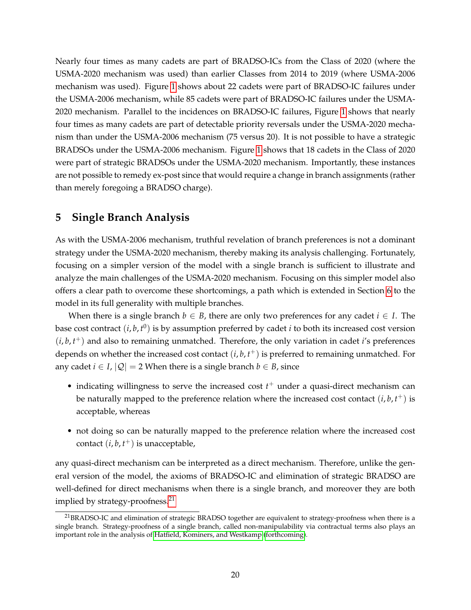Nearly four times as many cadets are part of BRADSO-ICs from the Class of 2020 (where the USMA-2020 mechanism was used) than earlier Classes from 2014 to 2019 (where USMA-2006 mechanism was used). Figure [1](#page-59-0) shows about 22 cadets were part of BRADSO-IC failures under the USMA-2006 mechanism, while 85 cadets were part of BRADSO-IC failures under the USMA-2020 mechanism. Parallel to the incidences on BRADSO-IC failures, Figure [1](#page-59-0) shows that nearly four times as many cadets are part of detectable priority reversals under the USMA-2020 mechanism than under the USMA-2006 mechanism (75 versus 20). It is not possible to have a strategic BRADSOs under the USMA-2006 mechanism. Figure [1](#page-59-0) shows that 18 cadets in the Class of 2020 were part of strategic BRADSOs under the USMA-2020 mechanism. Importantly, these instances are not possible to remedy ex-post since that would require a change in branch assignments (rather than merely foregoing a BRADSO charge).

# <span id="page-19-0"></span>**5 Single Branch Analysis**

As with the USMA-2006 mechanism, truthful revelation of branch preferences is not a dominant strategy under the USMA-2020 mechanism, thereby making its analysis challenging. Fortunately, focusing on a simpler version of the model with a single branch is sufficient to illustrate and analyze the main challenges of the USMA-2020 mechanism. Focusing on this simpler model also offers a clear path to overcome these shortcomings, a path which is extended in Section [6](#page-27-0) to the model in its full generality with multiple branches.

When there is a single branch  $b \in B$ , there are only two preferences for any cadet  $i \in I$ . The base cost contract (*i*, *b*, *t* 0 ) is by assumption preferred by cadet *i* to both its increased cost version  $(i, b, t<sup>+</sup>)$  and also to remaining unmatched. Therefore, the only variation in cadet *i*'s preferences depends on whether the increased cost contact (*i*, *b*, *t* <sup>+</sup>) is preferred to remaining unmatched. For any cadet  $i \in I$ ,  $|Q| = 2$  When there is a single branch  $b \in B$ , since

- indicating willingness to serve the increased cost *t* <sup>+</sup> under a quasi-direct mechanism can be naturally mapped to the preference relation where the increased cost contact (*i*, *b*, *t* <sup>+</sup>) is acceptable, whereas
- not doing so can be naturally mapped to the preference relation where the increased cost contact (*i*, *b*, *t* <sup>+</sup>) is unacceptable,

any quasi-direct mechanism can be interpreted as a direct mechanism. Therefore, unlike the general version of the model, the axioms of BRADSO-IC and elimination of strategic BRADSO are well-defined for direct mechanisms when there is a single branch, and moreover they are both implied by strategy-proofness.<sup>[21](#page-19-1)</sup>

<span id="page-19-1"></span><sup>21</sup>BRADSO-IC and elimination of strategic BRADSO together are equivalent to strategy-proofness when there is a single branch. Strategy-proofness of a single branch, called non-manipulability via contractual terms also plays an important role in the analysis of [Hatfield, Kominers, and Westkamp](#page-39-5) [\(forthcoming\)](#page-39-5).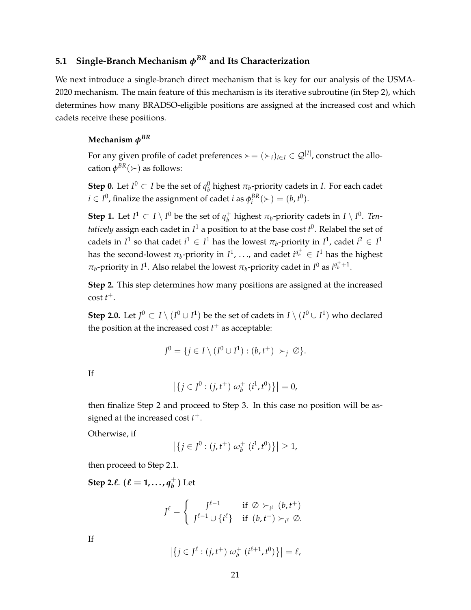# **5.1 Single-Branch Mechanism** *φBR* **and Its Characterization**

We next introduce a single-branch direct mechanism that is key for our analysis of the USMA-2020 mechanism. The main feature of this mechanism is its iterative subroutine (in Step 2), which determines how many BRADSO-eligible positions are assigned at the increased cost and which cadets receive these positions.

### **Mechanism** *φBR*

For any given profile of cadet preferences  $\succ = (\succ_i)_{i\in I}\in \mathcal{Q}^{|I|}$ , construct the allocation  $\phi^{BR}(\succ)$  as follows:

**Step 0.** Let  $I^0 \subset I$  be the set of  $q_b^0$  highest  $\pi_b$ -priority cadets in *I*. For each cadet  $i \in I^0$ , finalize the assignment of cadet *i* as  $\phi_i^{BR}(\succ) = (b, t^0)$ .

**Step 1.** Let  $I^1 \subset I \setminus I^0$  be the set of  $q_h^+$  $\frac{1}{b}$  highest  $\pi_b$ -priority cadets in *I* \ *I*<sup>0</sup>. *Tentatively* assign each cadet in *I* <sup>1</sup> a position to at the base cost *t* 0 . Relabel the set of cadets in  $I^1$  so that cadet  $i^1 \in I^1$  has the lowest  $\pi_b$ -priority in  $I^1$ , cadet  $i^2 \in I^1$ has the second-lowest  $\pi_b$ -priority in  $I^1$ , ..., and cadet  $i^{q_b^+} \in I^1$  has the highest *π*<sub>*b*</sub>-priority in *I*<sup>1</sup>. Also relabel the lowest *π*<sub>*b*</sub>-priority cadet in *I*<sup>0</sup> as  $i^{q_b^+ + 1}$ .

**Step 2.** This step determines how many positions are assigned at the increased cost *t* +.

**Step 2.0.** Let  $J^0 \subset I \setminus (I^0 \cup I^1)$  be the set of cadets in  $I \setminus (I^0 \cup I^1)$  who declared the position at the increased cost  $t^+$  as acceptable:

$$
J^0 = \{ j \in I \setminus (I^0 \cup I^1) : (b, t^+) \succ_j \varnothing \}.
$$

If

$$
\left| \left\{ j \in J^0 : (j, t^+) \omega_b^+ (i^1, t^0) \right\} \right| = 0,
$$

then finalize Step 2 and proceed to Step 3. In this case no position will be assigned at the increased cost *t* +.

Otherwise, if

$$
\left| \left\{ j \in J^0 : (j, t^+) \; \omega_b^+ \; (i^1, t^0) \right\} \right| \geq 1,
$$

then proceed to Step 2.1.

**Step 2.** $\ell$ .  $(\ell = 1, ..., q_h^+)$ *b* ) Let

$$
J^{\ell} = \begin{cases} J^{\ell-1} & \text{if } \emptyset >_{i^{\ell}} (b, t^+) \\ J^{\ell-1} \cup \{i^{\ell}\} & \text{if } (b, t^+) >_{i^{\ell}} \emptyset. \end{cases}
$$

If

$$
\left| \left\{ j \in J^{\ell} : (j, t^+) \omega_b^+ (i^{\ell+1}, t^0) \right\} \right| = \ell,
$$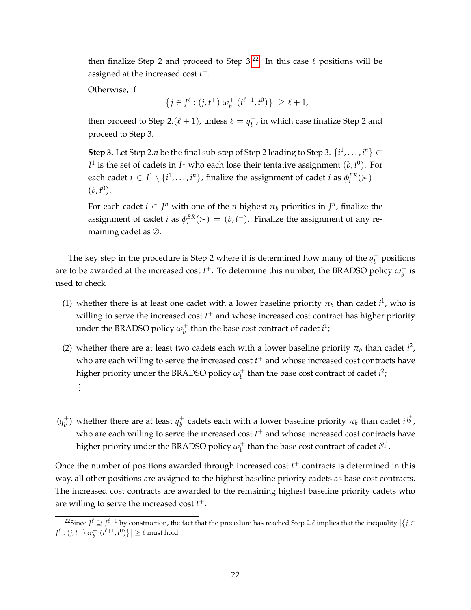then finalize Step 2 and proceed to Step  $3.22$  $3.22$  In this case  $\ell$  positions will be assigned at the increased cost *t* +.

Otherwise, if

 $\left| \{ j \in J^{\ell} : (j, t^+) \omega_b^+ \}$  $\|f_{b}^{+}(i^{\ell+1}, t^{0})\}\| \geq \ell+1,$ 

then proceed to Step 2. $(\ell + 1)$ , unless  $\ell = q_h^+$ *b* , in which case finalize Step 2 and proceed to Step 3.

**Step 3.** Let Step 2.*n* be the final sub-step of Step 2 leading to Step 3.  $\{i^1, \ldots, i^n\} \subset$  $I^1$  is the set of cadets in  $I^1$  who each lose their tentative assignment  $(b, t^0)$ . For each cadet  $i \in I^1 \setminus \{i^1, \ldots, i^n\}$ , finalize the assignment of cadet *i* as  $\phi_i^{BR}(\succ)$  =  $(b, t^0)$ .

For each cadet  $i \in J^n$  with one of the *n* highest  $\pi_b$ -priorities in  $J^n$ , finalize the assignment of cadet *i* as  $\phi_i^{BR}(\succ) = (b, t^+)$ . Finalize the assignment of any remaining cadet as ∅.

The key step in the procedure is Step 2 where it is determined how many of the  $q_h^+$ *b* positions are to be awarded at the increased cost  $t^+$ . To determine this number, the BRADSO policy  $\omega_h^+$  $\frac{1}{b}$  is used to check

- (1) whether there is at least one cadet with a lower baseline priority  $\pi_b$  than cadet  $i^1$ , who is willing to serve the increased cost *t* <sup>+</sup> and whose increased cost contract has higher priority under the BRADSO policy  $\omega_b^+$  $_b^+$  than the base cost contract of cadet  $i^1$ ;
- (2) whether there are at least two cadets each with a lower baseline priority  $\pi_b$  than cadet  $i^2$ , who are each willing to serve the increased  $\cos t$   $t^+$  and whose increased  $\cos t$  contracts have higher priority under the BRADSO policy  $\omega^+_b$  $\frac{1}{b}$  than the base cost contract of cadet *i*<sup>2</sup>; . . .
- $(q_h^+$  $\bar{y}_b^+$ ) whether there are at least  $q_b^+$  $b^+$  cadets each with a lower baseline priority  $\pi_b$  than cadet  $i^{q_b^+}$ , who are each willing to serve the increased  $\cos t$   $t^+$  and whose increased  $\cos t$  contracts have higher priority under the BRADSO policy  $\omega^+_b$  $b^+$  than the base cost contract of cadet  $i^{q^+_b}$ .

Once the number of positions awarded through increased cost  $t^+$  contracts is determined in this way, all other positions are assigned to the highest baseline priority cadets as base cost contracts. The increased cost contracts are awarded to the remaining highest baseline priority cadets who are willing to serve the increased cost  $t^+$ .

<span id="page-21-0"></span><sup>&</sup>lt;sup>22</sup>Since  $J^{\ell} \supseteq J^{\ell-1}$  by construction, the fact that the procedure has reached Step 2. $\ell$  implies that the inequality  $|\{j \in J\}$  $J^{\ell}$  :  $(j, t^+)$   $\omega_b^+$   $(i^{\ell+1}, t^0)\}$   $\geq \ell$  must hold.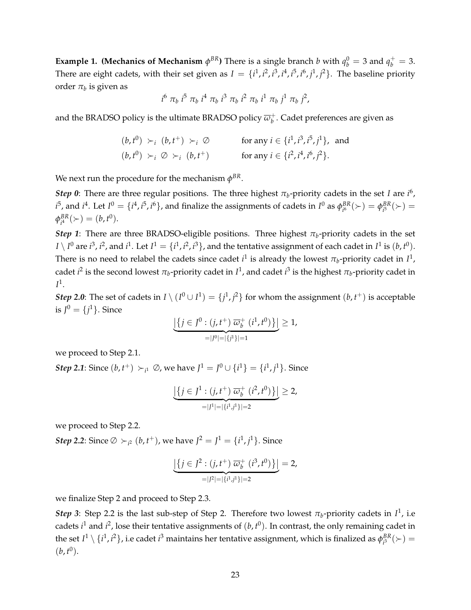<span id="page-22-0"></span>**Example 1. (Mechanics of Mechanism**  $\phi^{BR}$ ) There is a single branch *b* with  $q_b^0 = 3$  and  $q_b^+ = 3$ . There are eight cadets, with their set given as  $I = \{i^1, i^2, i^3, i^4, i^5, i^6, j^1, j^2\}$ . The baseline priority order  $\pi_b$  is given as

$$
i^6 \pi_b i^5 \pi_b i^4 \pi_b i^3 \pi_b i^2 \pi_b i^1 \pi_b j^1 \pi_b j^2,
$$

and the BRADSO policy is the ultimate BRADSO policy  $\overline{\omega}_b^+$ *b* . Cadet preferences are given as

$$
(b, t^0) \succ_i (b, t^+) \succ_i \emptyset \qquad \text{for any } i \in \{i^1, i^3, i^5, j^1\}, \text{ and}
$$
  

$$
(b, t^0) \succ_i \emptyset \succ_i (b, t^+) \qquad \text{for any } i \in \{i^2, i^4, i^6, j^2\}.
$$

We next run the procedure for the mechanism  $\phi^{BR}.$ 

*Step 0*: There are three regular positions. The three highest  $\pi_b$ -priority cadets in the set *I* are  $i^6$ ,  $i^5$ , and  $i^4$ . Let  $I^0 = \{i^4, i^5, i^6\}$ , and finalize the assignments of cadets in  $I^0$  as  $\phi_{i^6}^{BR}$  $\frac{BR}{i^6}(\succ) = \phi^{BR}_{i^5}$  $_{i^{5}}^{BR}(\succ)$  =  $\phi^{BR}_{i^4}$  $_{i^{4}}^{BR}(\succ) = (b, t^{0}).$ 

*Step 1*: There are three BRADSO-eligible positions. Three highest  $\pi_b$ -priority cadets in the set  $I\setminus I^0$  are  $i^3$ ,  $i^2$ , and  $i^1$ . Let  $I^1=\{i^1,i^2,i^3\}$ , and the tentative assignment of each cadet in  $I^1$  is  $(b,t^0).$ There is no need to relabel the cadets since cadet  $i^1$  is already the lowest  $\pi_b$ -priority cadet in  $I^1$ , cadet *i*<sup>2</sup> is the second lowest  $π_b$ -priority cadet in  $I^1$ , and cadet *i*<sup>3</sup> is the highest  $π_b$ -priority cadet in  $I^1$ .

*Step* 2.0: The set of cadets in  $I \setminus (I^0 \cup I^1) = \{j^1, j^2\}$  for whom the assignment  $(b, t^+)$  is acceptable is  $J^0 = \{j^1\}$ . Since

$$
\underbrace{\left| \left\{ j \in J^0 : (j, t^+) \overline{\omega}_b^+ (i^1, t^0) \right\} \right|}_{= |J^0| = |\{j^1\}| = 1} \ge 1,
$$

we proceed to Step 2.1.

*Step 2.1*: Since  $(b, t^+) \succ_{i^1} \emptyset$ , we have  $J^1 = J^0 \cup \{i^1\} = \{i^1, j^1\}$ . Since

$$
\underbrace{\left| \left\{ j \in J^1 : (j, t^+) \overline{\omega}_b^+ (i^2, t^0) \right\} \right|}_{= |J^1| = |\{i^1, j^1\}| = 2} \geq 2,
$$

we proceed to Step 2.2.

*Step 2.2*: Since  $\emptyset \succ_{i^2} (b, t^+)$ , we have  $J^2 = J^1 = \{i^1, j^1\}$ . Since

$$
\underbrace{\left| \left\{ j \in J^2 : (j, t^+) \overline{\omega}_b^+ (i^3, t^0) \right\} \right|}_{= |J^2| = |\{i^1, j^1\}| = 2} = 2,
$$

we finalize Step 2 and proceed to Step 2.3.

*Step 3*: Step 2.2 is the last sub-step of Step 2. Therefore two lowest  $\pi_b$ -priority cadets in  $I^1$ , i.e cadets  $i^1$  and  $i^2$ , lose their tentative assignments of  $(b, t^0)$ . In contrast, the only remaining cadet in the set  $I^1\setminus\{i^1,i^2\}$ , i.e cadet  $i^3$  maintains her tentative assignment, which is finalized as  $\phi^{BR}_{i^3}$  $\frac{BR}{i^3}(\succ) =$  $(b, t^0)$ .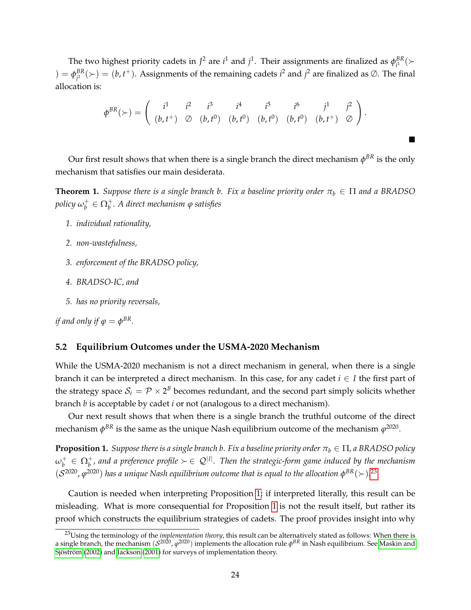The two highest priority cadets in  $J^2$  are  $i^1$  and  $j^1$ . Their assignments are finalized as  $\phi_{i^1}^{BR}$  $_{i^{1}}^{BR}$ ( $\succ$ ) =  $φ_{i1}^{BR}$  $j^B_{jl}(\succ)=(b,t^+)$ . Assignments of the remaining cadets  $i^2$  and  $j^2$  are finalized as ∅. The final allocation is:

$$
\phi^{BR}(\succ) = \begin{pmatrix} i^1 & i^2 & i^3 & i^4 & i^5 & i^6 & j^1 & j^2 \\ (b, t^+) & \oslash & (b, t^0) & (b, t^0) & (b, t^0) & (b, t^0) & (b, t^+) & \oslash \end{pmatrix}.
$$

 $\blacksquare$ 

Our first result shows that when there is a single branch the direct mechanism  $\phi^{BR}$  is the only mechanism that satisfies our main desiderata.

<span id="page-23-3"></span>**Theorem 1.** *Suppose there is a single branch b. Fix a baseline priority order*  $\pi_b \in \Pi$  *and a BRADSO policy ω* +  $\mathbf{p}_b^+ \in \Omega_b^+$ . A direct mechanism  $\varphi$  satisfies

- *1. individual rationality,*
- *2. non-wastefulness,*
- *3. enforcement of the BRADSO policy,*
- *4. BRADSO-IC, and*
- *5. has no priority reversals,*

*if and only if*  $\varphi = \phi^{BR}$ *.* 

# <span id="page-23-0"></span>**5.2 Equilibrium Outcomes under the USMA-2020 Mechanism**

While the USMA-2020 mechanism is not a direct mechanism in general, when there is a single branch it can be interpreted a direct mechanism. In this case, for any cadet  $i \in I$  the first part of the strategy space  $\mathcal{S}_i = \mathcal{P} \times 2^B$  becomes redundant, and the second part simply solicits whether branch *b* is acceptable by cadet *i* or not (analogous to a direct mechanism).

Our next result shows that when there is a single branch the truthful outcome of the direct mechanism  $\phi^{BR}$  is the same as the unique Nash equilibrium outcome of the mechanism  $\varphi^{2020}.$ 

<span id="page-23-2"></span>**Proposition 1.** *Suppose there is a single branch b. Fix a baseline priority order*  $\pi_b \in \Pi$ , a BRADSO policy  $\omega_b^+$  $b^+_b\in\Omega^+_b$ , and a preference profile  $\succ\in\mathcal{Q}^{|I|}.$  Then the strategic-form game induced by the mechanism  $(S^{2020}, \varphi^{2020})$  has a unique Nash equilibrium outcome that is equal to the allocation  $\varphi^{BR}(\succ) .^{23}$  $\varphi^{BR}(\succ) .^{23}$  $\varphi^{BR}(\succ) .^{23}$ 

Caution is needed when interpreting Proposition [1;](#page-23-2) if interpreted literally, this result can be misleading. What is more consequential for Proposition [1](#page-23-2) is not the result itself, but rather its proof which constructs the equilibrium strategies of cadets. The proof provides insight into why

<span id="page-23-1"></span><sup>&</sup>lt;sup>23</sup>Using the terminology of the *implementation theory*, this result can be alternatively stated as follows: When there is a single branch, the mechanism  $(\mathcal{S}^{2020},\varphi^{2020})$  implements the allocation rule  $\phi^{BR}$  in Nash equilibrium. See [Maskin and](#page-39-7) Sjöström [\(2002\)](#page-39-7) and [Jackson](#page-39-8) [\(2001\)](#page-39-8) for surveys of implementation theory.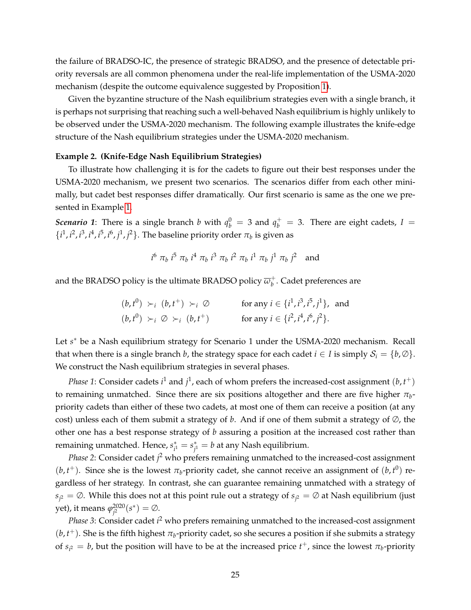the failure of BRADSO-IC, the presence of strategic BRADSO, and the presence of detectable priority reversals are all common phenomena under the real-life implementation of the USMA-2020 mechanism (despite the outcome equivalence suggested by Proposition [1\)](#page-23-2).

Given the byzantine structure of the Nash equilibrium strategies even with a single branch, it is perhaps not surprising that reaching such a well-behaved Nash equilibrium is highly unlikely to be observed under the USMA-2020 mechanism. The following example illustrates the knife-edge structure of the Nash equilibrium strategies under the USMA-2020 mechanism.

#### <span id="page-24-0"></span>**Example 2. (Knife-Edge Nash Equilibrium Strategies)**

To illustrate how challenging it is for the cadets to figure out their best responses under the USMA-2020 mechanism, we present two scenarios. The scenarios differ from each other minimally, but cadet best responses differ dramatically. Our first scenario is same as the one we presented in Example [1.](#page-22-0)

*Scenario 1*: There is a single branch *b* with  $q_b^0 = 3$  and  $q_b^+ = 3$ . There are eight cadets,  $I =$  $\{i^1, i^2, i^3, i^4, i^5, i^6, j^1, j^2\}$ . The baseline priority order  $\pi_b$  is given as

$$
i^6 \pi_b i^5 \pi_b i^4 \pi_b i^3 \pi_b i^2 \pi_b i^1 \pi_b j^1 \pi_b j^2
$$
 and

and the BRADSO policy is the ultimate BRADSO policy  $\overline{\omega}_h^+$ *b* . Cadet preferences are

> $(b, t^0) \succ_i (b, t^+) \succ_i \emptyset$  for any  $i \in \{i^1, i^3, i^5, j^1\}$ , and  $(b, t^0) \succ_i \emptyset \succ_i (b, t^+)$  for any  $i \in \{i^2, i^4, i^6, j^2\}.$

Let *s*<sup>\*</sup> be a Nash equilibrium strategy for Scenario 1 under the USMA-2020 mechanism. Recall that when there is a single branch *b*, the strategy space for each cadet  $i \in I$  is simply  $S_i = \{b, \emptyset\}$ . We construct the Nash equilibrium strategies in several phases.

*Phase* 1: Consider cadets  $i^1$  and  $j^1$ , each of whom prefers the increased-cost assignment  $(b, t^+)$ to remaining unmatched. Since there are six positions altogether and there are five higher  $\pi_{b}$ priority cadets than either of these two cadets, at most one of them can receive a position (at any cost) unless each of them submit a strategy of *b*. And if one of them submit a strategy of  $\varnothing$ , the other one has a best response strategy of *b* assuring a position at the increased cost rather than remaining unmatched. Hence, *s* ∗  $\chi^*_{i^1} = s^*_{j^1}$  $\zeta_{j^1}^* = b$  at any Nash equilibrium.

*Phase 2*: Consider cadet *j*<sup>2</sup> who prefers remaining unmatched to the increased-cost assignment  $(b, t<sup>+</sup>)$ . Since she is the lowest  $\pi_b$ -priority cadet, she cannot receive an assignment of  $(b, t<sup>0</sup>)$  regardless of her strategy. In contrast, she can guarantee remaining unmatched with a strategy of  $s_{j^2} = \emptyset$ . While this does not at this point rule out a strategy of  $s_{j^2} = \emptyset$  at Nash equilibrium (just yet), it means *ϕ* 2020  $j^{2020}(s^*) = \emptyset.$ 

*Phase 3*: Consider cadet *i* <sup>2</sup> who prefers remaining unmatched to the increased-cost assignment  $(b, t<sup>+</sup>)$ . She is the fifth highest  $\pi_b$ -priority cadet, so she secures a position if she submits a strategy of  $s_{i^2} = b$ , but the position will have to be at the increased price  $t^+$ , since the lowest  $\pi_b$ -priority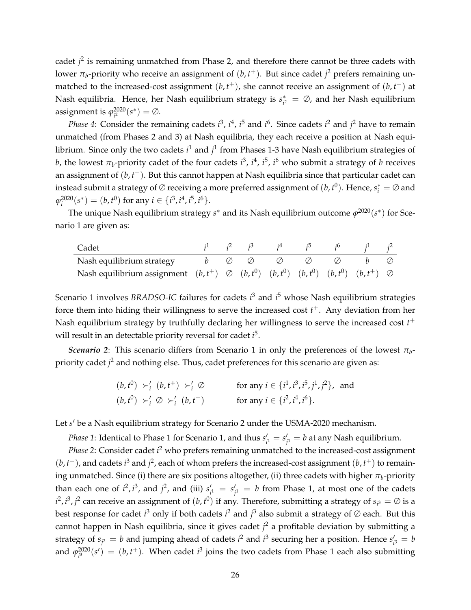cadet *j*<sup>2</sup> is remaining unmatched from Phase 2, and therefore there cannot be three cadets with lower  $\pi_b$ -priority who receive an assignment of  $(b, t^+)$ . But since cadet  $j^2$  prefers remaining unmatched to the increased-cost assignment  $(b, t<sup>+</sup>)$ , she cannot receive an assignment of  $(b, t<sup>+</sup>)$  at Nash equilibria. Hence, her Nash equilibrium strategy is *s* ∗  $\psi_{i^2}^* = \emptyset$ , and her Nash equilibrium assignment is  $\varphi^{2020}_{i^2}$  $_{i^{2}}^{2020}(s^{*}) = \emptyset.$ 

*Phase* 4: Consider the remaining cadets  $i^3$ ,  $i^4$ ,  $i^5$  and  $i^6$ . Since cadets  $i^2$  and  $j^2$  have to remain unmatched (from Phases 2 and 3) at Nash equilibria, they each receive a position at Nash equilibrium. Since only the two cadets i<sup>1</sup> and j<sup>1</sup> from Phases 1-3 have Nash equilibrium strategies of *b*, the lowest  $\pi_b$ -priority cadet of the four cadets  $i^3$ ,  $i^4$ ,  $i^5$ ,  $i^6$  who submit a strategy of *b* receives an assignment of (*b*, *t* <sup>+</sup>). But this cannot happen at Nash equilibria since that particular cadet can instead submit a strategy of  $\varnothing$  receiving a more preferred assignment of  $(b, t^0)$ . Hence,  $s_i^* = \varnothing$  and  $\varphi_i^{2020}(s^*) = (b, t^0)$  for any  $i \in \{i^3, i^4, i^5, i^6\}.$ 

The unique Nash equilibrium strategy *s*<sup>∗</sup> and its Nash equilibrium outcome φ<sup>2020</sup>(*s*<sup>∗</sup>) for Scenario 1 are given as:

| Cadet                                                                                                       |  |  |        | $i^1$ $i^2$ $i^3$ $i^4$ $i^5$ $i^6$ $i^1$ $i^2$ |  |
|-------------------------------------------------------------------------------------------------------------|--|--|--------|-------------------------------------------------|--|
| Nash equilibrium strategy $b \varnothing \varnothing \varnothing \varnothing$                               |  |  | $\vee$ |                                                 |  |
| Nash equilibrium assignment $(b, t^+) \oslash (b, t^0)$ $(b, t^0)$ $(b, t^0)$ $(b, t^0)$ $(b, t^+) \oslash$ |  |  |        |                                                 |  |

Scenario 1 involves *BRADSO-IC* failures for cadets *i* <sup>3</sup> and *i* <sup>5</sup> whose Nash equilibrium strategies force them into hiding their willingness to serve the increased cost *t* <sup>+</sup>. Any deviation from her Nash equilibrium strategy by truthfully declaring her willingness to serve the increased cost *t* + will result in an detectable priority reversal for cadet *i* 5 .

*Scenario 2*: This scenario differs from Scenario 1 in only the preferences of the lowest *π<sup>b</sup>* priority cadet *j* <sup>2</sup> and nothing else. Thus, cadet preferences for this scenario are given as:

$$
(b, t^0) \succ'_i (b, t^+) \succ'_i \varnothing \qquad \text{for any } i \in \{i^1, i^3, i^5, j^1, j^2\}, \text{ and}
$$
  

$$
(b, t^0) \succ'_i \varnothing \succ'_i (b, t^+) \qquad \text{for any } i \in \{i^2, i^4, i^6\}.
$$

Let s' be a Nash equilibrium strategy for Scenario 2 under the USMA-2020 mechanism.

*Phase 1*: Identical to Phase 1 for Scenario 1, and thus  $s_i'$  $S'_{i^1} = S'_{j^1}$  $y'_{j^1} = b$  at any Nash equilibrium.

*Phase 2*: Consider cadet *i*<sup>2</sup> who prefers remaining unmatched to the increased-cost assignment  $(b, t<sup>+</sup>)$ , and cadets *i*<sup>3</sup> and *j*<sup>2</sup>, each of whom prefers the increased-cost assignment  $(b, t<sup>+</sup>)$  to remaining unmatched. Since (i) there are six positions altogether, (ii) three cadets with higher  $\pi_b$ -priority than each one of  $i^2$ ,  $i^3$ , and  $j^2$ , and (iii)  $s'_i$  $S'_{i^1} = S'_{j^1}$  $y'_{j^1} = b$  from Phase 1, at most one of the cadets  $i^2$ ,  $i^3$ ,  $j^2$  can receive an assignment of  $(b, t^0)$  if any. Therefore, submitting a strategy of  $s_{i^3} = \emptyset$  is a best response for cadet *i*<sup>3</sup> only if both cadets *i*<sup>2</sup> and *j*<sup>3</sup> also submit a strategy of ∅ each. But this cannot happen in Nash equilibria, since it gives cadet *j* <sup>2</sup> a profitable deviation by submitting a strategy of  $s_{j^2} = b$  and jumping ahead of cadets  $i^2$  and  $i^3$  securing her a position. Hence  $s'_i$  $l_{i^3} = b$ and  $\varphi^{2020}_{i^3}$  $\mathcal{L}^{2020}(s') = (b, t^+)$ . When cadet  $i^3$  joins the two cadets from Phase 1 each also submitting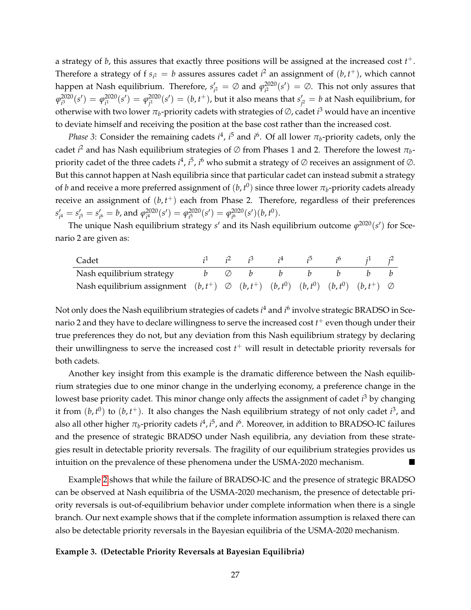a strategy of *b*, this assures that exactly three positions will be assigned at the increased cost *t* +. Therefore a strategy of f  $s_{i^2} = b$  assures assures cadet  $i^2$  an assignment of  $(b, t^+)$ , which cannot happen at Nash equilibrium. Therefore, s<sup>'</sup>  $\varphi'_{i^2} = \emptyset$  and  $\varphi^{2020}_{i^2}$  $\mathcal{L}^{2020}_i(s') = \emptyset$ . This not only assures that  $\varphi^{2020}_{i^3}$  $q_i^{2020}(s') = \varphi_{i^1}^{2020}$  $q_i^{2020}(s') = \varphi_{j^1}^{2020}$  $f_{j^1}^{2020}(s')=(b,t^+),$  but it also means that  $s_j'$  $y'_{j^2}=b$  at Nash equilibrium, for otherwise with two lower  $\pi_b$ -priority cadets with strategies of  $\oslash$ , cadet  $i^3$  would have an incentive to deviate himself and receiving the position at the base cost rather than the increased cost.

*Phase* 3: Consider the remaining cadets  $i^4$ ,  $i^5$  and  $i^6$ . Of all lower  $\pi_b$ -priority cadets, only the cadet  $i^2$  and has Nash equilibrium strategies of  $\varnothing$  from Phases 1 and 2. Therefore the lowest  $\pi_b$ priority cadet of the three cadets  $i^4$ ,  $i^5$ ,  $i^6$  who submit a strategy of ∅ receives an assignment of ∅. But this cannot happen at Nash equilibria since that particular cadet can instead submit a strategy of  $b$  and receive a more preferred assignment of  $(b, t^0)$  since three lower  $\pi_b$ -priority cadets already receive an assignment of  $(b, t<sup>+</sup>)$  each from Phase 2. Therefore, regardless of their preferences  $s_i'$  $S'_{i^4} = S'_{i^6}$  $S'_{i} = S'_{i}$  $\gamma_{i^6}^{\prime} = b$ , and  $\varphi_{i^4}^{2020}$  $q_i^{2020}(s') = \varphi_{i^5}^{2020}$  $q_i^{2020}(s') = \varphi_{i^6}^{2020}$  $_{i^{6}}^{2020}(s')(b,t^{0}).$ 

The unique Nash equilibrium strategy  $s'$  and its Nash equilibrium outcome  $\varphi^{2020}(s')$  for Scenario 2 are given as:

| Cadet                                                                                               |               | $i^1$ $i^2$ $i^3$ |  |  | $i^2$ |
|-----------------------------------------------------------------------------------------------------|---------------|-------------------|--|--|-------|
| Nash equilibrium strategy                                                                           | b $\emptyset$ |                   |  |  |       |
| Nash equilibrium assignment $(b, t^+) \oslash (b, t^+) (b, t^0) (b, t^0) (b, t^0) (b, t^+) \oslash$ |               |                   |  |  |       |

Not only does the Nash equilibrium strategies of cadets *i* <sup>4</sup> and *i* 6 involve strategic BRADSO in Scenario 2 and they have to declare willingness to serve the increased cost  $t^+$  even though under their true preferences they do not, but any deviation from this Nash equilibrium strategy by declaring their unwillingness to serve the increased cost *t* <sup>+</sup> will result in detectable priority reversals for both cadets.

Another key insight from this example is the dramatic difference between the Nash equilibrium strategies due to one minor change in the underlying economy, a preference change in the lowest base priority cadet. This minor change only affects the assignment of cadet *i* <sup>3</sup> by changing it from  $(b, t^0)$  to  $(b, t^+)$ . It also changes the Nash equilibrium strategy of not only cadet  $i^3$ , and also all other higher  $\pi_b$ -priority cadets  $i^4$ ,  $i^5$ , and  $i^6$ . Moreover, in addition to BRADSO-IC failures and the presence of strategic BRADSO under Nash equilibria, any deviation from these strategies result in detectable priority reversals. The fragility of our equilibrium strategies provides us intuition on the prevalence of these phenomena under the USMA-2020 mechanism.

Example [2](#page-24-0) shows that while the failure of BRADSO-IC and the presence of strategic BRADSO can be observed at Nash equilibria of the USMA-2020 mechanism, the presence of detectable priority reversals is out-of-equilibrium behavior under complete information when there is a single branch. Our next example shows that if the complete information assumption is relaxed there can also be detectable priority reversals in the Bayesian equilibria of the USMA-2020 mechanism.

#### <span id="page-26-0"></span>**Example 3. (Detectable Priority Reversals at Bayesian Equilibria)**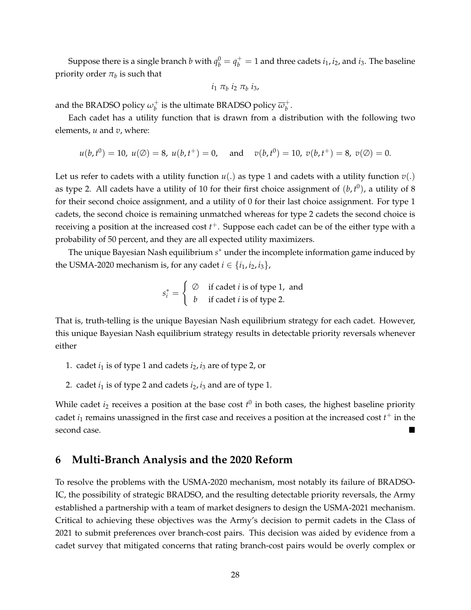Suppose there is a single branch  $b$  with  $q_b^0 = q_b^+ = 1$  and three cadets  $i_1, i_2$ , and  $i_3$ . The baseline priority order  $\pi_b$  is such that

$$
i_1 \pi_b i_2 \pi_b i_3,
$$

and the BRADSO policy  $\omega_b^+$  $_b^+$  is the ultimate BRADSO policy  $\overline{\omega}_b^+$ *b* .

Each cadet has a utility function that is drawn from a distribution with the following two elements, *u* and *v*, where:

$$
u(b,t^0) = 10
$$
,  $u(\emptyset) = 8$ ,  $u(b,t^+) = 0$ , and  $v(b,t^0) = 10$ ,  $v(b,t^+) = 8$ ,  $v(\emptyset) = 0$ .

Let us refer to cadets with a utility function  $u(.)$  as type 1 and cadets with a utility function  $v(.)$ as type 2. All cadets have a utility of 10 for their first choice assignment of  $(b, t^0)$ , a utility of 8 for their second choice assignment, and a utility of 0 for their last choice assignment. For type 1 cadets, the second choice is remaining unmatched whereas for type 2 cadets the second choice is receiving a position at the increased cost *t* <sup>+</sup>. Suppose each cadet can be of the either type with a probability of 50 percent, and they are all expected utility maximizers.

The unique Bayesian Nash equilibrium s<sup>\*</sup> under the incomplete information game induced by the USMA-2020 mechanism is, for any cadet  $i \in \{i_1, i_2, i_3\}$ ,

$$
s_i^* = \begin{cases} \varnothing & \text{if cadet } i \text{ is of type 1, and} \\ b & \text{if cadet } i \text{ is of type 2.} \end{cases}
$$

That is, truth-telling is the unique Bayesian Nash equilibrium strategy for each cadet. However, this unique Bayesian Nash equilibrium strategy results in detectable priority reversals whenever either

- 1. cadet  $i_1$  is of type 1 and cadets  $i_2$ ,  $i_3$  are of type 2, or
- 2. cadet  $i_1$  is of type 2 and cadets  $i_2$ ,  $i_3$  and are of type 1.

While cadet  $i_2$  receives a position at the base cost  $t^0$  in both cases, the highest baseline priority cadet  $i_1$  remains unassigned in the first case and receives a position at the increased cost  $t^+$  in the second case.

# <span id="page-27-0"></span>**6 Multi-Branch Analysis and the 2020 Reform**

To resolve the problems with the USMA-2020 mechanism, most notably its failure of BRADSO-IC, the possibility of strategic BRADSO, and the resulting detectable priority reversals, the Army established a partnership with a team of market designers to design the USMA-2021 mechanism. Critical to achieving these objectives was the Army's decision to permit cadets in the Class of 2021 to submit preferences over branch-cost pairs. This decision was aided by evidence from a cadet survey that mitigated concerns that rating branch-cost pairs would be overly complex or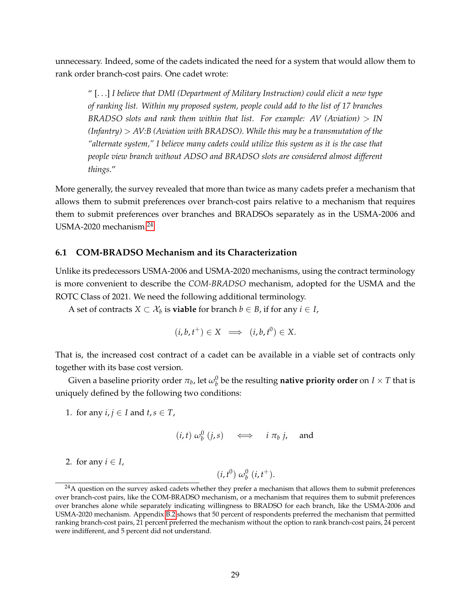unnecessary. Indeed, some of the cadets indicated the need for a system that would allow them to rank order branch-cost pairs. One cadet wrote:

" [. . .] *I believe that DMI (Department of Military Instruction) could elicit a new type of ranking list. Within my proposed system, people could add to the list of 17 branches BRADSO slots and rank them within that list. For example: AV (Aviation)* > *IN (Infantry)* > *AV:B (Aviation with BRADSO). While this may be a transmutation of the "alternate system," I believe many cadets could utilize this system as it is the case that people view branch without ADSO and BRADSO slots are considered almost different things*."

More generally, the survey revealed that more than twice as many cadets prefer a mechanism that allows them to submit preferences over branch-cost pairs relative to a mechanism that requires them to submit preferences over branches and BRADSOs separately as in the USMA-2006 and USMA-2020 mechanism.[24](#page-28-0)

#### <span id="page-28-1"></span>**6.1 COM-BRADSO Mechanism and its Characterization**

Unlike its predecessors USMA-2006 and USMA-2020 mechanisms, using the contract terminology is more convenient to describe the *COM-BRADSO* mechanism, adopted for the USMA and the ROTC Class of 2021. We need the following additional terminology.

A set of contracts  $X \subset \mathcal{X}_b$  is **viable** for branch  $b \in B$ , if for any  $i \in I$ ,

$$
(i,b,t^+) \in X \implies (i,b,t^0) \in X.
$$

That is, the increased cost contract of a cadet can be available in a viable set of contracts only together with its base cost version.

Given a baseline priority order  $\pi_b$ , let  $\omega_b^0$  be the resulting **native priority order** on  $I\times T$  that is uniquely defined by the following two conditions:

1. for any  $i, j \in I$  and  $t, s \in T$ ,

$$
(i, t) \omega_b^0 (j, s) \iff i \pi_b j, \text{ and}
$$

2. for any  $i \in I$ ,

 $(i, t^0) \omega_b^0 (i, t^+).$ 

<span id="page-28-0"></span><sup>&</sup>lt;sup>24</sup>A question on the survey asked cadets whether they prefer a mechanism that allows them to submit preferences over branch-cost pairs, like the COM-BRADSO mechanism, or a mechanism that requires them to submit preferences over branches alone while separately indicating willingness to BRADSO for each branch, like the USMA-2006 and USMA-2020 mechanism. Appendix [B.2](#page-65-1) shows that 50 percent of respondents preferred the mechanism that permitted ranking branch-cost pairs, 21 percent preferred the mechanism without the option to rank branch-cost pairs, 24 percent were indifferent, and 5 percent did not understand.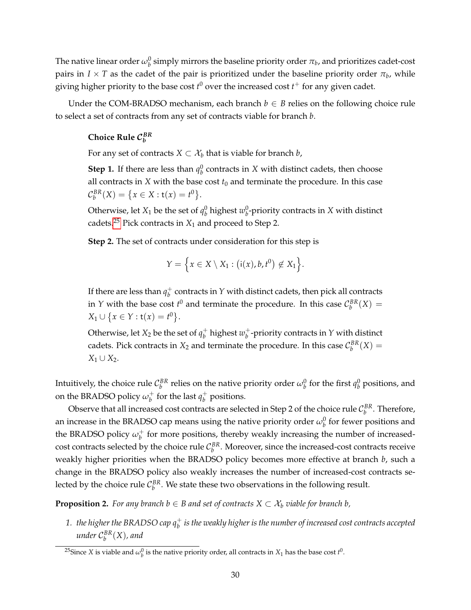The native linear order  $\omega_b^0$  simply mirrors the baseline priority order  $\pi_b$ , and prioritizes cadet-cost pairs in  $I \times T$  as the cadet of the pair is prioritized under the baseline priority order  $\pi_b$ , while giving higher priority to the base cost  $t^0$  over the increased cost  $t^+$  for any given cadet.

Under the COM-BRADSO mechanism, each branch  $b \in B$  relies on the following choice rule to select a set of contracts from any set of contracts viable for branch *b*.

# **Choice Rule** C *BR b*

For any set of contracts  $X \subset \mathcal{X}_b$  that is viable for branch *b*,

**Step 1.** If there are less than  $q_b^0$  contracts in *X* with distinct cadets, then choose all contracts in *X* with the base cost  $t_0$  and terminate the procedure. In this case  $C_b^{BR}(X) = \{x \in X : t(x) = t^0\}.$ 

Otherwise, let  $X_1$  be the set of  $q_b^0$  highest  $w_b^0$ -priority contracts in  $X$  with distinct cadets.<sup>[25](#page-29-0)</sup> Pick contracts in  $X_1$  and proceed to Step 2.

**Step 2.** The set of contracts under consideration for this step is

$$
Y = \Big\{ x \in X \setminus X_1 : (i(x), b, t^0) \notin X_1 \Big\}.
$$

If there are less than  $q_h^+$ *b* contracts in *Y* with distinct cadets, then pick all contracts in *Y* with the base cost  $t^0$  and terminate the procedure. In this case  $\mathcal{C}_{b}^{BR}(X)$  =  $X_1 \cup \{x \in Y : t(x) = t^0\}.$ 

Otherwise, let  $X_2$  be the set of  $q_b^+$  $\psi_b^+$  highest  $w_b^+$ *b* -priority contracts in *Y* with distinct cadets. Pick contracts in  $X_2$  and terminate the procedure. In this case  $\mathcal{C}_{b}^{BR}(X) =$  $X_1$  ∪  $X_2$ .

Intuitively, the choice rule  $\mathcal{C}_b^{BR}$  relies on the native priority order  $\omega_b^0$  for the first  $q_b^0$  positions, and on the BRADSO policy  $\omega_b^+$  $\frac{1}{b}$  for the last  $q_b^+$ *b* positions.

Observe that all increased cost contracts are selected in Step 2 of the choice rule  $\mathcal{C}^{BR}_b$  . Therefore, an increase in the BRADSO cap means using the native priority order  $\omega_b^0$  for fewer positions and the BRADSO policy  $\omega_b^+$  $_b^+$  for more positions, thereby weakly increasing the number of increasedcost contracts selected by the choice rule  $\mathcal{C}_{b}^{BR}$ . Moreover, since the increased-cost contracts receive weakly higher priorities when the BRADSO policy becomes more effective at branch *b*, such a change in the BRADSO policy also weakly increases the number of increased-cost contracts selected by the choice rule  $C_b^{BR}$ . We state these two observations in the following result.

<span id="page-29-1"></span>**Proposition 2.** *For any branch b*  $\in$  *B and set of contracts*  $X \subset \mathcal{X}_b$  *viable for branch b*,

1.  $\,$  the higher the BRADSO cap  $q_b^+$  is the weakly higher is the number of increased cost contracts accepted *under* C *BR b* (*X*)*, and*

<span id="page-29-0"></span><sup>&</sup>lt;sup>25</sup>Since *X* is viable and  $\omega_b^0$  is the native priority order, all contracts in  $X_1$  has the base cost  $t^0$ .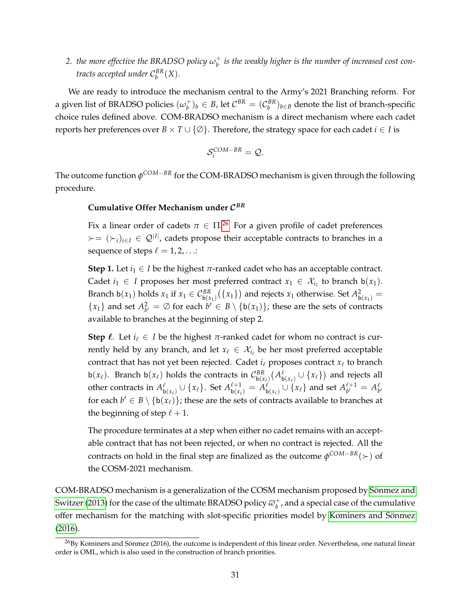2. *the more effective the BRADSO policy*  $\omega_b^+$ *b is the weakly higher is the number of increased cost contracts accepted under*  $C_b^{BR}(X)$ *.* 

We are ready to introduce the mechanism central to the Army's 2021 Branching reform. For a given list of BRADSO policies  $(\omega_b^+)$  $(b^+)_b$  ∈ *B*, let  $C^{BR} = (C^{BR}_b)_{b \in B}$  denote the list of branch-specific choice rules defined above. COM-BRADSO mechanism is a direct mechanism where each cadet reports her preferences over  $B \times T \cup \{ \emptyset \}$ . Therefore, the strategy space for each cadet *i* ∈ *I* is

$$
\mathcal{S}_i^{COM-BR} = \mathcal{Q}.
$$

The outcome function *φ COM*−*BR* for the COM-BRADSO mechanism is given through the following procedure.

### **Cumulative Offer Mechanism under** C *BR*

Fix a linear order of cadets  $\pi \in \Pi^{26}$  $\pi \in \Pi^{26}$  $\pi \in \Pi^{26}$  For a given profile of cadet preferences  $\mathcal{L} = (\mathcal{L}_i)_{i \in I} \in \mathcal{Q}^{|I|}$ , cadets propose their acceptable contracts to branches in a sequence of steps  $\ell = 1, 2, \ldots$ :

**Step 1.** Let  $i_1 \in I$  be the highest  $\pi$ -ranked cadet who has an acceptable contract. Cadet  $i_1$  ∈ *I* proposes her most preferred contract  $x_1$  ∈  $\mathcal{X}_{i_1}$  to branch  $b(x_1)$ . Branch b(*x*<sub>1</sub>) holds *x*<sub>1</sub> if *x*<sub>1</sub>  $\in C^{BR}_{b(x_1)}(\lbrace x_1 \rbrace)$  and rejects *x*<sub>1</sub> otherwise. Set  $A^2_{b(x_1)} =$  ${x_1}$  and set  $A_{b'}^2 = \emptyset$  for each  $b' \in B \setminus \{b(x_1)\}\$ ; these are the sets of contracts available to branches at the beginning of step 2.

**Step**  $\ell$ . Let  $i_{\ell} \in I$  be the highest  $\pi$ -ranked cadet for whom no contract is currently held by any branch, and let  $x_\ell \in \mathcal{X}_{i_\ell}$  be her most preferred acceptable contract that has not yet been rejected. Cadet  $i_\ell$  proposes contract  $x_\ell$  to branch b( $x_\ell$ ). Branch b( $x_\ell$ ) holds the contracts in  $\mathcal{C}_{\mathbf{b}(x_\ell)}^{BR}(\mathcal{A}_{\mathbf{b}(x_\ell)}^{\ell} \cup \{x_\ell\})$  and rejects all other contracts in  $A_{\mathsf{b}(\mathsf{x}_\ell)}^{\ell} \cup \{x_\ell\}$ . Set  $A_{\mathsf{b}(\mathsf{x}_\ell)}^{\ell+1} = \widetilde{A}_{\mathsf{b}(\mathsf{x}_\ell)}^{\ell} \cup \{x_\ell\}$  and set  $A_{b'}^{\ell+1}$  $\frac{\ell+1}{b'} = A_{b'}^{\ell}$ for each  $b' \in B \setminus \{b(x_\ell)\}\$ ; these are the sets of contracts available to branches at the beginning of step  $\ell + 1$ .

The procedure terminates at a step when either no cadet remains with an acceptable contract that has not been rejected, or when no contract is rejected. All the contracts on hold in the final step are finalized as the outcome *φ COM*−*BR*() of the COSM-2021 mechanism.

COM-BRADSO mechanism is a generalization of the COSM mechanism proposed by Sönmez and [Switzer](#page-41-0) [\(2013\)](#page-41-0) for the case of the ultimate BRADSO policy  $\overline{\omega}_b^+$ *b* , and a special case of the cumulative offer mechanism for the matching with slot-specific priorities model by Kominers and Sönmez [\(2016\)](#page-39-9).

<span id="page-30-0"></span> $^{26}$ By Kominers and Sönmez (2016), the outcome is independent of this linear order. Nevertheless, one natural linear order is OML, which is also used in the construction of branch priorities.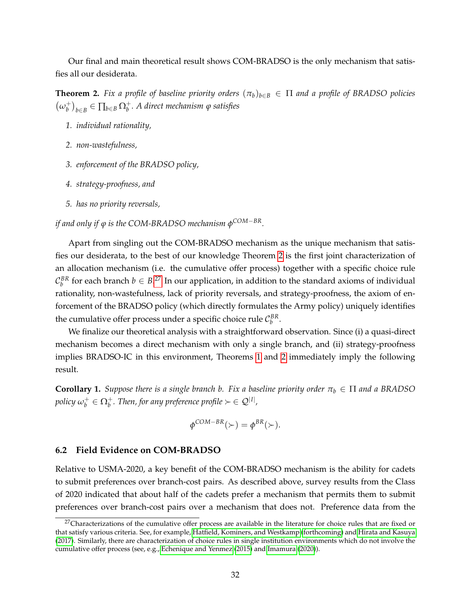Our final and main theoretical result shows COM-BRADSO is the only mechanism that satisfies all our desiderata.

<span id="page-31-0"></span>**Theorem 2.** *Fix a profile of baseline priority orders*  $(\pi_b)_{b \in B} \in \Pi$  *and a profile of BRADSO policies*  $(\omega_b^+$ *b b*∈*B* ∈ <sup>∏</sup>*b*∈*<sup>B</sup>* <sup>Ω</sup><sup>+</sup> *b . A direct mechanism ϕ satisfies*

- *1. individual rationality,*
- *2. non-wastefulness,*
- *3. enforcement of the BRADSO policy,*
- *4. strategy-proofness, and*
- *5. has no priority reversals,*

*if and only if ϕ is the COM-BRADSO mechanism φ COM*−*BR.*

Apart from singling out the COM-BRADSO mechanism as the unique mechanism that satisfies our desiderata, to the best of our knowledge Theorem [2](#page-31-0) is the first joint characterization of an allocation mechanism (i.e. the cumulative offer process) together with a specific choice rule  $\mathcal{C}_{b}^{BR}$  for each branch  $b \in B$ .<sup>[27](#page-31-1)</sup> In our application, in addition to the standard axioms of individual rationality, non-wastefulness, lack of priority reversals, and strategy-proofness, the axiom of enforcement of the BRADSO policy (which directly formulates the Army policy) uniquely identifies the cumulative offer process under a specific choice rule  $\mathcal{C}_{b}^{BR}$ .

We finalize our theoretical analysis with a straightforward observation. Since (i) a quasi-direct mechanism becomes a direct mechanism with only a single branch, and (ii) strategy-proofness implies BRADSO-IC in this environment, Theorems [1](#page-23-3) and [2](#page-31-0) immediately imply the following result.

<span id="page-31-2"></span>**Corollary 1.** *Suppose there is a single branch b. Fix a baseline priority order*  $\pi_b \in \Pi$  *and a BRADSO policy ω* +  $\mathcal{D}_b^+ \in \Omega_b^+$ . Then, for any preference profile  $\succ \in \mathcal{Q}^{|I|}$ ,

$$
\phi^{COM-BR}(\succ) = \phi^{BR}(\succ).
$$

#### **6.2 Field Evidence on COM-BRADSO**

Relative to USMA-2020, a key benefit of the COM-BRADSO mechanism is the ability for cadets to submit preferences over branch-cost pairs. As described above, survey results from the Class of 2020 indicated that about half of the cadets prefer a mechanism that permits them to submit preferences over branch-cost pairs over a mechanism that does not. Preference data from the

<span id="page-31-1"></span><sup>&</sup>lt;sup>27</sup>Characterizations of the cumulative offer process are available in the literature for choice rules that are fixed or that satisfy various criteria. See, for example, [Hatfield, Kominers, and Westkamp](#page-39-5) [\(forthcoming\)](#page-39-5) and [Hirata and Kasuya](#page-39-4) [\(2017\)](#page-39-4). Similarly, there are characterization of choice rules in single institution environments which do not involve the cumulative offer process (see, e.g., [Echenique and Yenmez](#page-38-7) [\(2015\)](#page-38-7) and [Imamura](#page-39-10) [\(2020\)](#page-39-10)).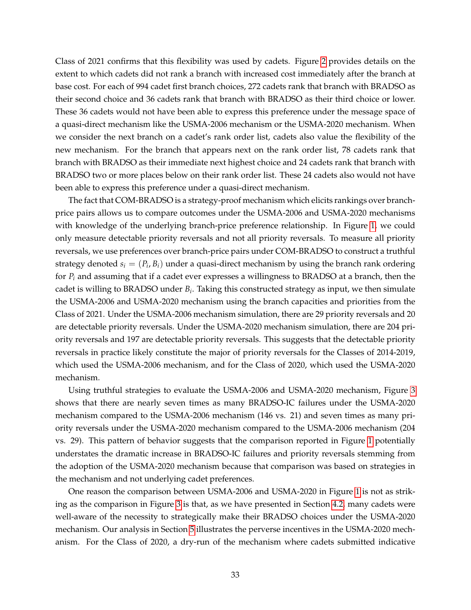Class of 2021 confirms that this flexibility was used by cadets. Figure [2](#page-60-0) provides details on the extent to which cadets did not rank a branch with increased cost immediately after the branch at base cost. For each of 994 cadet first branch choices, 272 cadets rank that branch with BRADSO as their second choice and 36 cadets rank that branch with BRADSO as their third choice or lower. These 36 cadets would not have been able to express this preference under the message space of a quasi-direct mechanism like the USMA-2006 mechanism or the USMA-2020 mechanism. When we consider the next branch on a cadet's rank order list, cadets also value the flexibility of the new mechanism. For the branch that appears next on the rank order list, 78 cadets rank that branch with BRADSO as their immediate next highest choice and 24 cadets rank that branch with BRADSO two or more places below on their rank order list. These 24 cadets also would not have been able to express this preference under a quasi-direct mechanism.

The fact that COM-BRADSO is a strategy-proof mechanism which elicits rankings over branchprice pairs allows us to compare outcomes under the USMA-2006 and USMA-2020 mechanisms with knowledge of the underlying branch-price preference relationship. In Figure [1,](#page-59-0) we could only measure detectable priority reversals and not all priority reversals. To measure all priority reversals, we use preferences over branch-price pairs under COM-BRADSO to construct a truthful strategy denoted  $s_i = (P_i, B_i)$  under a quasi-direct mechanism by using the branch rank ordering for *P<sup>i</sup>* and assuming that if a cadet ever expresses a willingness to BRADSO at a branch, then the cadet is willing to BRADSO under *B<sup>i</sup>* . Taking this constructed strategy as input, we then simulate the USMA-2006 and USMA-2020 mechanism using the branch capacities and priorities from the Class of 2021. Under the USMA-2006 mechanism simulation, there are 29 priority reversals and 20 are detectable priority reversals. Under the USMA-2020 mechanism simulation, there are 204 priority reversals and 197 are detectable priority reversals. This suggests that the detectable priority reversals in practice likely constitute the major of priority reversals for the Classes of 2014-2019, which used the USMA-2006 mechanism, and for the Class of 2020, which used the USMA-2020 mechanism.

Using truthful strategies to evaluate the USMA-2006 and USMA-2020 mechanism, Figure [3](#page-61-0) shows that there are nearly seven times as many BRADSO-IC failures under the USMA-2020 mechanism compared to the USMA-2006 mechanism (146 vs. 21) and seven times as many priority reversals under the USMA-2020 mechanism compared to the USMA-2006 mechanism (204 vs. 29). This pattern of behavior suggests that the comparison reported in Figure [1](#page-59-0) potentially understates the dramatic increase in BRADSO-IC failures and priority reversals stemming from the adoption of the USMA-2020 mechanism because that comparison was based on strategies in the mechanism and not underlying cadet preferences.

One reason the comparison between USMA-2006 and USMA-2020 in Figure [1](#page-59-0) is not as striking as the comparison in Figure [3](#page-61-0) is that, as we have presented in Section [4.2,](#page-16-0) many cadets were well-aware of the necessity to strategically make their BRADSO choices under the USMA-2020 mechanism. Our analysis in Section [5](#page-19-0) illustrates the perverse incentives in the USMA-2020 mechanism. For the Class of 2020, a dry-run of the mechanism where cadets submitted indicative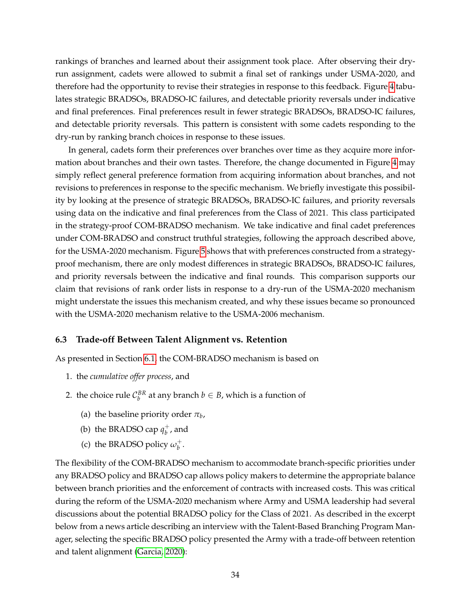rankings of branches and learned about their assignment took place. After observing their dryrun assignment, cadets were allowed to submit a final set of rankings under USMA-2020, and therefore had the opportunity to revise their strategies in response to this feedback. Figure [4](#page-62-0) tabulates strategic BRADSOs, BRADSO-IC failures, and detectable priority reversals under indicative and final preferences. Final preferences result in fewer strategic BRADSOs, BRADSO-IC failures, and detectable priority reversals. This pattern is consistent with some cadets responding to the dry-run by ranking branch choices in response to these issues.

In general, cadets form their preferences over branches over time as they acquire more information about branches and their own tastes. Therefore, the change documented in Figure [4](#page-62-0) may simply reflect general preference formation from acquiring information about branches, and not revisions to preferences in response to the specific mechanism. We briefly investigate this possibility by looking at the presence of strategic BRADSOs, BRADSO-IC failures, and priority reversals using data on the indicative and final preferences from the Class of 2021. This class participated in the strategy-proof COM-BRADSO mechanism. We take indicative and final cadet preferences under COM-BRADSO and construct truthful strategies, following the approach described above, for the USMA-2020 mechanism. Figure [5](#page-63-0) shows that with preferences constructed from a strategyproof mechanism, there are only modest differences in strategic BRADSOs, BRADSO-IC failures, and priority reversals between the indicative and final rounds. This comparison supports our claim that revisions of rank order lists in response to a dry-run of the USMA-2020 mechanism might understate the issues this mechanism created, and why these issues became so pronounced with the USMA-2020 mechanism relative to the USMA-2006 mechanism.

#### **6.3 Trade-off Between Talent Alignment vs. Retention**

As presented in Section [6.1,](#page-28-1) the COM-BRADSO mechanism is based on

- 1. the *cumulative offer process*, and
- 2. the choice rule  $C_b^{BR}$  at any branch  $b \in B$ , which is a function of
	- (a) the baseline priority order  $\pi_b$ ,
	- (b) the BRADSO cap  $q_h^+$  $_b^+$ , and
	- (c) the BRADSO policy  $\omega_b^+$ *b* .

The flexibility of the COM-BRADSO mechanism to accommodate branch-specific priorities under any BRADSO policy and BRADSO cap allows policy makers to determine the appropriate balance between branch priorities and the enforcement of contracts with increased costs. This was critical during the reform of the USMA-2020 mechanism where Army and USMA leadership had several discussions about the potential BRADSO policy for the Class of 2021. As described in the excerpt below from a news article describing an interview with the Talent-Based Branching Program Manager, selecting the specific BRADSO policy presented the Army with a trade-off between retention and talent alignment [\(Garcia, 2020\)](#page-38-6):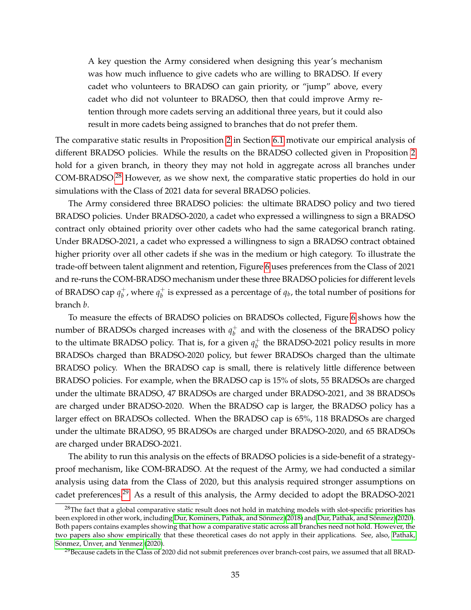A key question the Army considered when designing this year's mechanism was how much influence to give cadets who are willing to BRADSO. If every cadet who volunteers to BRADSO can gain priority, or "jump" above, every cadet who did not volunteer to BRADSO, then that could improve Army retention through more cadets serving an additional three years, but it could also result in more cadets being assigned to branches that do not prefer them.

The comparative static results in Proposition [2](#page-29-1) in Section [6.1](#page-28-1) motivate our empirical analysis of different BRADSO policies. While the results on the BRADSO collected given in Proposition [2](#page-29-1) hold for a given branch, in theory they may not hold in aggregate across all branches under COM-BRADSO.[28](#page-34-0) However, as we show next, the comparative static properties do hold in our simulations with the Class of 2021 data for several BRADSO policies.

The Army considered three BRADSO policies: the ultimate BRADSO policy and two tiered BRADSO policies. Under BRADSO-2020, a cadet who expressed a willingness to sign a BRADSO contract only obtained priority over other cadets who had the same categorical branch rating. Under BRADSO-2021, a cadet who expressed a willingness to sign a BRADSO contract obtained higher priority over all other cadets if she was in the medium or high category. To illustrate the trade-off between talent alignment and retention, Figure [6](#page-64-0) uses preferences from the Class of 2021 and re-runs the COM-BRADSO mechanism under these three BRADSO policies for different levels of BRADSO cap  $q_h^+$  $_b^+$ , where  $q_b^+$  $_b^+$  is expressed as a percentage of  $q_b$ , the total number of positions for branch *b*.

To measure the effects of BRADSO policies on BRADSOs collected, Figure [6](#page-64-0) shows how the number of BRADSOs charged increases with  $q_h^+$  $_b^+$  and with the closeness of the BRADSO policy to the ultimate BRADSO policy. That is, for a given  $q_h^+$  $_b^+$  the BRADSO-2021 policy results in more BRADSOs charged than BRADSO-2020 policy, but fewer BRADSOs charged than the ultimate BRADSO policy. When the BRADSO cap is small, there is relatively little difference between BRADSO policies. For example, when the BRADSO cap is 15% of slots, 55 BRADSOs are charged under the ultimate BRADSO, 47 BRADSOs are charged under BRADSO-2021, and 38 BRADSOs are charged under BRADSO-2020. When the BRADSO cap is larger, the BRADSO policy has a larger effect on BRADSOs collected. When the BRADSO cap is 65%, 118 BRADSOs are charged under the ultimate BRADSO, 95 BRADSOs are charged under BRADSO-2020, and 65 BRADSOs are charged under BRADSO-2021.

The ability to run this analysis on the effects of BRADSO policies is a side-benefit of a strategyproof mechanism, like COM-BRADSO. At the request of the Army, we had conducted a similar analysis using data from the Class of 2020, but this analysis required stronger assumptions on cadet preferences.[29](#page-34-1) As a result of this analysis, the Army decided to adopt the BRADSO-2021

<span id="page-34-0"></span> $28$ The fact that a global comparative static result does not hold in matching models with slot-specific priorities has been explored in other work, including Dur, Kominers, Pathak, and Sönmez [\(2018\)](#page-38-8) and [Dur, Pathak, and S](#page-38-9)önmez [\(2020\)](#page-38-9). Both papers contains examples showing that how a comparative static across all branches need not hold. However, the two papers also show empirically that these theoretical cases do not apply in their applications. See, also, [Pathak,](#page-40-7) Sönmez, Ünver, and Yenmez [\(2020\)](#page-40-7).

<span id="page-34-1"></span> $^{29}$ Because cadets in the Class of 2020 did not submit preferences over branch-cost pairs, we assumed that all BRAD-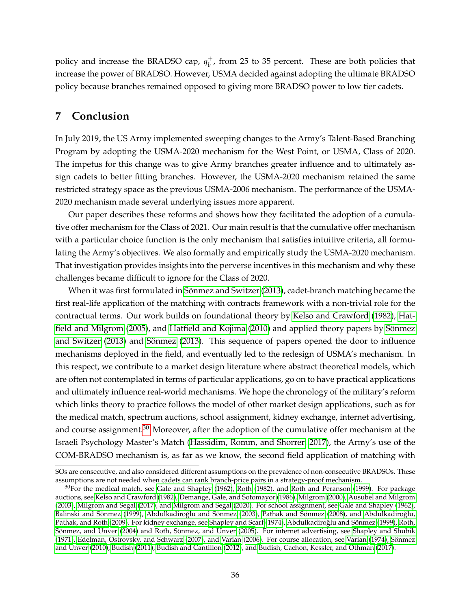policy and increase the BRADSO cap,  $q_h^+$  $_b^+$ , from 25 to 35 percent. These are both policies that increase the power of BRADSO. However, USMA decided against adopting the ultimate BRADSO policy because branches remained opposed to giving more BRADSO power to low tier cadets.

# **7 Conclusion**

In July 2019, the US Army implemented sweeping changes to the Army's Talent-Based Branching Program by adopting the USMA-2020 mechanism for the West Point, or USMA, Class of 2020. The impetus for this change was to give Army branches greater influence and to ultimately assign cadets to better fitting branches. However, the USMA-2020 mechanism retained the same restricted strategy space as the previous USMA-2006 mechanism. The performance of the USMA-2020 mechanism made several underlying issues more apparent.

Our paper describes these reforms and shows how they facilitated the adoption of a cumulative offer mechanism for the Class of 2021. Our main result is that the cumulative offer mechanism with a particular choice function is the only mechanism that satisfies intuitive criteria, all formulating the Army's objectives. We also formally and empirically study the USMA-2020 mechanism. That investigation provides insights into the perverse incentives in this mechanism and why these challenges became difficult to ignore for the Class of 2020.

When it was first formulated in Sönmez and Switzer [\(2013\)](#page-41-0), cadet-branch matching became the first real-life application of the matching with contracts framework with a non-trivial role for the contractual terms. Our work builds on foundational theory by [Kelso and Crawford](#page-39-0) [\(1982\)](#page-39-0), [Hat](#page-39-1)[field and Milgrom](#page-39-1) [\(2005\)](#page-39-1), and [Hatfield and Kojima](#page-39-2) [\(2010\)](#page-39-2) and applied theory papers by Sönmez [and Switzer](#page-41-0) [\(2013\)](#page-41-1) and Sönmez (2013). This sequence of papers opened the door to influence mechanisms deployed in the field, and eventually led to the redesign of USMA's mechanism. In this respect, we contribute to a market design literature where abstract theoretical models, which are often not contemplated in terms of particular applications, go on to have practical applications and ultimately influence real-world mechanisms. We hope the chronology of the military's reform which links theory to practice follows the model of other market design applications, such as for the medical match, spectrum auctions, school assignment, kidney exchange, internet advertising, and course assignment.<sup>[30](#page-35-0)</sup> Moreover, after the adoption of the cumulative offer mechanism at the Israeli Psychology Master's Match [\(Hassidim, Romm, and Shorrer, 2017\)](#page-39-11), the Army's use of the COM-BRADSO mechanism is, as far as we know, the second field application of matching with

SOs are consecutive, and also considered different assumptions on the prevalence of non-consecutive BRADSOs. These assumptions are not needed when cadets can rank branch-price pairs in a strategy-proof mechanism.

<span id="page-35-0"></span> $30$ For the medical match, see [Gale and Shapley](#page-38-5) [\(1962\)](#page-38-5), [Roth](#page-40-8) [\(1982\)](#page-40-8), and [Roth and Peranson](#page-40-9) [\(1999\)](#page-40-9). For package auctions, see [Kelso and Crawford](#page-39-0) [\(1982\)](#page-39-0), [Demange, Gale, and Sotomayor](#page-38-10) [\(1986\)](#page-38-10), [Milgrom](#page-40-10) [\(2000\)](#page-40-10), [Ausubel and Milgrom](#page-37-4) [\(2003\)](#page-37-4), [Milgrom and Segal](#page-39-12) [\(2017\)](#page-39-12), and [Milgrom and Segal](#page-40-11) [\(2020\)](#page-40-11). For school assignment, see [Gale and Shapley](#page-38-5) [\(1962\)](#page-38-5), Balinski and Sönmez [\(1999\)](#page-37-5), [Abdulkadiro](#page-37-7)ğlu and Sönmez [\(2003\)](#page-37-6), [Pathak and S](#page-40-4)önmez [\(2008\)](#page-40-4), and Abdulkadiroğlu, [Pathak, and Roth](#page-37-7) [\(2009\)](#page-37-7). For kidney exchange, see [Shapley and Scarf](#page-40-12) [\(1974\)](#page-40-12), Abdulkadiroğlu and Sönmez [\(1999\)](#page-37-8), [Roth,](#page-40-13) Sönmez, and Ünver [\(2004\)](#page-40-13) and Roth, Sönmez, and Ünver [\(2005\)](#page-40-14). For internet advertising, see [Shapley and Shubik](#page-41-2) [\(1971\)](#page-41-2), [Edelman, Ostrovsky, and Schwarz](#page-38-11) [\(2007\)](#page-38-11), and [Varian](#page-41-3) [\(2006\)](#page-41-3). For course allocation, see [Varian](#page-41-4) [\(1974\)](#page-41-4), [Sonmez](#page-41-5) ¨ and Ünver [\(2010\)](#page-41-5), [Budish](#page-37-9) [\(2011\)](#page-37-9), [Budish and Cantillon](#page-37-1) [\(2012\)](#page-37-1), and [Budish, Cachon, Kessler, and Othman](#page-37-10) [\(2017\)](#page-37-10).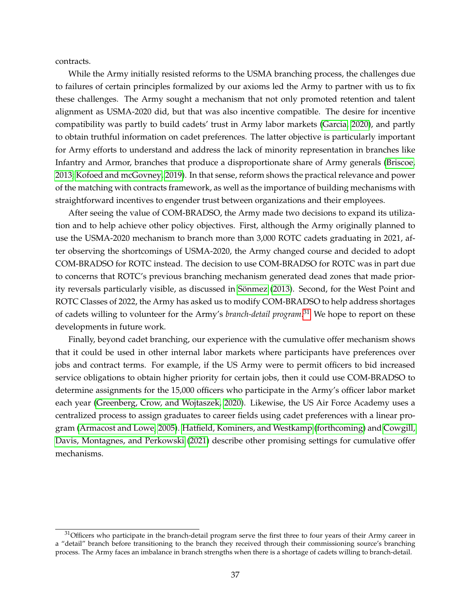contracts.

While the Army initially resisted reforms to the USMA branching process, the challenges due to failures of certain principles formalized by our axioms led the Army to partner with us to fix these challenges. The Army sought a mechanism that not only promoted retention and talent alignment as USMA-2020 did, but that was also incentive compatible. The desire for incentive compatibility was partly to build cadets' trust in Army labor markets [\(Garcia, 2020\)](#page-38-6), and partly to obtain truthful information on cadet preferences. The latter objective is particularly important for Army efforts to understand and address the lack of minority representation in branches like Infantry and Armor, branches that produce a disproportionate share of Army generals [\(Briscoe,](#page-37-11) [2013;](#page-37-11) [Kofoed and mcGovney, 2019\)](#page-39-13). In that sense, reform shows the practical relevance and power of the matching with contracts framework, as well as the importance of building mechanisms with straightforward incentives to engender trust between organizations and their employees.

After seeing the value of COM-BRADSO, the Army made two decisions to expand its utilization and to help achieve other policy objectives. First, although the Army originally planned to use the USMA-2020 mechanism to branch more than 3,000 ROTC cadets graduating in 2021, after observing the shortcomings of USMA-2020, the Army changed course and decided to adopt COM-BRADSO for ROTC instead. The decision to use COM-BRADSO for ROTC was in part due to concerns that ROTC's previous branching mechanism generated dead zones that made prior-ity reversals particularly visible, as discussed in Sönmez [\(2013\)](#page-41-1). Second, for the West Point and ROTC Classes of 2022, the Army has asked us to modify COM-BRADSO to help address shortages of cadets willing to volunteer for the Army's *branch-detail program*. [31](#page-36-0) We hope to report on these developments in future work.

Finally, beyond cadet branching, our experience with the cumulative offer mechanism shows that it could be used in other internal labor markets where participants have preferences over jobs and contract terms. For example, if the US Army were to permit officers to bid increased service obligations to obtain higher priority for certain jobs, then it could use COM-BRADSO to determine assignments for the 15,000 officers who participate in the Army's officer labor market each year [\(Greenberg, Crow, and Wojtaszek, 2020\)](#page-39-14). Likewise, the US Air Force Academy uses a centralized process to assign graduates to career fields using cadet preferences with a linear program [\(Armacost and Lowe, 2005\)](#page-37-12). [Hatfield, Kominers, and Westkamp](#page-39-5) [\(forthcoming\)](#page-39-5) and [Cowgill,](#page-38-12) [Davis, Montagnes, and Perkowski](#page-38-12) [\(2021\)](#page-38-12) describe other promising settings for cumulative offer mechanisms.

<span id="page-36-0"></span> $31$ Officers who participate in the branch-detail program serve the first three to four years of their Army career in a "detail" branch before transitioning to the branch they received through their commissioning source's branching process. The Army faces an imbalance in branch strengths when there is a shortage of cadets willing to branch-detail.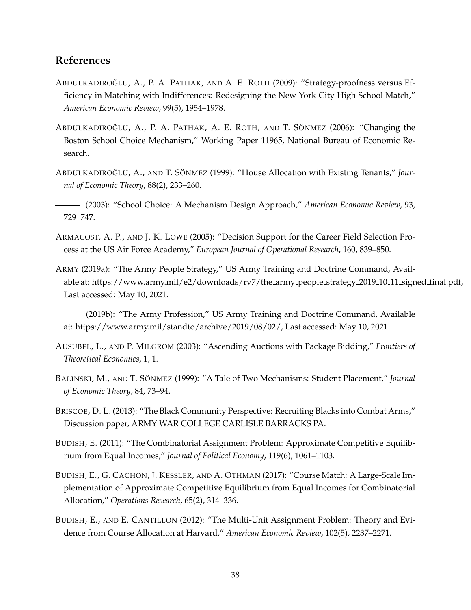# **References**

- <span id="page-37-7"></span>ABDULKADIROĞLU, A., P. A. PATHAK, AND A. E. ROTH (2009): "Strategy-proofness versus Efficiency in Matching with Indifferences: Redesigning the New York City High School Match," *American Economic Review*, 99(5), 1954–1978.
- <span id="page-37-0"></span>ABDULKADIROĞLU, A., P. A. PATHAK, A. E. ROTH, AND T. SÖNMEZ (2006): "Changing the Boston School Choice Mechanism," Working Paper 11965, National Bureau of Economic Research.
- <span id="page-37-8"></span>ABDULKADIROĞLU, A., AND T. SÖNMEZ (1999): "House Allocation with Existing Tenants," Jour*nal of Economic Theory*, 88(2), 233–260.
- <span id="page-37-6"></span>(2003): "School Choice: A Mechanism Design Approach," *American Economic Review*, 93, 729–747.
- <span id="page-37-12"></span>ARMACOST, A. P., AND J. K. LOWE (2005): "Decision Support for the Career Field Selection Process at the US Air Force Academy," *European Journal of Operational Research*, 160, 839–850.
- <span id="page-37-3"></span>ARMY (2019a): "The Army People Strategy," US Army Training and Doctrine Command, Available at: https://www.army.mil/e2/downloads/rv7/the army people strategy 2019 10 11 signed final.pdf, Last accessed: May 10, 2021.
- <span id="page-37-2"></span>(2019b): "The Army Profession," US Army Training and Doctrine Command, Available at: https://www.army.mil/standto/archive/2019/08/02/, Last accessed: May 10, 2021.
- <span id="page-37-4"></span>AUSUBEL, L., AND P. MILGROM (2003): "Ascending Auctions with Package Bidding," *Frontiers of Theoretical Economics*, 1, 1.
- <span id="page-37-5"></span>BALINSKI, M., AND T. SÖNMEZ (1999): "A Tale of Two Mechanisms: Student Placement," Journal *of Economic Theory*, 84, 73–94.
- <span id="page-37-11"></span>BRISCOE, D. L. (2013): "The Black Community Perspective: Recruiting Blacks into Combat Arms," Discussion paper, ARMY WAR COLLEGE CARLISLE BARRACKS PA.
- <span id="page-37-9"></span>BUDISH, E. (2011): "The Combinatorial Assignment Problem: Approximate Competitive Equilibrium from Equal Incomes," *Journal of Political Economy*, 119(6), 1061–1103.
- <span id="page-37-10"></span>BUDISH, E., G. CACHON, J. KESSLER, AND A. OTHMAN (2017): "Course Match: A Large-Scale Implementation of Approximate Competitive Equilibrium from Equal Incomes for Combinatorial Allocation," *Operations Research*, 65(2), 314–336.
- <span id="page-37-1"></span>BUDISH, E., AND E. CANTILLON (2012): "The Multi-Unit Assignment Problem: Theory and Evidence from Course Allocation at Harvard," *American Economic Review*, 102(5), 2237–2271.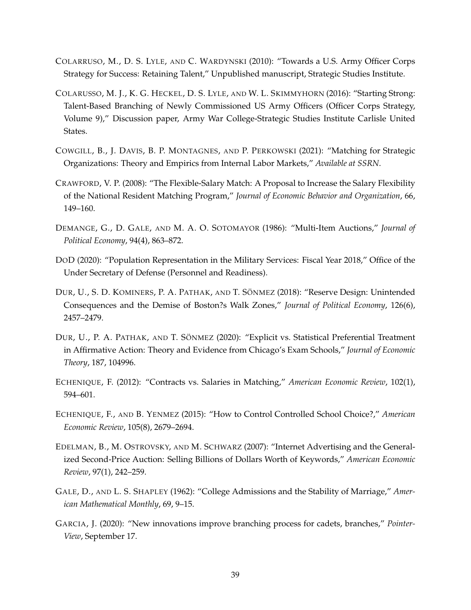- <span id="page-38-1"></span>COLARRUSO, M., D. S. LYLE, AND C. WARDYNSKI (2010): "Towards a U.S. Army Officer Corps Strategy for Success: Retaining Talent," Unpublished manuscript, Strategic Studies Institute.
- <span id="page-38-2"></span>COLARUSSO, M. J., K. G. HECKEL, D. S. LYLE, AND W. L. SKIMMYHORN (2016): "Starting Strong: Talent-Based Branching of Newly Commissioned US Army Officers (Officer Corps Strategy, Volume 9)," Discussion paper, Army War College-Strategic Studies Institute Carlisle United States.
- <span id="page-38-12"></span>COWGILL, B., J. DAVIS, B. P. MONTAGNES, AND P. PERKOWSKI (2021): "Matching for Strategic Organizations: Theory and Empirics from Internal Labor Markets," *Available at SSRN*.
- <span id="page-38-4"></span>CRAWFORD, V. P. (2008): "The Flexible-Salary Match: A Proposal to Increase the Salary Flexibility of the National Resident Matching Program," *Journal of Economic Behavior and Organization*, 66, 149–160.
- <span id="page-38-10"></span>DEMANGE, G., D. GALE, AND M. A. O. SOTOMAYOR (1986): "Multi-Item Auctions," *Journal of Political Economy*, 94(4), 863–872.
- <span id="page-38-0"></span>DOD (2020): "Population Representation in the Military Services: Fiscal Year 2018," Office of the Under Secretary of Defense (Personnel and Readiness).
- <span id="page-38-8"></span>DUR, U., S. D. KOMINERS, P. A. PATHAK, AND T. SÖNMEZ (2018): "Reserve Design: Unintended Consequences and the Demise of Boston?s Walk Zones," *Journal of Political Economy*, 126(6), 2457–2479.
- <span id="page-38-9"></span>DUR, U., P. A. PATHAK, AND T. SÖNMEZ (2020): "Explicit vs. Statistical Preferential Treatment in Affirmative Action: Theory and Evidence from Chicago's Exam Schools," *Journal of Economic Theory*, 187, 104996.
- <span id="page-38-3"></span>ECHENIQUE, F. (2012): "Contracts vs. Salaries in Matching," *American Economic Review*, 102(1), 594–601.
- <span id="page-38-7"></span>ECHENIQUE, F., AND B. YENMEZ (2015): "How to Control Controlled School Choice?," *American Economic Review*, 105(8), 2679–2694.
- <span id="page-38-11"></span>EDELMAN, B., M. OSTROVSKY, AND M. SCHWARZ (2007): "Internet Advertising and the Generalized Second-Price Auction: Selling Billions of Dollars Worth of Keywords," *American Economic Review*, 97(1), 242–259.
- <span id="page-38-5"></span>GALE, D., AND L. S. SHAPLEY (1962): "College Admissions and the Stability of Marriage," *American Mathematical Monthly*, 69, 9–15.
- <span id="page-38-6"></span>GARCIA, J. (2020): "New innovations improve branching process for cadets, branches," *Pointer-View*, September 17.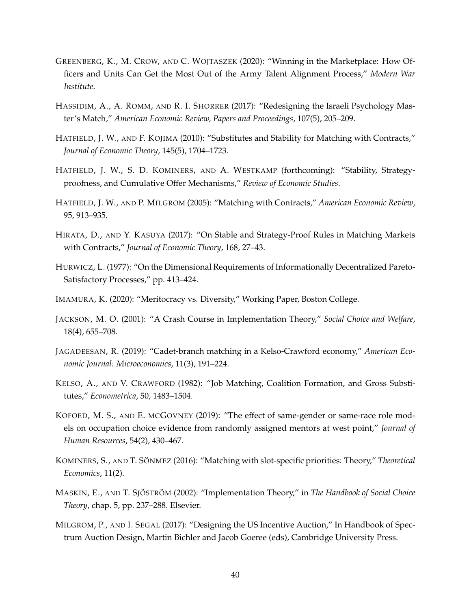- <span id="page-39-14"></span>GREENBERG, K., M. CROW, AND C. WOJTASZEK (2020): "Winning in the Marketplace: How Officers and Units Can Get the Most Out of the Army Talent Alignment Process," *Modern War Institute*.
- <span id="page-39-11"></span>HASSIDIM, A., A. ROMM, AND R. I. SHORRER (2017): "Redesigning the Israeli Psychology Master's Match," *American Economic Review, Papers and Proceedings*, 107(5), 205–209.
- <span id="page-39-2"></span>HATFIELD, J. W., AND F. KOJIMA (2010): "Substitutes and Stability for Matching with Contracts," *Journal of Economic Theory*, 145(5), 1704–1723.
- <span id="page-39-5"></span>HATFIELD, J. W., S. D. KOMINERS, AND A. WESTKAMP (forthcoming): "Stability, Strategyproofness, and Cumulative Offer Mechanisms," *Review of Economic Studies*.
- <span id="page-39-1"></span>HATFIELD, J. W., AND P. MILGROM (2005): "Matching with Contracts," *American Economic Review*, 95, 913–935.
- <span id="page-39-4"></span>HIRATA, D., AND Y. KASUYA (2017): "On Stable and Strategy-Proof Rules in Matching Markets with Contracts," *Journal of Economic Theory*, 168, 27–43.
- <span id="page-39-6"></span>HURWICZ, L. (1977): "On the Dimensional Requirements of Informationally Decentralized Pareto-Satisfactory Processes," pp. 413–424.
- <span id="page-39-10"></span>IMAMURA, K. (2020): "Meritocracy vs. Diversity," Working Paper, Boston College.
- <span id="page-39-8"></span>JACKSON, M. O. (2001): "A Crash Course in Implementation Theory," *Social Choice and Welfare*, 18(4), 655–708.
- <span id="page-39-3"></span>JAGADEESAN, R. (2019): "Cadet-branch matching in a Kelso-Crawford economy," *American Economic Journal: Microeconomics*, 11(3), 191–224.
- <span id="page-39-0"></span>KELSO, A., AND V. CRAWFORD (1982): "Job Matching, Coalition Formation, and Gross Substitutes," *Econometrica*, 50, 1483–1504.
- <span id="page-39-13"></span>KOFOED, M. S., AND E. MCGOVNEY (2019): "The effect of same-gender or same-race role models on occupation choice evidence from randomly assigned mentors at west point," *Journal of Human Resources*, 54(2), 430–467.
- <span id="page-39-9"></span>KOMINERS, S., AND T. SÖNMEZ (2016): "Matching with slot-specific priorities: Theory," Theoretical *Economics*, 11(2).
- <span id="page-39-7"></span>MASKIN, E., AND T. SJÖSTRÖM (2002): "Implementation Theory," in *The Handbook of Social Choice Theory*, chap. 5, pp. 237–288. Elsevier.
- <span id="page-39-12"></span>MILGROM, P., AND I. SEGAL (2017): "Designing the US Incentive Auction," In Handbook of Spectrum Auction Design, Martin Bichler and Jacob Goeree (eds), Cambridge University Press.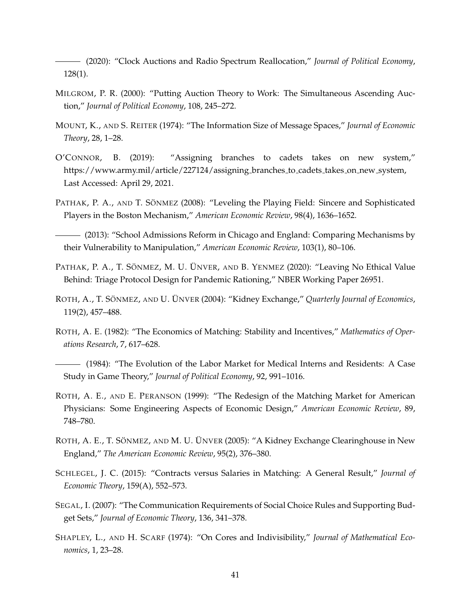<span id="page-40-11"></span>(2020): "Clock Auctions and Radio Spectrum Reallocation," *Journal of Political Economy*, 128(1).

- <span id="page-40-10"></span>MILGROM, P. R. (2000): "Putting Auction Theory to Work: The Simultaneous Ascending Auction," *Journal of Political Economy*, 108, 245–272.
- <span id="page-40-1"></span>MOUNT, K., AND S. REITER (1974): "The Information Size of Message Spaces," *Journal of Economic Theory*, 28, 1–28.
- <span id="page-40-6"></span>O'CONNOR, B. (2019): "Assigning branches to cadets takes on new system," https://www.army.mil/article/227124/assigning branches to cadets takes on new system, Last Accessed: April 29, 2021.
- <span id="page-40-4"></span>PATHAK, P. A., AND T. SÖNMEZ (2008): "Leveling the Playing Field: Sincere and Sophisticated Players in the Boston Mechanism," *American Economic Review*, 98(4), 1636–1652.

<span id="page-40-5"></span>(2013): "School Admissions Reform in Chicago and England: Comparing Mechanisms by their Vulnerability to Manipulation," *American Economic Review*, 103(1), 80–106.

- <span id="page-40-7"></span>PATHAK, P. A., T. SÖNMEZ, M. U. ÜNVER, AND B. YENMEZ (2020): "Leaving No Ethical Value Behind: Triage Protocol Design for Pandemic Rationing," NBER Working Paper 26951.
- <span id="page-40-13"></span>ROTH, A., T. SÖNMEZ, AND U. UNVER (2004): "Kidney Exchange," *Quarterly Journal of Economics*, 119(2), 457–488.
- <span id="page-40-8"></span>ROTH, A. E. (1982): "The Economics of Matching: Stability and Incentives," *Mathematics of Operations Research*, 7, 617–628.
- <span id="page-40-3"></span>(1984): "The Evolution of the Labor Market for Medical Interns and Residents: A Case Study in Game Theory," *Journal of Political Economy*, 92, 991–1016.
- <span id="page-40-9"></span>ROTH, A. E., AND E. PERANSON (1999): "The Redesign of the Matching Market for American Physicians: Some Engineering Aspects of Economic Design," *American Economic Review*, 89, 748–780.
- <span id="page-40-14"></span>ROTH, A. E., T. SÖNMEZ, AND M. U. ÜNVER (2005): "A Kidney Exchange Clearinghouse in New England," *The American Economic Review*, 95(2), 376–380.
- <span id="page-40-0"></span>SCHLEGEL, J. C. (2015): "Contracts versus Salaries in Matching: A General Result," *Journal of Economic Theory*, 159(A), 552–573.
- <span id="page-40-2"></span>SEGAL, I. (2007): "The Communication Requirements of Social Choice Rules and Supporting Budget Sets," *Journal of Economic Theory*, 136, 341–378.
- <span id="page-40-12"></span>SHAPLEY, L., AND H. SCARF (1974): "On Cores and Indivisibility," *Journal of Mathematical Economics*, 1, 23–28.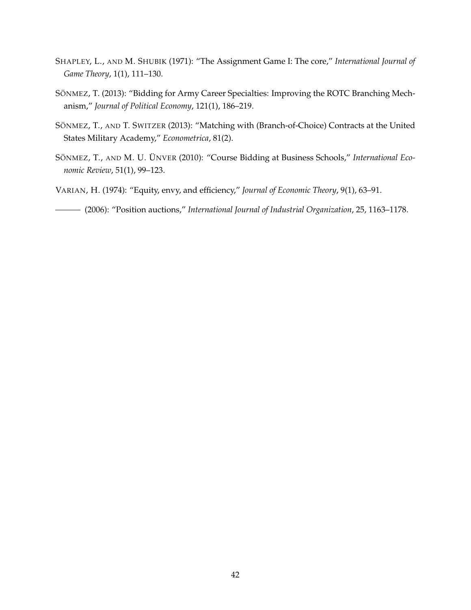- <span id="page-41-2"></span>SHAPLEY, L., AND M. SHUBIK (1971): "The Assignment Game I: The core," *International Journal of Game Theory*, 1(1), 111–130.
- <span id="page-41-1"></span>SÖNMEZ, T. (2013): "Bidding for Army Career Specialties: Improving the ROTC Branching Mechanism," *Journal of Political Economy*, 121(1), 186–219.
- <span id="page-41-0"></span>SÖNMEZ, T., AND T. SWITZER (2013): "Matching with (Branch-of-Choice) Contracts at the United States Military Academy," *Econometrica*, 81(2).
- <span id="page-41-5"></span>SÖNMEZ, T., AND M. U. ÜNVER (2010): "Course Bidding at Business Schools," International Eco*nomic Review*, 51(1), 99–123.
- <span id="page-41-4"></span>VARIAN, H. (1974): "Equity, envy, and efficiency," *Journal of Economic Theory*, 9(1), 63–91.
- <span id="page-41-3"></span>(2006): "Position auctions," *International Journal of Industrial Organization*, 25, 1163–1178.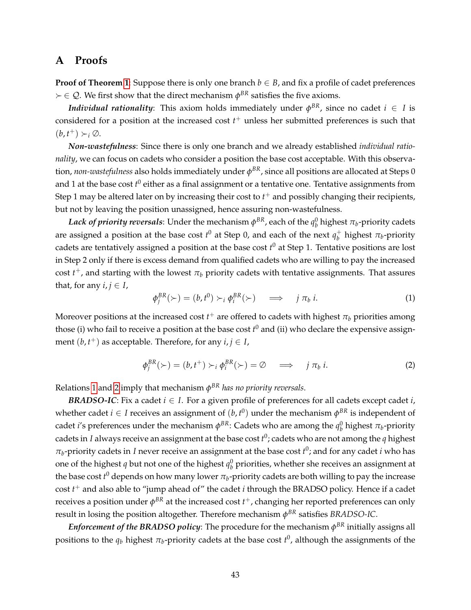# <span id="page-42-0"></span>**A Proofs**

**Proof of Theorem [1](#page-23-3)**: Suppose there is only one branch  $b \in B$ , and fix a profile of cadet preferences  $\succ \in \mathcal{Q}$ . We first show that the direct mechanism  $\phi^{BR}$  satisfies the five axioms.

*Individual rationality*: This axiom holds immediately under  $\phi^{BR}$ , since no cadet  $i~\in~ I$  is considered for a position at the increased cost *t* <sup>+</sup> unless her submitted preferences is such that  $(b, t^+) \succ_i \emptyset$ .

*Non-wastefulness*: Since there is only one branch and we already established *individual rationality*, we can focus on cadets who consider a position the base cost acceptable. With this observation*, non-wastefulness* also holds immediately under  $\phi^{BR}$ , since all positions are allocated at Steps 0 and 1 at the base cost  $t^0$  either as a final assignment or a tentative one. Tentative assignments from Step 1 may be altered later on by increasing their cost to *t* <sup>+</sup> and possibly changing their recipients, but not by leaving the position unassigned, hence assuring non-wastefulness.

 $Lack$  of priority reversals: Under the mechanism  $\phi^{BR}$ , each of the  $q_b^0$  highest  $\pi_b$ -priority cadets are assigned a position at the base cost  $t^0$  at Step 0, and each of the next  $q_h^+$  $\sigma_b^+$  highest  $\pi_b$ -priority cadets are tentatively assigned a position at the base cost *t* <sup>0</sup> at Step 1. Tentative positions are lost in Step 2 only if there is excess demand from qualified cadets who are willing to pay the increased  $\cos t$   $t^+$ , and starting with the lowest  $\pi_b$  priority cadets with tentative assignments. That assures that, for any  $i, j \in I$ ,

<span id="page-42-1"></span>
$$
\phi_j^{BR}(\succ) = (b, t^0) \succ_i \phi_i^{BR}(\succ) \quad \Longrightarrow \quad j \pi_b i. \tag{1}
$$

Moreover positions at the increased cost  $t^+$  are offered to cadets with highest  $\pi_b$  priorities among those (i) who fail to receive a position at the base cost *t* <sup>0</sup> and (ii) who declare the expensive assignment  $(b, t<sup>+</sup>)$  as acceptable. Therefore, for any  $i, j \in I$ ,

<span id="page-42-2"></span>
$$
\phi_j^{BR}(\succ) = (b, t^+) \succ_i \phi_i^{BR}(\succ) = \emptyset \implies j \pi_b i. \tag{2}
$$

Relations [1](#page-42-1) and [2](#page-42-2) imply that mechanism *φ BR has no priority reversals*.

*BRADSO-IC*: Fix a cadet  $i \in I$ . For a given profile of preferences for all cadets except cadet  $i$ , whether cadet  $i \in I$  receives an assignment of  $(b, t^0)$  under the mechanism  $\phi^{BR}$  is independent of cadet *i'*s preferences under the mechanism  $\phi^{BR}$ : Cadets who are among the  $q_b^0$  highest  $\pi_b$ -priority cadets in *I* always receive an assignment at the base cost *t* 0 ; cadets who are not among the *q* highest  $\pi_b$ -priority cadets in *I* never receive an assignment at the base cost  $t^0$ ; and for any cadet *i* who has one of the highest  $q$  but not one of the highest  $q_b^0$  priorities, whether she receives an assignment at the base cost  $t^0$  depends on how many lower  $\pi_b$ -priority cadets are both willing to pay the increase cost *t* <sup>+</sup> and also able to "jump ahead of" the cadet *i* through the BRADSO policy. Hence if a cadet  $\epsilon$ receives a position under  $\phi^{BR}$  at the increased cost  $t^+$ , changing her reported preferences can only result in losing the position altogether. Therefore mechanism  $\phi^{BR}$  satisfies  $BRADSO$ -IC.

 ${\it Enforcement~of~the~BRADSO~policy}$ : The procedure for the mechanism  $\phi^{BR}$  initially assigns all positions to the  $q_b$  highest  $\pi_b$ -priority cadets at the base cost  $t^0$ , although the assignments of the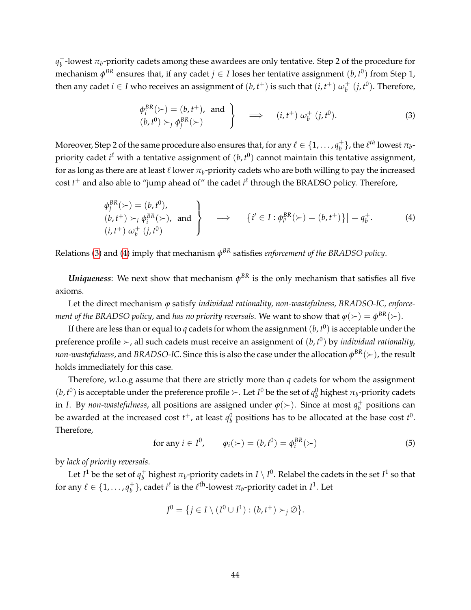$q_h^+$  $_b^+$ -lowest  $\pi_b$ -priority cadets among these awardees are only tentative. Step 2 of the procedure for mechanism  $\phi^{BR}$  ensures that, if any cadet  $j \in I$  loses her tentative assignment  $(b, t^0)$  from Step 1, then any cadet  $i \in I$  who receives an assignment of  $(b, t^+)$  is such that  $(i, t^+)$   $\omega_b^+$  $\frac{1}{b}$  (*j*, *t*<sup>0</sup>). Therefore,

<span id="page-43-0"></span>
$$
\begin{aligned}\n\phi_i^{BR}(\succ) &= (b, t^+), \text{ and } \\
(b, t^0) &> j \phi_j^{BR}(\succ)\n\end{aligned}\n\right\}\n\implies (i, t^+) \omega_b^+ (j, t^0).
$$
\n(3)

Moreover, Step 2 of the same procedure also ensures that, for any  $\ell \in \{1, \ldots, q_h^+\}$  $\left\{ \begin{matrix} t_{b} \end{matrix} \right\}$ , the  $\ell^{th}$  lowest  $\pi_{b}$ priority cadet  $i^{\ell}$  with a tentative assignment of  $(b, t^0)$  cannot maintain this tentative assignment, for as long as there are at least  $\ell$  lower  $\pi_b$ -priority cadets who are both willing to pay the increased  $\text{cost } t^+$  and also able to "jump ahead of" the cadet  $i^{\ell}$  through the BRADSO policy. Therefore,

<span id="page-43-1"></span>
$$
\begin{aligned}\n\phi_j^{BR}(\succ) &= (b, t^0), \\
(b, t^+) &\succ_i \phi_i^{BR}(\succ), \text{ and} \\
(i, t^+) \omega_b^+ (j, t^0)\n\end{aligned}\n\right\} \implies |\{i' \in I : \phi_{i'}^{BR}(\succ) = (b, t^+) \}| = q_b^+. \tag{4}
$$

Relations [\(3\)](#page-43-0) and [\(4\)](#page-43-1) imply that mechanism  $\phi^{BR}$  satisfies *enforcement of the BRADSO policy*.

*Uniqueness*: We next show that mechanism  $\phi^{BR}$  is the only mechanism that satisfies all five axioms.

Let the direct mechanism *ϕ* satisfy *individual rationality, non-wastefulness, BRADSO-IC, enforcement of the BRADSO policy,* and *has no priority reversals. W*e want to show that  $\varphi(\succ) = \phi^{BR}(\succ).$ 

If there are less than or equal to *q* cadets for whom the assignment (*b*, *t* 0 ) is acceptable under the preference profile  $\succ$ , all such cadets must receive an assignment of  $(b, t^0)$  by *individual rationality*, *non-wastefulness,* and *BRADSO-IC*. Since this is also the case under the allocation  $\phi^{BR}(\succ)$  , the result holds immediately for this case.

Therefore, w.l.o.g assume that there are strictly more than *q* cadets for whom the assignment  $(b, t^0)$  is acceptable under the preference profile  $\succ$ . Let  $I^0$  be the set of  $q_b^0$  highest  $\pi_b$ -priority cadets in *I*. By *non-wastefulness,* all positions are assigned under  $\varphi(\succ)$ . Since at most  $q_b^+$ *b* positions can be awarded at the increased cost  $t^+$ , at least  $q_b^0$  positions has to be allocated at the base cost  $t^0$ . Therefore,

<span id="page-43-2"></span>for any 
$$
i \in I^0
$$
,  $\varphi_i(\succ) = (b, t^0) = \varphi_i^{BR}(\succ)$  (5)

by *lack of priority reversals*.

Let  $I^1$  be the set of  $q_h^+$  $_b^+$  highest  $\pi_b$ -priority cadets in  $I\setminus I^0.$  Relabel the cadets in the set  $I^1$  so that for any  $\ell \in \{1, \ldots, q_h^+\}$  $\mathcal{L}_b^+$ }, cadet  $i^{\ell}$  is the  $\ell^{\text{th}}$ -lowest  $\pi_b$ -priority cadet in  $I^1$ . Let

$$
J^0 = \{ j \in I \setminus (I^0 \cup I^1) : (b, t^+) \succ_j \varnothing \}.
$$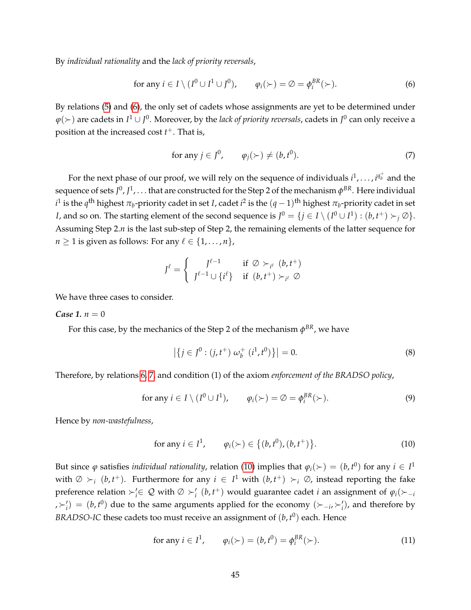By *individual rationality* and the *lack of priority reversals*,

<span id="page-44-0"></span>for any 
$$
i \in I \setminus (I^0 \cup I^1 \cup J^0)
$$
,  $\varphi_i(\succ) = \emptyset = \varphi_i^{BR}(\succ)$ . (6)

By relations [\(5\)](#page-43-2) and [\(6\)](#page-44-0), the only set of cadets whose assignments are yet to be determined under  $\varphi(\succ)$  are cadets in  $I^1\cup J^0.$  Moreover, by the *lack of priority reversals,* cadets in  $J^0$  can only receive a position at the increased cost *t* <sup>+</sup>. That is,

<span id="page-44-1"></span>for any 
$$
j \in J^0
$$
,  $\varphi_j(\succ) \neq (b, t^0)$ . (7)

For the next phase of our proof, we will rely on the sequence of individuals  $i^1, \ldots, i^{q_b^+}$  and the sequence of sets  $J^0$  ,  $J^1$  ,  $\ldots$  that are constructed for the Step 2 of the mechanism  $\phi^{BR}$  . Here individual  $i^1$  is the  $q^{\text{th}}$  highest  $\pi_b$ -priority cadet in set *I*, cadet  $i^2$  is the  $(q-1)^{\text{th}}$  highest  $\pi_b$ -priority cadet in set *I*, and so on. The starting element of the second sequence is  $J^0 = \{j \in I \setminus (I^0 \cup I^1) : (b, t^+) \succ_j \emptyset\}.$ Assuming Step 2.*n* is the last sub-step of Step 2, the remaining elements of the latter sequence for *n*  $\geq$  1 is given as follows: For any  $\ell \in \{1, \ldots, n\}$ ,

$$
J^{\ell} = \begin{cases} J^{\ell-1} & \text{if } \emptyset \succ_{i^{\ell}} (b, t^+) \\ J^{\ell-1} \cup \{i^{\ell}\} & \text{if } (b, t^+) \succ_{i^{\ell}} \emptyset \end{cases}
$$

We have three cases to consider.

#### *Case* 1.  $n = 0$

For this case, by the mechanics of the Step 2 of the mechanism  $\phi^{BR}$ , we have

$$
\left| \left\{ j \in J^0 : (j, t^+) \ \omega_b^+ \ (i^1, t^0) \right\} \right| = 0. \tag{8}
$$

Therefore, by relations [6,](#page-44-0) [7,](#page-44-1) and condition (1) of the axiom *enforcement of the BRADSO policy*,

for any 
$$
i \in I \setminus (I^0 \cup I^1)
$$
,  $\varphi_i(\succ) = \varnothing = \varphi_i^{BR}(\succ)$ . (9)

Hence by *non-wastefulness*,

<span id="page-44-2"></span>for any 
$$
i \in I^1
$$
,  $\varphi_i(\succ) \in \{(b, t^0), (b, t^+)\}$ . (10)

But since  $\varphi$  satisfies *individual rationality,* relation [\(10\)](#page-44-2) implies that  $\varphi_i(\succ) = (b, t^0)$  for any  $i \in I^1$ with  $\emptyset \succ_i (b, t^+)$ . Furthermore for any  $i \in I^1$  with  $(b, t^+) \succ_i \emptyset$ , instead reporting the fake preference relation  $\succ_i' \in Q$  with  $\emptyset \succ_i' (b, t^+)$  would guarantee cadet *i* an assignment of  $\varphi_i(\succ_{-i}$  $\lambda \succ_i'$  = (*b*, *t*<sup>0</sup>) due to the same arguments applied for the economy ( $\succ_{-i}$ ,  $\succ_i'$ ), and therefore by *BRADSO-IC* these cadets too must receive an assignment of  $(b, t^0)$  each. Hence

<span id="page-44-3"></span>for any 
$$
i \in I^1
$$
,  $\varphi_i(\succ) = (b, t^0) = \varphi_i^{BR}(\succ)$ . (11)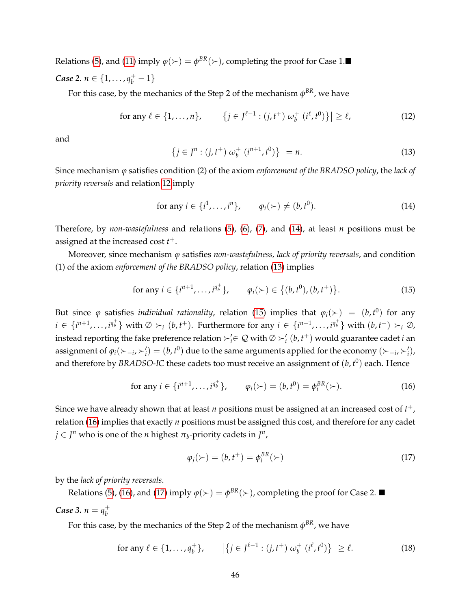Relations [\(5\)](#page-43-2), and [\(11\)](#page-44-3) imply  $\varphi(\succ) = \varphi^{BR}(\succ)$ , completing the proof for Case 1. *Case* 2.  $n \in \{1, ..., q_b^+ - 1\}$ 

For this case, by the mechanics of the Step 2 of the mechanism  $\phi^{BR}$ , we have

<span id="page-45-0"></span>for any 
$$
\ell \in \{1, ..., n\}
$$
,  $|\{j \in J^{\ell-1} : (j, t^+) \omega_b^+ (i^{\ell}, t^0)\}| \ge \ell$ , (12)

and

<span id="page-45-2"></span>
$$
\left| \left\{ j \in J^n : (j, t^+) \, \omega_b^+ \, \left( i^{n+1}, t^0 \right) \right\} \right| = n. \tag{13}
$$

Since mechanism *ϕ* satisfies condition (2) of the axiom *enforcement of the BRADSO policy*, the *lack of priority reversals* and relation [12](#page-45-0) imply

<span id="page-45-1"></span>for any 
$$
i \in \{i^1, \ldots, i^n\}
$$
,  $\varphi_i(\succ) \neq (b, t^0)$ . (14)

Therefore, by *non-wastefulness* and relations [\(5\)](#page-43-2), [\(6\)](#page-44-0), [\(7\)](#page-44-1), and [\(14\)](#page-45-1), at least *n* positions must be assigned at the increased cost *t* +.

Moreover, since mechanism *ϕ* satisfies *non-wastefulness, lack of priority reversals*, and condition (1) of the axiom *enforcement of the BRADSO policy*, relation [\(13\)](#page-45-2) implies

<span id="page-45-3"></span>for any 
$$
i \in \{i^{n+1}, \ldots, i^{q_v^+}\}, \qquad \varphi_i(\succ) \in \{(b, t^0), (b, t^+)\}.
$$
 (15)

But since  $\varphi$  satisfies *individual rationality*, relation [\(15\)](#page-45-3) implies that  $\varphi_i(\succ) = (b, t^0)$  for any  $i\in\{i^{n+1},\ldots,i^{q^+_b}\}$  with  $\emptyset\succ_i (b,t^+)$ . Furthermore for any  $i\in\{i^{n+1},\ldots,i^{q^+_b}\}$  with  $(b,t^+)\succ_i\emptyset$ , instead reporting the fake preference relation  $\succ'_i \in \mathcal{Q}$  with  $\emptyset \succ'_i (b, t^+)$  would guarantee cadet *i* an assignment of  $\varphi_i(\succ_{-i}, \succ'_i) = (b, t^0)$  due to the same arguments applied for the economy  $(\succ_{-i}, \succ'_i)$ , and therefore by *BRADSO-IC* these cadets too must receive an assignment of  $(b, t^0)$  each. Hence

<span id="page-45-4"></span>for any 
$$
i \in \{i^{n+1}, \ldots, i^{q_v^+}\},
$$
  $\varphi_i(\succ) = (b, t^0) = \varphi_i^{BR}(\succ).$  (16)

Since we have already shown that at least  $n$  positions must be assigned at an increased cost of  $t^+$  , relation [\(16\)](#page-45-4) implies that exactly *n* positions must be assigned this cost, and therefore for any cadet  $j \in J^n$  who is one of the *n* highest  $\pi_b$ -priority cadets in  $J^n$ ,

<span id="page-45-5"></span>
$$
\varphi_j(\succ) = (b, t^+) = \varphi_i^{BR}(\succ) \tag{17}
$$

by the *lack of priority reversals*.

Relations [\(5\)](#page-43-2), [\(16\)](#page-45-4), and [\(17\)](#page-45-5) imply  $\varphi(\succ) = \varphi^{BR}(\succ)$ , completing the proof for Case 2.

#### *Case* 3.  $n = q_h^+$ *b*

For this case, by the mechanics of the Step 2 of the mechanism  $\phi^{BR}$ , we have

<span id="page-45-6"></span>for any 
$$
\ell \in \{1, ..., q_b^+\}
$$
,  $|\{j \in J^{\ell-1} : (j, t^+) \omega_b^+ (i^{\ell}, t^0)\}| \ge \ell.$  (18)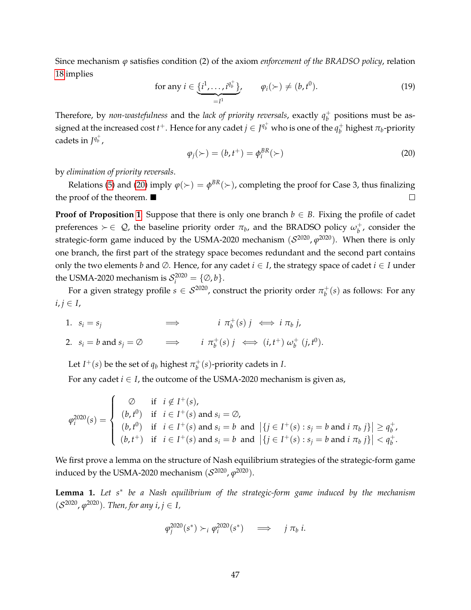Since mechanism *ϕ* satisfies condition (2) of the axiom *enforcement of the BRADSO policy*, relation [18](#page-45-6) implies

for any 
$$
i \in \underbrace{\{i^1,\ldots,i^{q_v^+}\}}_{=I^1}
$$
,  $\varphi_i(\succ) \neq (b,t^0)$ . (19)

Therefore, by *non-wastefulness* and the *lack of priority reversals*, exactly *q* +  $_b^+$  positions must be assigned at the increased cost  $t^+$ . Hence for any cadet  $j \in J^{q_b^+}$  who is one of the  $q_b^+$  $_b^+$  highest  $\pi_b$ -priority cadets in  $J^{q_b^+}$ ,

<span id="page-46-0"></span>
$$
\varphi_j(\succ) = (b, t^+) = \varphi_i^{BR}(\succ) \tag{20}
$$

by *elimination of priority reversals*.

Relations [\(5\)](#page-43-2) and [\(20\)](#page-46-0) imply  $\varphi(\succ) = \phi^{BR}(\succ)$ , completing the proof for Case 3, thus finalizing the proof of the theorem.  $\blacksquare$  $\Box$ 

**Proof of Proposition [1](#page-23-2):** Suppose that there is only one branch  $b \in B$ . Fixing the profile of cadet preferences  $\succ \in \mathcal{Q}$ , the baseline priority order  $\pi_b$ , and the BRADSO policy  $\omega_b^+$  $_b^+$ , consider the strategic-form game induced by the USMA-2020 mechanism  $(\mathcal{S}^{2020},\varphi^{2020})$ . When there is only one branch, the first part of the strategy space becomes redundant and the second part contains only the two elements *b* and  $\emptyset$ . Hence, for any cadet  $i \in I$ , the strategy space of cadet  $i \in I$  under the USMA-2020 mechanism is  $S_i^{2020} = \{\emptyset, b\}.$ 

For a given strategy profile  $s \in \mathcal{S}^{2020}$ , construct the priority order  $\pi_b^+$  $\frac{1}{b}(s)$  as follows: For any  $i, j \in I$ ,

1.  $s_i = s_j$   $\implies$  *i*  $\pi_b^+$  $\stackrel{+}{b}(s)$  *j*  $\iff$  *i*  $\pi_b$  *j*,

2. 
$$
s_i = b
$$
 and  $s_j = \emptyset$   $\implies$   $i \pi_b^+(s) j \iff (i, t^+) \omega_b^+(j, t^0)$ .

Let *I*<sup>+</sup>(*s*) be the set of  $q_b$  highest  $\pi_b^+$ *b* (*s*)-priority cadets in *I*.

For any cadet  $i \in I$ , the outcome of the USMA-2020 mechanism is given as,

$$
\varphi_i^{2020}(s) = \begin{cases}\n\varnothing & \text{if } i \notin I^+(s), \\
(b, t^0) & \text{if } i \in I^+(s) \text{ and } s_i = \varnothing, \\
(b, t^0) & \text{if } i \in I^+(s) \text{ and } s_i = b \text{ and } |\{j \in I^+(s) : s_j = b \text{ and } i \pi_b j\}| \ge q_b^+, \\
(b, t^+) & \text{if } i \in I^+(s) \text{ and } s_i = b \text{ and } |\{j \in I^+(s) : s_j = b \text{ and } i \pi_b j\}| < q_b^+.\n\end{cases}
$$

We first prove a lemma on the structure of Nash equilibrium strategies of the strategic-form game induced by the USMA-2020 mechanism  $(\mathcal{S}^{2020},\varphi^{2020}).$ 

<span id="page-46-1"></span>**Lemma 1.** *Let s*<sup>∗</sup> *be a Nash equilibrium of the strategic-form game induced by the mechanism*  $(S^{2020}, \varphi^{2020})$ . Then, for any  $i, j \in I$ ,

$$
\varphi_j^{2020}(s^*) \succ_i \varphi_i^{2020}(s^*) \quad \Longrightarrow \quad j \pi_b \ i.
$$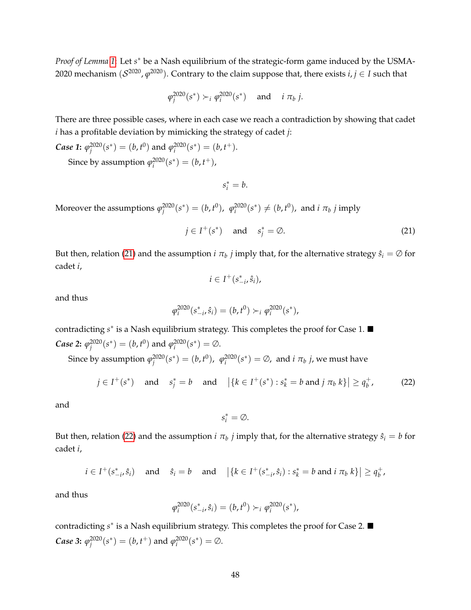*Proof of Lemma* [1](#page-46-1): Let *s*<sup>\*</sup> be a Nash equilibrium of the strategic-form game induced by the USMA-2020 mechanism  $(\mathcal{S}^{2020}, \varphi^{2020}).$  Contrary to the claim suppose that, there exists  $i,j \in I$  such that

$$
\varphi_j^{2020}(s^*) \succ_i \varphi_i^{2020}(s^*) \quad \text{and} \quad i \pi_b j.
$$

There are three possible cases, where in each case we reach a contradiction by showing that cadet *i* has a profitable deviation by mimicking the strategy of cadet *j*:

*Case 1*:  $\varphi_j^{2020}(s^*) = (b, t^0)$  and  $\varphi_i^{2020}(s^*) = (b, t^+)$ . Since by assumption  $\varphi_i^{2020}(s^*) = (b, t^+),$ 

 $s_i^* = b$ .

Moreover the assumptions  $\varphi_j^{2020}(s^*) = (b, t^0)$ ,  $\varphi_i^{2020}(s^*) \neq (b, t^0)$ , and *i*  $\pi_b$  *j* imply

<span id="page-47-0"></span>
$$
j \in I^+(s^*) \quad \text{and} \quad s_j^* = \emptyset. \tag{21}
$$

But then, relation [\(21\)](#page-47-0) and the assumption  $i\pi_b$   $j$  imply that, for the alternative strategy  $\hat{s}_i = \varnothing$  for cadet *i*,

$$
i\in I^+(s_{-i}^*,\hat{s}_i),
$$

and thus

$$
\varphi_i^{2020}(s_{-i}^*, \hat{s}_i) = (b, t^0) \succ_i \varphi_i^{2020}(s^*),
$$

contradicting *s*<sup>\*</sup> is a Nash equilibrium strategy. This completes the proof for Case 1. ■ *Case* 2:  $\varphi_j^{2020}(s^*) = (b, t^0)$  and  $\varphi_i^{2020}(s^*) = \emptyset$ .

Since by assumption  $\varphi_j^{2020}(s^*) = (b, t^0)$ ,  $\varphi_i^{2020}(s^*) = \varnothing$ , and *i*  $\pi_b$  *j*, we must have

<span id="page-47-1"></span>
$$
j \in I^+(s^*)
$$
 and  $s_j^* = b$  and  $|\{k \in I^+(s^*) : s_k^* = b \text{ and } j \pi_b k\}| \ge q_b^+$ , (22)

and

 $s_i^* = \emptyset$ .

But then, relation [\(22\)](#page-47-1) and the assumption  $i \pi_b$   $j$  imply that, for the alternative strategy  $\hat{s}_i = b$  for cadet *i*,

$$
i \in I^+(s_{-i}^*, \hat{s}_i) \quad \text{and} \quad \hat{s}_i = b \quad \text{and} \quad \left| \{ k \in I^+(s_{-i}^*, \hat{s}_i) : s_k^* = b \text{ and } i \pi_b k \} \right| \ge q_b^+,
$$

and thus

$$
\varphi_i^{2020}(s_{-i}^*, \hat{s}_i) = (b, t^0) \succ_i \varphi_i^{2020}(s^*),
$$

contradicting *s*<sup>\*</sup> is a Nash equilibrium strategy. This completes the proof for Case 2. ■ *Case* 3:  $\varphi_j^{2020}(s^*) = (b, t^+)$  and  $\varphi_i^{2020}(s^*) = \emptyset$ .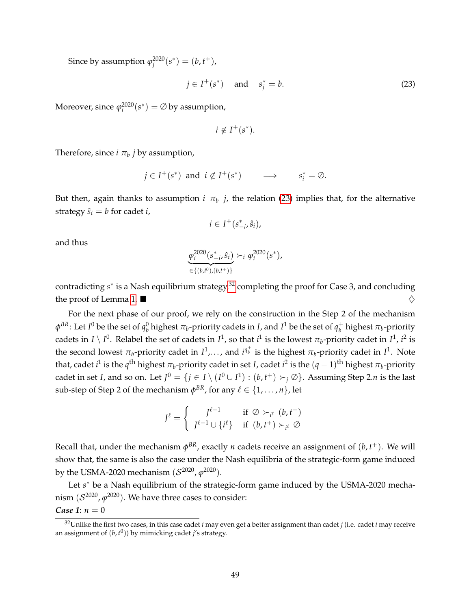Since by assumption  $\varphi_j^{2020}(s^*) = (b, t^+),$ 

<span id="page-48-0"></span>
$$
j \in I^+(s^*) \quad \text{and} \quad s_j^* = b. \tag{23}
$$

Moreover, since  $\varphi_i^{2020}(s^*) = \emptyset$  by assumption,

$$
i \notin I^+(s^*).
$$

Therefore, since  $i \pi_b$   $j$  by assumption,

$$
j \in I^+(s^*)
$$
 and  $i \notin I^+(s^*)$   $\implies$   $s_i^* = \emptyset$ .

But then, again thanks to assumption  $i$   $\pi_b$   $j$ , the relation [\(23\)](#page-48-0) implies that, for the alternative strategy  $\hat{s}_i = b$  for cadet *i*,

$$
i\in I^+(s_{-i}^*,\hat{s}_i),
$$

and thus

$$
\frac{\varphi_i^{2020}(s_{-i}^*, \hat{s}_i)}{\in \{(b, t^0), (b, t^+)\}}
$$
  $\succ_i \varphi_i^{2020}(s^*),$ 

contradicting *s*<sup>\*</sup> is a Nash equilibrium strategy,<sup>[32](#page-48-1)</sup> completing the proof for Case 3, and concluding the proof of Lemma [1.](#page-46-1)  $\blacksquare$ 

For the next phase of our proof, we rely on the construction in the Step 2 of the mechanism  $\phi^{BR}$ : Let *I*<sup>0</sup> be the set of  $q_b^0$  highest  $\pi_b$ -priority cadets in *I*, and *I*<sup>1</sup> be the set of  $q_b^+$  $_b^+$  highest  $\pi_b$ -priority cadets in  $I \setminus I^0$ . Relabel the set of cadets in  $I^1$ , so that  $i^1$  is the lowest  $\pi_b$ -priority cadet in  $I^1$ ,  $i^2$  is the second lowest  $\pi_b$ -priority cadet in  $I^1$ ,..., and  $i^{q^+_b}$  is the highest  $\pi_b$ -priority cadet in  $I^1$ . Note that, cadet  $i^1$  is the  $q^{\text{th}}$  highest  $\pi_b$ -priority cadet in set *I*, cadet  $i^2$  is the  $(q-1)^{\text{th}}$  highest  $\pi_b$ -priority cadet in set *I*, and so on. Let  $J^0 = \{j \in I \setminus (I^0 \cup I^1) : (b, t^+) \succ_j \varnothing\}$ . Assuming Step 2.*n* is the last  $\text{sub-step of Step 2 of the mechanism } \phi^{BR}$ , for any  $\ell \in \{1, \ldots, n\}$ , let

$$
J^{\ell} = \begin{cases} J^{\ell-1} & \text{if } \oslash \succ_{i^{\ell}} (b, t^+) \\ J^{\ell-1} \cup \{i^{\ell}\} & \text{if } (b, t^+) \succ_{i^{\ell}} \oslash \end{cases}
$$

Recall that, under the mechanism  $\phi^{BR}$ , exactly *n* cadets receive an assignment of  $(b, t^+)$ . We will show that, the same is also the case under the Nash equilibria of the strategic-form game induced by the USMA-2020 mechanism  $(\mathcal{S}^{2020}, \varphi^{2020}).$ 

Let *s*<sup>\*</sup> be a Nash equilibrium of the strategic-form game induced by the USMA-2020 mechanism  $(\mathcal{S}^{2020},\varphi^{2020}).$  We have three cases to consider: *Case* 1:  $n = 0$ 

<span id="page-48-1"></span>

<sup>32</sup>Unlike the first two cases, in this case cadet *i* may even get a better assignment than cadet *j* (i.e. cadet *i* may receive an assignment of (*b*, *t* 0 )) by mimicking cadet *j*'s strategy.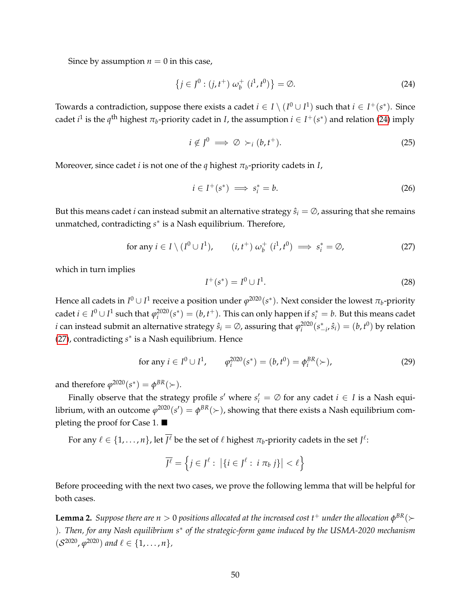Since by assumption  $n = 0$  in this case,

<span id="page-49-0"></span>
$$
\{j \in J^0 : (j, t^+) \omega_b^+ (i^1, t^0) \} = \emptyset.
$$
 (24)

Towards a contradiction, suppose there exists a cadet  $i \in I \setminus (I^0 \cup I^1)$  such that  $i \in I^+(s^*)$ . Since cadet  $i^1$  is the  $q^{\text{th}}$  highest  $\pi_b$ -priority cadet in *I*, the assumption  $i \in I^+(s^*)$  and relation [\(24\)](#page-49-0) imply

$$
i \notin J^0 \implies \emptyset \succ_i (b, t^+). \tag{25}
$$

Moreover, since cadet *i* is not one of the *q* highest *π<sup>b</sup>* -priority cadets in *I*,

$$
i \in I^+(s^*) \implies s_i^* = b. \tag{26}
$$

But this means cadet *i* can instead submit an alternative strategy  $\hat{s}_i = \emptyset$ , assuring that she remains unmatched, contradicting *s* ∗ is a Nash equilibrium. Therefore,

<span id="page-49-1"></span>for any 
$$
i \in I \setminus (I^0 \cup I^1)
$$
,  $(i, t^+) \omega_b^+ (i^1, t^0) \implies s_i^* = \emptyset$ , (27)

which in turn implies

$$
I^+(s^*) = I^0 \cup I^1. \tag{28}
$$

Hence all cadets in  $I^0\cup I^1$  receive a position under  $\varphi^{2020}(s^*)$ . Next consider the lowest  $\pi_b$ -priority  $\text{cadet } i \in I^0 \cup I^1 \text{ such that } \varphi_i^{2020}(s^*) = (b, t^+). \text{ This can only happen if } s_i^* = b. \text{ But this means } \text{cadet}$ *i* can instead submit an alternative strategy  $\hat{s}_i = \emptyset$ , assuring that  $\varphi_i^{2020}(s_{-i}^*,\hat{s}_i)=(b,t^0)$  by relation [\(27\)](#page-49-1), contradicting *s* ∗ is a Nash equilibrium. Hence

for any 
$$
i \in I^0 \cup I^1
$$
,  $\varphi_i^{2020}(s^*) = (b, t^0) = \varphi_i^{BR}(\succ)$ , (29)

and therefore  $\varphi^{2020}(s^*) = \varphi^{BR}(\succ).$ 

Finally observe that the strategy profile *s'* where  $s_i' = \emptyset$  for any cadet  $i \in I$  is a Nash equilibrium, with an outcome  $\varphi^{2020}(s')=\phi^{BR}(\succ)$ , showing that there exists a Nash equilibrium completing the proof for Case 1. ■

For any  $\ell \in \{1,\ldots,n\}$ , let  $\overline{f^\ell}$  be the set of  $\ell$  highest  $\pi_b$ -priority cadets in the set  $f^\ell$ :

$$
\overline{J^{\ell}} = \left\{ j \in J^{\ell} : \left| \{ i \in J^{\ell} : i \pi_b j \} \right| < \ell \right\}
$$

Before proceeding with the next two cases, we prove the following lemma that will be helpful for both cases.

<span id="page-49-2"></span> ${\tt Lemma~2.}$  *Suppose there are*  $n>0$  *positions allocated at the increased cost t* $^+$  *under the allocation*  $\phi^{BR}(\succ)$ )*. Then, for any Nash equilibrium s*<sup>∗</sup> *of the strategic-form game induced by the USMA-2020 mechanism*  $(S^{2020}, \varphi^{2020})$  and  $\ell \in \{1, \ldots, n\}$ ,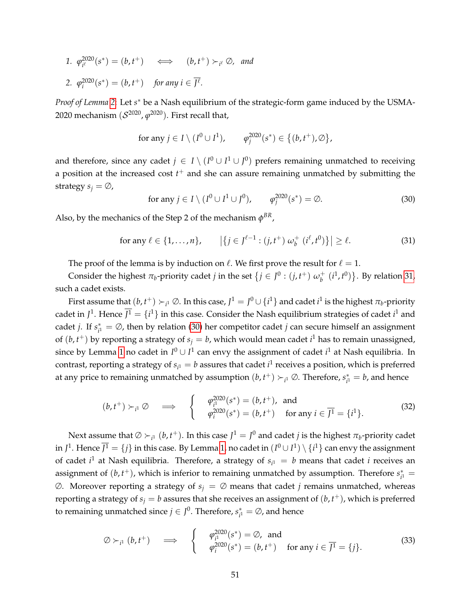*1. ϕ* 2020  $\overline{f}_{i}^{2(220)}(s^*) = (b, t^+) \quad \Longleftrightarrow \quad (b, t^+) \succ_{i^{\ell}} \varnothing$ , and 2.  $\varphi_i^{2020}(s^*) = (b, t^+) \text{ for any } i \in \overline{J^{\ell}}.$ 

*Proof of Lemma* [2](#page-49-2): Let *s*<sup>\*</sup> be a Nash equilibrium of the strategic-form game induced by the USMA-2020 mechanism (S 2020 , *ϕ* <sup>2020</sup>). First recall that,

for any 
$$
j \in I \setminus (I^0 \cup I^1)
$$
,  $\varphi_j^{2020}(s^*) \in \{(b, t^+), \emptyset\}$ ,

and therefore, since any cadet  $j \in I \setminus (I^0 \cup I^1 \cup J^0)$  prefers remaining unmatched to receiving a position at the increased cost *t* <sup>+</sup> and she can assure remaining unmatched by submitting the strategy  $s_i = \emptyset$ ,

<span id="page-50-1"></span>for any 
$$
j \in I \setminus (I^0 \cup I^1 \cup J^0)
$$
,  $\varphi_j^{2020}(s^*) = \emptyset$ . (30)

Also, by the mechanics of the Step 2 of the mechanism  $\phi^{BR}$ ,

<span id="page-50-0"></span>for any 
$$
\ell \in \{1, ..., n\}
$$
,  $|\{j \in J^{\ell-1} : (j, t^+) \omega_b^+ (i^{\ell}, t^0)\}| \ge \ell$ . (31)

The proof of the lemma is by induction on  $\ell$ . We first prove the result for  $\ell = 1$ .

Consider the highest  $\pi_b$ -priority cadet *j* in the set  $\{j \in J^0 : (j, t^+) \omega_b^+\}$  $\{i^{\text{1}}\!, t^{\text{0}}\}$ . By relation [31,](#page-50-0) such a cadet exists.

First assume that  $(b, t^+) \succ_{i^1} \emptyset$ . In this case,  $J^1 = J^0 \cup \{i^1\}$  and cadet  $i^1$  is the highest  $\pi_b$ -priority cadet in  $J^1$ . Hence  $J^1 = \{i^1\}$  in this case. Consider the Nash equilibrium strategies of cadet  $i^1$  and cadet *j*. If *s* ∗  $\mathbf{f}_{i}^* = \emptyset$ , then by relation [\(30\)](#page-50-1) her competitor cadet *j* can secure himself an assignment of  $(b, t<sup>+</sup>)$  by reporting a strategy of  $s<sub>j</sub> = b$ , which would mean cadet  $i<sup>1</sup>$  has to remain unassigned, since by Lemma [1](#page-46-1) no cadet in  $I^0 \cup I^1$  can envy the assignment of cadet  $i^1$  at Nash equilibria. In contrast, reporting a strategy of  $s_{i^1} = b$  assures that cadet  $i^1$  receives a position, which is preferred at any price to remaining unmatched by assumption  $(b, t^+) \succ_{i^1} \emptyset$ . Therefore,  $s^*_{i^1}$  $\chi^*_{i^1} = b$ , and hence

<span id="page-50-2"></span>
$$
(b, t^+) \succ_{i^1} \varnothing \quad \Longrightarrow \quad \left\{ \quad \begin{array}{l} \varphi_{i^1}^{2020}(s^*) = (b, t^+), \text{ and} \\ \varphi_{i^1}^{2020}(s^*) = (b, t^+) \quad \text{for any } i \in \overline{J^1} = \{i^1\}. \end{array} \right. \tag{32}
$$

Next assume that  $\varnothing \succ_{i^1} (b, t^+).$  In this case  $J^1 = J^0$  and cadet *j* is the highest  $\pi_b$ -priority cadet in  $J^1.$  Hence  $J^1=\{j\}$  in this case. By Lemma [1,](#page-46-1) no cadet in  $(I^0\cup I^1)\setminus\{i^1\}$  can envy the assignment of cadet  $i^1$  at Nash equilibria. Therefore, a strategy of  $s_{i^1} = b$  means that cadet *i* receives an assignment of  $(b, t<sup>+</sup>)$ , which is inferior to remaining unmatched by assumption. Therefore  $s<sub>i</sub><sup>*</sup>$  $i^*$  =  $\emptyset$ . Moreover reporting a strategy of  $s_j = \emptyset$  means that cadet *j* remains unmatched, whereas reporting a strategy of  $s_j = b$  assures that she receives an assignment of  $(b, t^+)$ , which is preferred to remaining unmatched since  $j \in J^0$ . Therefore,  $s_{j1}^*$  $\chi^*_{i^1} = \emptyset$ , and hence

<span id="page-50-3"></span>
$$
\emptyset \succ_{i^1} (b, t^+) \quad \Longrightarrow \quad \left\{ \begin{array}{cl} \varphi_{i^1}^{2020}(s^*) = \emptyset, \text{ and} \\ \varphi_{i^1}^{2020}(s^*) = (b, t^+) \quad \text{for any } i \in \overline{J^1} = \{j\}. \end{array} \right. \tag{33}
$$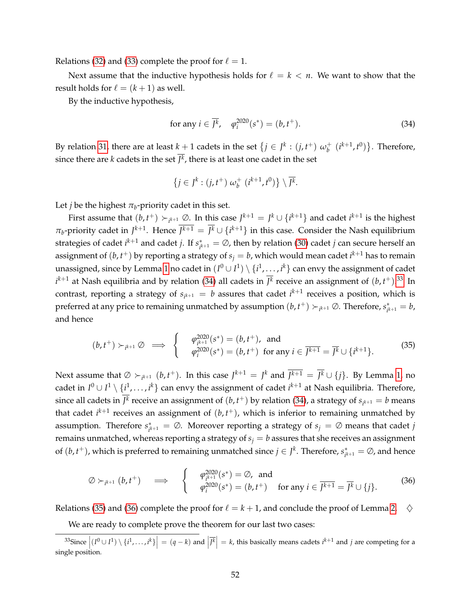Relations [\(32\)](#page-50-2) and [\(33\)](#page-50-3) complete the proof for  $\ell = 1$ .

Next assume that the inductive hypothesis holds for  $\ell = k < n$ . We want to show that the result holds for  $\ell = (k + 1)$  as well.

By the inductive hypothesis,

<span id="page-51-0"></span>for any 
$$
i \in \overline{J^k}
$$
,  $\varphi_i^{2020}(s^*) = (b, t^+)$ . (34)

By relation [31,](#page-50-0) there are at least  $k + 1$  cadets in the set  $\{j \in J^k : (j, t^+) \omega_b^+\}$  $\{i^{k+1}, t^0\}$ . Therefore, since there are  $k$  cadets in the set  $J^k$ , there is at least one cadet in the set

$$
\{j\in J^k:(j,t^+)\,\omega_b^+\;(i^{k+1},t^0)\}\setminus\overline{J^k}.
$$

Let *j* be the highest  $\pi_b$ -priority cadet in this set.

First assume that  $(b, t^+) \succ_{i^{k+1}} \varnothing$ . In this case  $J^{k+1} = J^k \cup \{i^{k+1}\}$  and cadet  $i^{k+1}$  is the highest  $\pi_b$ -priority cadet in  $J^{k+1}$ . Hence  $\overline{J^{k+1}} = \overline{J^k} \cup \{i^{k+1}\}\$ in this case. Consider the Nash equilibrium strategies of cadet  $i^{k+1}$  and cadet *j*. If  $s_{ik}^*$  $i_{jk+1}^* = \emptyset$ , then by relation [\(30\)](#page-50-1) cadet *j* can secure herself an assignment of  $(b, t^+)$  by reporting a strategy of  $s_j = b$ , which would mean cadet  $i^{k+1}$  has to remain unassigned, since by Lemma [1](#page-46-1) no cadet in  $(I^0\cup I^1)\setminus\{i^1,\ldots,i^k\}$  can envy the assignment of cadet  $i^{k+1}$  at Nash equilibria and by relation [\(34\)](#page-51-0) all cadets in  $\overline{J^k}$  receive an assignment of  $(b, t^+).^{33}$  $(b, t^+).^{33}$  $(b, t^+).^{33}$  In contrast, reporting a strategy of  $s_{i^{k+1}} = b$  assures that cadet  $i^{k+1}$  receives a position, which is preferred at any price to remaining unmatched by assumption  $(b, t^+) \succ_{i^{k+1}} \emptyset$ . Therefore,  $s_{i^k}^*$  $a_{i^{k+1}}^* = b$ , and hence

<span id="page-51-2"></span>
$$
(b, t^+) \succ_{i^{k+1}} \varnothing \implies \begin{cases} \varphi_{i^{k+1}}^{2020}(s^*) = (b, t^+), \text{ and} \\ \varphi_i^{2020}(s^*) = (b, t^+) \text{ for any } i \in \overline{J^{k+1}} = \overline{J^k} \cup \{i^{k+1}\}. \end{cases} (35)
$$

Next assume that  $\emptyset \succ_{i^{k+1}} (b, t^+)$ . In this case  $J^{k+1} = J^k$  and  $\overline{J^{k+1}} = \overline{J^k} \cup \{j\}$ . By Lemma [1,](#page-46-1) no cadet in  $I^0 \cup I^1 \setminus \{i^1,\ldots,i^k\}$  can envy the assignment of cadet  $i^{k+1}$  at Nash equilibria. Therefore, since all cadets in  $\overline{J^k}$  receive an assignment of  $(b, t^+)$  by relation [\(34\)](#page-51-0), a strategy of  $s_{i^{k+1}} = b$  means that cadet  $i^{k+1}$  receives an assignment of  $(b, t^{+})$ , which is inferior to remaining unmatched by assumption. Therefore *s* ∗  $i_{jk+1}^* = \emptyset$ . Moreover reporting a strategy of  $s_j = \emptyset$  means that cadet *j* remains unmatched, whereas reporting a strategy of  $s_j = b$  assures that she receives an assignment of  $(b, t<sup>+</sup>)$ , which is preferred to remaining unmatched since  $j \in J<sup>k</sup>$ . Therefore,  $s<sup>*</sup><sub>i</sub>$  $\chi^*_{i^{k+1}} = \emptyset$ , and hence

<span id="page-51-3"></span>
$$
\emptyset \succ_{i^{k+1}} (b, t^+) \quad \Longrightarrow \quad \left\{ \begin{array}{ll} \varphi_{i^{k+1}}^{2020}(s^*) = \emptyset, \text{ and} \\ \varphi_i^{2020}(s^*) = (b, t^+) \quad \text{for any } i \in \overline{J^{k+1}} = \overline{J^k} \cup \{j\}. \end{array} \right. \tag{36}
$$

Relations [\(35\)](#page-51-2) and [\(36\)](#page-51-3) complete the proof for  $\ell = k + 1$ , and conclude the proof of Lemma [2.](#page-49-2)  $\diamondsuit$ 

<span id="page-51-1"></span>We are ready to complete prove the theorem for our last two cases:

<sup>&</sup>lt;sup>33</sup>Since  $|(I^0 \cup I^1) \setminus \{i^1, \ldots, i^k\}| = (q - k)$  and  $|\overline{f^k}| = k$ , this basically means cadets  $i^{k+1}$  and  $j$  are competing for a single position.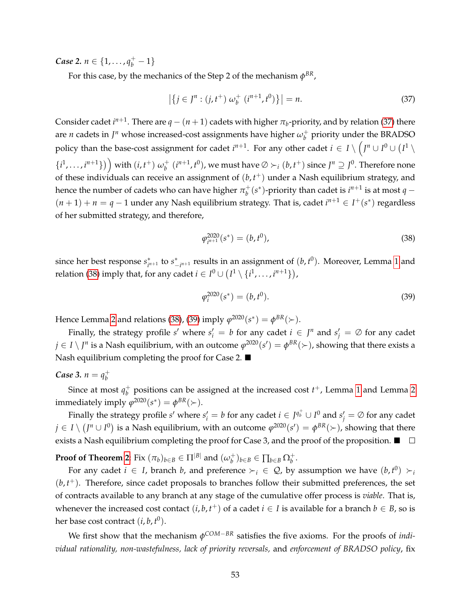*Case* 2.  $n \in \{1, ..., q_b^+ - 1\}$ 

For this case, by the mechanics of the Step 2 of the mechanism  $\phi^{BR}$ ,

<span id="page-52-0"></span>
$$
\left| \left\{ j \in J^n : (j, t^+) \, \omega_b^+ \, \left( i^{n+1}, t^0 \right) \right\} \right| = n. \tag{37}
$$

Consider cadet  $i^{n+1}$ . There are  $q - (n+1)$  cadets with higher  $\pi_b$ -priority, and by relation [\(37\)](#page-52-0) there are *n* cadets in  $J^n$  whose increased-cost assignments have higher  $\omega_h^+$  $_b^+$  priority under the BRADSO policy than the base-cost assignment for cadet  $i^{n+1}$ . For any other cadet  $i \in I \setminus (J^n \cup I^0 \cup (I^1 \setminus I^n))$  $\{i^1, \ldots, i^{n+1}\}\)$  with  $(i, t^+)$   $\omega_b^+$  $\phi_b^+$   $(i^{n+1}, t^0)$ , we must have  $\emptyset \succ_i (b, t^+)$  since  $J^n \supseteq J^0$ . Therefore none of these individuals can receive an assignment of (*b*, *t* <sup>+</sup>) under a Nash equilibrium strategy, and hence the number of cadets who can have higher  $\pi^+_b$  $\frac{1}{b}$ <sup>(</sup>s<sup>\*</sup>)-priority than cadet is *i*<sup>n+1</sup> is at most *q* −  $(n+1) + n = q - 1$  under any Nash equilibrium strategy. That is, cadet  $i^{n+1} \in I^+(s^*)$  regardless of her submitted strategy, and therefore,

<span id="page-52-1"></span>
$$
\varphi_{i^{n+1}}^{2020}(s^*) = (b, t^0),\tag{38}
$$

since her best response *s* ∗  $\int_{i^{n+1}}^{*}$  to  $s_{-}^{*}$  $\int_{-i^{n+1}}^{\infty}$  results in an assignment of  $(b, t^0)$ . Moreover, Lemma [1](#page-46-1) and relation [\(38\)](#page-52-1) imply that, for any cadet  $i \in I^0 \cup \left(I^1 \setminus \{i^1, \ldots, i^{n+1}\}\right)$ ,

<span id="page-52-2"></span>
$$
\varphi_i^{2020}(s^*) = (b, t^0). \tag{39}
$$

Hence Lemma [2](#page-49-2) and relations [\(38\)](#page-52-1), [\(39\)](#page-52-2) imply  $\varphi^{2020}(s^*) = \varphi^{BR}(\succ)$ .

Finally, the strategy profile *s'* where  $s'_i = b$  for any cadet  $i \in J^n$  and  $s'_j = \emptyset$  for any cadet  $j\in I\setminus J^n$  is a Nash equilibrium, with an outcome  $\varphi^{2020}(s')=\varphi^{BR}(\succ)$ , showing that there exists a Nash equilibrium completing the proof for Case 2. ■

#### *Case* 3.  $n = q_h^+$ *b*

Since at most  $q_h^+$  $_b^+$  positions can be assigned at the increased cost  $t^+$ , Lemma [1](#page-46-1) and Lemma [2](#page-49-2) immediately imply  $\varphi^{2020}(s^*) = \varphi^{BR}(\succ)$ .

Finally the strategy profile  $s'$  where  $s'_i = b$  for any cadet  $i \in J^{q^+_b} \cup I^0$  and  $s'_j = \varnothing$  for any cadet  $j\in I\setminus (J^n\cup I^0)$  is a Nash equilibrium, with an outcome  $\varphi^{2020}(s')=\varphi^{BR}(\succ)$ , showing that there exists a Nash equilibrium completing the proof for Case 3, and the proof of the proposition.  $\blacksquare$ 

**Proof of Theorem [2](#page-31-0)**: Fix  $(\pi_b)_{b \in B} \in \Pi^{|B|}$  and  $(\omega_b^+)$  $\binom{+}{b}$ *b*∈*B* ∈ ∏*b*∈*B* Ω<sup> $+$ </sup><sub>*b*</sub>.

For any cadet  $i \in I$ , branch *b*, and preference  $\succ_i \in \mathcal{Q}$ , by assumption we have  $(b, t^0) \succ_i$  $(b, t<sup>+</sup>)$ . Therefore, since cadet proposals to branches follow their submitted preferences, the set of contracts available to any branch at any stage of the cumulative offer process is *viable*. That is, whenever the increased cost contact  $(i, b, t^+)$  of a cadet  $i \in I$  is available for a branch  $b \in B$ , so is her base cost contract  $(i, b, t^0)$ .

We first show that the mechanism *φ COM*−*BR* satisfies the five axioms. For the proofs of *individual rationality, non-wastefulness, lack of priority reversals,* and *enforcement of BRADSO policy*, fix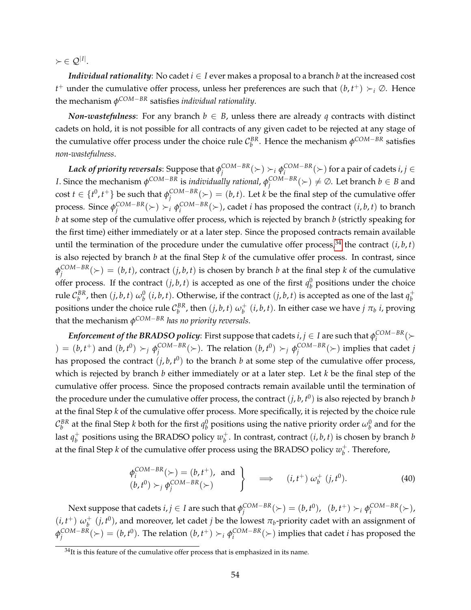$\succ \in \mathcal{Q}^{|I|}.$ 

*Individual rationality*: No cadet  $i \in I$  ever makes a proposal to a branch  $b$  at the increased cost *t*<sup>+</sup> under the cumulative offer process, unless her preferences are such that  $(b, t^+) \succ_i \emptyset$ . Hence the mechanism *φ COM*−*BR* satisfies *individual rationality*.

*Non-wastefulness*: For any branch  $b \in B$ , unless there are already q contracts with distinct cadets on hold, it is not possible for all contracts of any given cadet to be rejected at any stage of the cumulative offer process under the choice rule  $C_b^{BR}$ . Hence the mechanism  $\phi^{COM-BR}$  satisfies *non-wastefulness*.

*Lack of priority reversals*: Suppose that *φ COM*−*BR*  $\binom{COM-BR}{j}$   $\succ_i$   $\phi_i^{COM-BR}$  $\binom{COM-BK}{i}$  for a pair of cadets *i*, *j* ∈ *I*. Since the mechanism *φ COM*−*BR* is *individually rational*, *φ COM*−*BR*  $\binom{COM-BR}{j} \neq \emptyset$ . Let branch  $b \in B$  and cost  $t \in \{t^0, t^+\}$  be such that  $\phi_i^{\text{COM}-\text{BR}}$  $\binom{COM-BR}{j}$   $\geq$   $(b, t)$ . Let *k* be the final step of the cumulative offer process. Since *φ COM*−*BR*  $\binom{COM-BR}{j}$   $\succ_i$   $\phi_i^{COM-BR}$  $\binom{COM-BR}{i}$   $\succ$ ), cadet *i* has proposed the contract  $(i, b, t)$  to branch *b* at some step of the cumulative offer process, which is rejected by branch *b* (strictly speaking for the first time) either immediately or at a later step. Since the proposed contracts remain available until the termination of the procedure under the cumulative offer process,<sup>[34](#page-53-0)</sup> the contract  $(i, b, t)$ is also rejected by branch *b* at the final Step *k* of the cumulative offer process. In contrast, since *φ COM*−*BR*  $J_j^{COM-BR}(\succ) = (b, t)$ , contract  $(j, b, t)$  is chosen by branch *b* at the final step *k* of the cumulative offer process. If the contract  $(j, b, t)$  is accepted as one of the first  $q_b^0$  positions under the choice rule  $C_b^{BR}$ , then  $(j, b, t)$   $\omega_b^0$   $(i, b, t)$ . Otherwise, if the contract  $(j, b, t)$  is accepted as one of the last  $q_b^+$ *b* positions under the choice rule  $\mathcal{C}_b^{BR}$ , then  $(j, b, t) \omega_b^+$  $\frac{1}{b}$   $(i, b, t)$ . In either case we have  $j$   $\pi_b$   $i$ , proving that the mechanism *φ COM*−*BR has no priority reversals*.

 ${\it Entor cement}$  *of the BRADSO policy*: First suppose that cadets  $i,j \in I$  are such that  $\phi_i^{\text{COM-BR}}$ COM−BR<sub>(</sub>≻  $) = (b, t^+)$  and  $(b, t^0) \succ_j \phi_i^{\text{COM-BR}}$  $\varphi_j^{COM-BR}(\succ)$ . The relation  $(b, t^0) \succ_j \phi_j^{COM-BR}$  $\binom{COM-BR}{j}$  implies that cadet *j* has proposed the contract  $(j, b, t^0)$  to the branch  $b$  at some step of the cumulative offer process, which is rejected by branch *b* either immediately or at a later step. Let *k* be the final step of the cumulative offer process. Since the proposed contracts remain available until the termination of the procedure under the cumulative offer process, the contract  $(j, b, t^0)$  is also rejected by branch  $b$ at the final Step *k* of the cumulative offer process. More specifically, it is rejected by the choice rule  $\mathcal{C}_b^{BR}$  at the final Step *k* both for the first  $q_b^0$  positions using the native priority order  $\omega_b^0$  and for the last  $q_h^+$  $_b^+$  positions using the BRADSO policy  $w_b^+$  $b<sup>+</sup>$ . In contrast, contract  $(i, b, t)$  is chosen by branch *b* at the final Step *k* of the cumulative offer process using the BRADSO policy  $w_h^+$  $_b^+$ . Therefore,

<span id="page-53-1"></span>
$$
\begin{aligned}\n\phi_i^{COM-BR}(\succ) &= (b, t^+), \text{ and } \\
(b, t^0) &>_{j} \phi_j^{COM-BR}(\succ)\n\end{aligned}\n\right\}\n\implies (i, t^+) \omega_b^+ (j, t^0).
$$
\n(40)

Next suppose that cadets  $i,j \in I$  are such that  $\phi_i^{COM-BR}$  $\varphi_i^{COM-BR}(\succ) = (b, t^0), (b, t^+) \succ_i \varphi_i^{COM-BR}$  $i^{\text{COM-BR}}(\succ)$ ,  $(i, t^+) \omega_b^+$  $b^+$   $(j, t^0)$ , and moreover, let cadet *j* be the lowest  $\pi_b$ -priority cadet with an assignment of *φ COM*−*BR*  $\varphi_i^{COM-BR}(\succ) = (b, t^0)$ . The relation  $(b, t^+) \succ_i \phi_i^{COM-BR}$  $\binom{COM-BR}{i}$  implies that cadet *i* has proposed the

<span id="page-53-0"></span> $34$ It is this feature of the cumulative offer process that is emphasized in its name.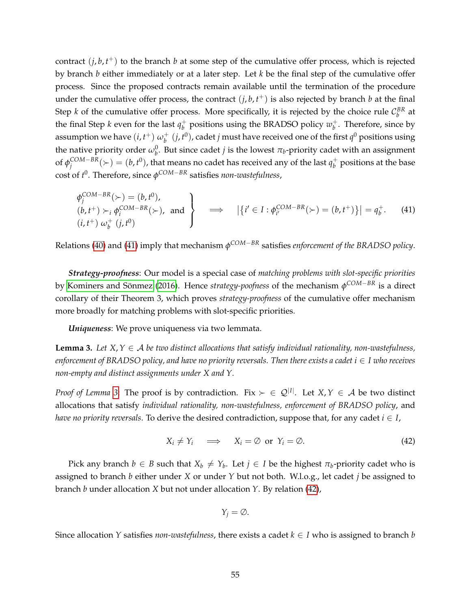contract  $(j, b, t<sup>+</sup>)$  to the branch  $b$  at some step of the cumulative offer process, which is rejected by branch *b* either immediately or at a later step. Let *k* be the final step of the cumulative offer process. Since the proposed contracts remain available until the termination of the procedure under the cumulative offer process, the contract  $(j, b, t<sup>+</sup>)$  is also rejected by branch *b* at the final Step *k* of the cumulative offer process. More specifically, it is rejected by the choice rule  $\mathcal{C}_b^{BR}$  at the final Step *k* even for the last  $q_h^+$  $\psi_b^+$  positions using the BRADSO policy  $w_b^+$  $_b^+$ . Therefore, since by assumption we have  $(i, t^+)$   $\omega_b^+$  $\int_b^+(j,t^0)$ , cadet *j* must have received one of the first  $q^0$  positions using the native priority order  $\omega_b^0$ . But since cadet *j* is the lowest  $\pi_b$ -priority cadet with an assignment of  $\phi_i^{\text{COM}-\text{BR}}$  $\binom{COM-BR}{j}=(b,t^0)$ , that means no cadet has received any of the last  $q_b^+$  $_b^+$  positions at the base cost of *t* 0 . Therefore, since *φ COM*−*BR* satisfies *non-wastefulness*,

<span id="page-54-0"></span>
$$
\begin{aligned}\n\phi_j^{COM-BR}(\succ) &= (b, t^0), \\
(b, t^+) &\succ_i \phi_i^{COM-BR}(\succ), \\
(i, t^+) \omega_b^+(j, t^0)\n\end{aligned}\n\right\} \implies |\{i' \in I : \phi_{i'}^{COM-BR}(\succ) = (b, t^+) \}| = q_b^+. \tag{41}
$$

Relations [\(40\)](#page-53-1) and [\(41\)](#page-54-0) imply that mechanism *φ COM*−*BR* satisfies *enforcement of the BRADSO policy*.

*Strategy-proofness*: Our model is a special case of *matching problems with slot-specific priorities* by Kominers and Sönmez [\(2016\)](#page-39-9). Hence *strategy-poofness* of the mechanism φ<sup>COM−BR</sup> is a direct corollary of their Theorem 3, which proves *strategy-proofness* of the cumulative offer mechanism more broadly for matching problems with slot-specific priorities.

*Uniqueness*: We prove uniqueness via two lemmata.

<span id="page-54-1"></span>**Lemma 3.** Let  $X, Y \in \mathcal{A}$  be two distinct allocations that satisfy individual rationality, non-wastefulness, *enforcement of BRADSO policy, and have no priority reversals. Then there exists a cadet*  $i \in I$  *who receives non-empty and distinct assignments under X and Y.*

*Proof of Lemma* [3](#page-54-1): The proof is by contradiction. Fix  $\succ \in \mathcal{Q}^{|I|}$ . Let  $X, Y \in \mathcal{A}$  be two distinct allocations that satisfy *individual rationality, non-wastefulness, enforcement of BRADSO policy*, and *have no priority reversals.* To derive the desired contradiction, suppose that, for any cadet  $i \in I$ ,

<span id="page-54-2"></span>
$$
X_i \neq Y_i \quad \implies \quad X_i = \emptyset \text{ or } Y_i = \emptyset. \tag{42}
$$

Pick any branch  $b \in B$  such that  $X_b \neq Y_b$ . Let  $j \in I$  be the highest  $\pi_b$ -priority cadet who is assigned to branch *b* either under *X* or under *Y* but not both. W.l.o.g., let cadet *j* be assigned to branch *b* under allocation *X* but not under allocation *Y*. By relation [\(42\)](#page-54-2),

$$
Y_j = \emptyset.
$$

Since allocation *Y* satisfies *non-wastefulness*, there exists a cadet  $k \in I$  who is assigned to branch *b*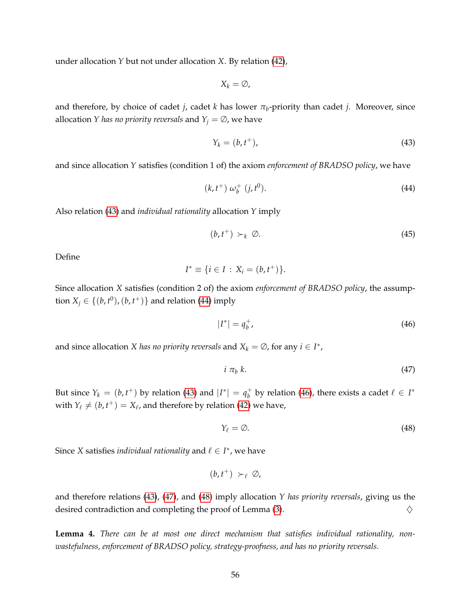under allocation *Y* but not under allocation *X*. By relation [\(42\)](#page-54-2),

$$
X_k = \emptyset
$$

and therefore, by choice of cadet *j*, cadet *k* has lower *π<sup>b</sup>* -priority than cadet *j*. Moreover, since allocation *Y has no priority reversals* and  $Y_j = \emptyset$ , we have

<span id="page-55-0"></span>
$$
Y_k = (b, t^+), \tag{43}
$$

and since allocation *Y* satisfies (condition 1 of) the axiom *enforcement of BRADSO policy*, we have

<span id="page-55-1"></span>
$$
(k, t^+) \omega_b^+ (j, t^0). \tag{44}
$$

Also relation [\(43\)](#page-55-0) and *individual rationality* allocation *Y* imply

$$
(b, t^+) \succ_k \varnothing. \tag{45}
$$

Define

$$
I^* \equiv \{i \in I : X_i = (b, t^+)\}.
$$

Since allocation *X* satisfies (condition 2 of) the axiom *enforcement of BRADSO policy*, the assumption  $X_j \in \{(b, t^0), (b, t^+) \}$  and relation [\(44\)](#page-55-1) imply

<span id="page-55-2"></span>
$$
|I^*| = q_b^+, \tag{46}
$$

and since allocation *X* has no priority reversals and  $X_k = \emptyset$ , for any  $i \in I^*$ ,

<span id="page-55-3"></span>
$$
i \pi_b k. \tag{47}
$$

But since  $Y_k = (b, t^+)$  by relation [\(43\)](#page-55-0) and  $|I^*| = q_b^+$  $\frac{1}{b}$  by relation [\(46\)](#page-55-2), there exists a cadet  $\ell \in I^*$ with  $Y_\ell \neq (b, t^+) = X_\ell$ , and therefore by relation [\(42\)](#page-54-2) we have,

<span id="page-55-4"></span>
$$
Y_{\ell} = \emptyset. \tag{48}
$$

Since *X* satisfies *individual rationality* and  $\ell \in I^*$ , we have

$$
(b,t^+) \succ_{\ell} \varnothing,
$$

and therefore relations [\(43\)](#page-55-0), [\(47\)](#page-55-3), and [\(48\)](#page-55-4) imply allocation *Y has priority reversals*, giving us the desired contradiction and completing the proof of Lemma  $(3)$ .

<span id="page-55-5"></span>**Lemma 4.** *There can be at most one direct mechanism that satisfies individual rationality, nonwastefulness, enforcement of BRADSO policy, strategy-proofness, and has no priority reversals.*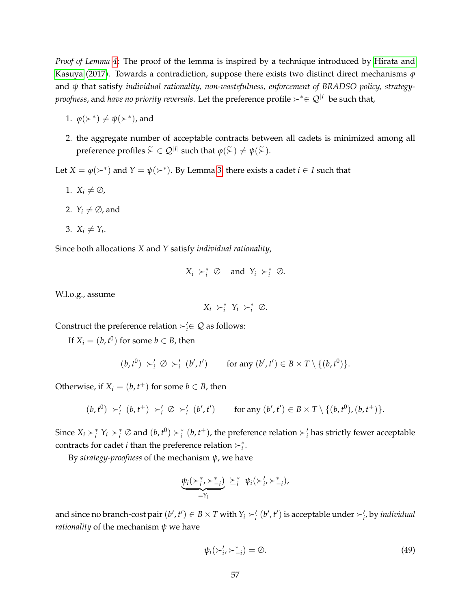*Proof of Lemma [4](#page-55-5)*: The proof of the lemma is inspired by a technique introduced by [Hirata and](#page-39-4) [Kasuya](#page-39-4) [\(2017\)](#page-39-4). Towards a contradiction, suppose there exists two distinct direct mechanisms *ϕ* and *ψ* that satisfy *individual rationality, non-wastefulness, enforcement of BRADSO policy, strategyproofness,* and *have no priority reversals*. Let the preference profile  $\succ^* \in \mathcal{Q}^{|I|}$  be such that,

- 1.  $\varphi(\succ^*) \neq \psi(\succ^*)$ , and
- 2. the aggregate number of acceptable contracts between all cadets is minimized among all preference profiles  $\widetilde{\succ} \in \mathcal{Q}^{|I|}$  such that  $\varphi(\widetilde{\succ}) \neq \psi(\widetilde{\succ})$ .

Let  $X = \varphi(\succ^*)$  and  $Y = \psi(\succ^*)$ . By Lemma [3,](#page-54-1) there exists a cadet  $i \in I$  such that

- 1.  $X_i \neq \emptyset$ ,
- 2.  $Y_i \neq \emptyset$ , and
- 3.  $X_i \neq Y_i$ .

Since both allocations *X* and *Y* satisfy *individual rationality*,

$$
X_i \succ_i^* \varnothing \quad \text{and} \ \ Y_i \succ_i^* \varnothing.
$$

W.l.o.g., assume

$$
X_i \succ_i^* Y_i \succ_i^* \varnothing.
$$

Construct the preference relation  $\succ_i' \in \mathcal{Q}$  as follows:

If  $X_i = (b, t^0)$  for some  $b \in B$ , then

$$
(b, t^0) \succ'_i \varnothing \succ'_i (b', t') \quad \text{for any } (b', t') \in B \times T \setminus \{(b, t^0)\}.
$$

Otherwise, if  $X_i = (b, t^+)$  for some  $b \in B$ , then

$$
(b,t^0) \succ'_i (b,t^+) \succ'_i \varnothing \succ'_i (b',t') \quad \text{for any } (b',t') \in B \times T \setminus \{(b,t^0), (b,t^+) \}.
$$

Since  $X_i \succ_i^* Y_i \succ_i^* \emptyset$  and  $(b, t^0) \succ_i^* (b, t^+)$ , the preference relation  $\succ_i'$  has strictly fewer acceptable contracts for cadet *i* than the preference relation  $\succ_i^*$ .

By *strategy-proofness* of the mechanism *ψ*, we have

$$
\underbrace{\psi_i(\succ_i^*,\succ_{-i}^*)}_{=\Upsilon_i} \geq_i^* \psi_i(\succ_i',\succ_{-i}^*),
$$

and since no branch-cost pair  $(b', t') \in B \times T$  with  $Y_i \succ'_i (b', t')$  is acceptable under  $\succ'_i$ , by *individual rationality* of the mechanism *ψ* we have

<span id="page-56-0"></span>
$$
\psi_i(\succ_i',\succ_{-i}^*) = \emptyset. \tag{49}
$$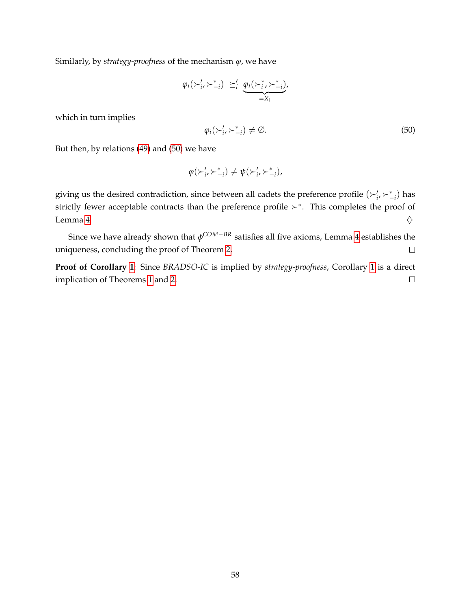Similarly, by *strategy-proofness* of the mechanism *ϕ*, we have

$$
\varphi_i(\succ_i',\succ_{-i}^*) \geq'_i \varphi_i(\succ_i^*,\succ_{-i}^*)
$$
  
= $X_i$ 

which in turn implies

<span id="page-57-0"></span>
$$
\varphi_i(\succ_i',\succ_{-i}^*) \neq \emptyset. \tag{50}
$$

But then, by relations [\(49\)](#page-56-0) and [\(50\)](#page-57-0) we have

$$
\varphi(\succ_i',\succ_{-i}^*) \neq \psi(\succ_{i'}',\succ_{-i}^*),
$$

giving us the desired contradiction, since between all cadets the preference profile  $(\succ_i', \succ_{-i}^*)$  has strictly fewer acceptable contracts than the preference profile  $\succ^*$ . This completes the proof of Lemma [4.](#page-55-5)  $\diamondsuit$ 

Since we have already shown that *φ COM*−*BR* satisfies all five axioms, Lemma [4](#page-55-5) establishes the uniqueness, concluding the proof of Theorem [2.](#page-31-0)  $\Box$ 

**Proof of Corollary [1](#page-31-2)**: Since *BRADSO-IC* is implied by *strategy-proofness*, Corollary [1](#page-31-2) is a direct implication of Theorems [1](#page-23-3) and [2.](#page-31-0)  $\Box$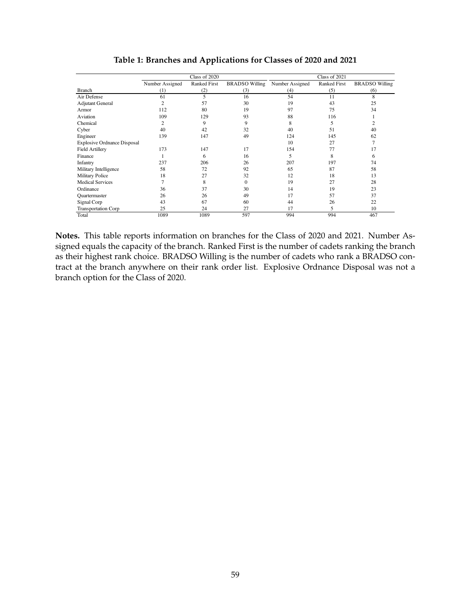<span id="page-58-0"></span>

|                                    | Class of 2020   |                     |                       | Class of 2021   |                     |                       |
|------------------------------------|-----------------|---------------------|-----------------------|-----------------|---------------------|-----------------------|
|                                    | Number Assigned | <b>Ranked First</b> | <b>BRADSO</b> Willing | Number Assigned | <b>Ranked First</b> | <b>BRADSO</b> Willing |
| <b>Branch</b>                      | (1)             | (2)                 | (3)                   | (4)             | (5)                 | (6)                   |
| Air Defense                        | 61              | 5                   | 16                    | 54              | 11                  | 8                     |
| <b>Adjutant General</b>            | $\overline{2}$  | 57                  | 30                    | 19              | 43                  | 25                    |
| Armor                              | 112             | 80                  | 19                    | 97              | 75                  | 34                    |
| Aviation                           | 109             | 129                 | 93                    | 88              | 116                 |                       |
| Chemical                           | $\overline{2}$  | 9                   | 9                     | 8               | 5                   | $\overline{c}$        |
| Cyber                              | 40              | 42                  | 32                    | 40              | 51                  | 40                    |
| Engineer                           | 139             | 147                 | 49                    | 124             | 145                 | 62                    |
| <b>Explosive Ordnance Disposal</b> |                 |                     |                       | 10              | 27                  | 7                     |
| <b>Field Artillery</b>             | 173             | 147                 | 17                    | 154             | 77                  | 17                    |
| Finance                            |                 | 6                   | 16                    | 5               | 8                   | 6                     |
| Infantry                           | 237             | 206                 | 26                    | 207             | 197                 | 74                    |
| Military Intelligence              | 58              | 72                  | 92                    | 65              | 87                  | 58                    |
| Military Police                    | 18              | 27                  | 32                    | 12              | 18                  | 13                    |
| <b>Medical Services</b>            | 7               | 8                   | $\Omega$              | 19              | 27                  | 28                    |
| Ordinance                          | 36              | 37                  | 30                    | 14              | 19                  | 23                    |
| Quartermaster                      | 26              | 26                  | 49                    | 17              | 57                  | 37                    |
| Signal Corp                        | 43              | 67                  | 60                    | 44              | 26                  | 22                    |
| Transportation Corp                | 25              | 24                  | 27                    | 17              | 5.                  | 10                    |
| Total                              | 1089            | 1089                | 597                   | 994             | 994                 | 467                   |

**Table 1: Branches and Applications for Classes of 2020 and 2021**

**Notes.** This table reports information on branches for the Class of 2020 and 2021. Number Assigned equals the capacity of the branch. Ranked First is the number of cadets ranking the branch as their highest rank choice. BRADSO Willing is the number of cadets who rank a BRADSO contract at the branch anywhere on their rank order list. Explosive Ordnance Disposal was not a branch option for the Class of 2020.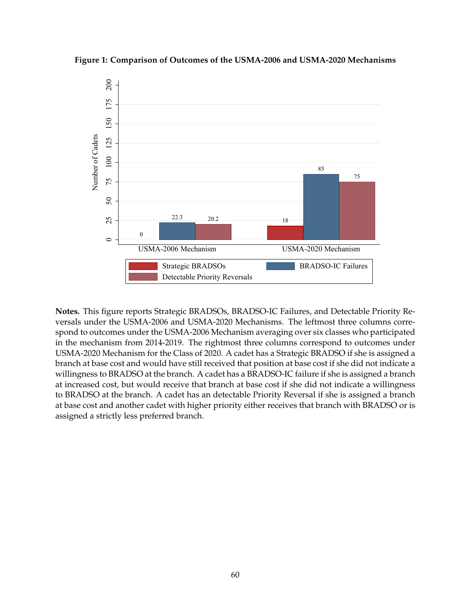<span id="page-59-0"></span>



**Notes.** This figure reports Strategic BRADSOs, BRADSO-IC Failures, and Detectable Priority Reversals under the USMA-2006 and USMA-2020 Mechanisms. The leftmost three columns correspond to outcomes under the USMA-2006 Mechanism averaging over six classes who participated in the mechanism from 2014-2019. The rightmost three columns correspond to outcomes under USMA-2020 Mechanism for the Class of 2020. A cadet has a Strategic BRADSO if she is assigned a branch at base cost and would have still received that position at base cost if she did not indicate a willingness to BRADSO at the branch. A cadet has a BRADSO-IC failure if she is assigned a branch at increased cost, but would receive that branch at base cost if she did not indicate a willingness to BRADSO at the branch. A cadet has an detectable Priority Reversal if she is assigned a branch at base cost and another cadet with higher priority either receives that branch with BRADSO or is assigned a strictly less preferred branch.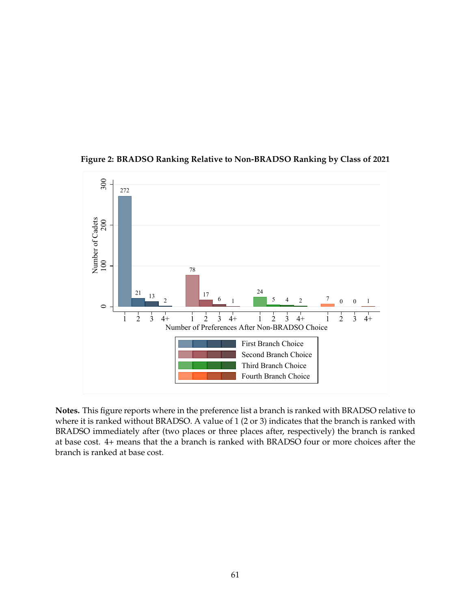

<span id="page-60-0"></span>**Figure 2: BRADSO Ranking Relative to Non-BRADSO Ranking by Class of 2021**

**Notes.** This figure reports where in the preference list a branch is ranked with BRADSO relative to where it is ranked without BRADSO. A value of 1 (2 or 3) indicates that the branch is ranked with BRADSO immediately after (two places or three places after, respectively) the branch is ranked at base cost. 4+ means that the a branch is ranked with BRADSO four or more choices after the branch is ranked at base cost.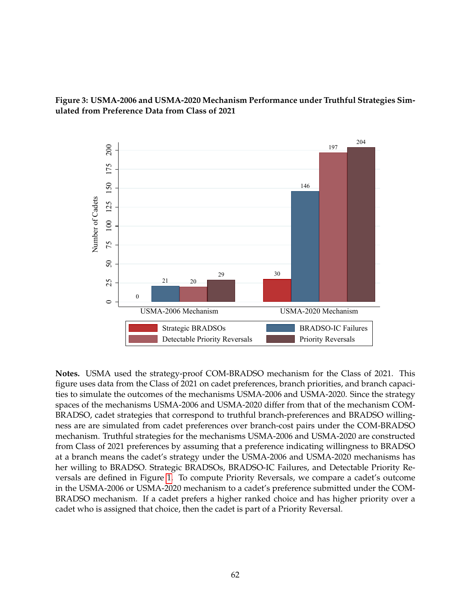<span id="page-61-0"></span>



**Notes.** USMA used the strategy-proof COM-BRADSO mechanism for the Class of 2021. This figure uses data from the Class of 2021 on cadet preferences, branch priorities, and branch capacities to simulate the outcomes of the mechanisms USMA-2006 and USMA-2020. Since the strategy spaces of the mechanisms USMA-2006 and USMA-2020 differ from that of the mechanism COM-BRADSO, cadet strategies that correspond to truthful branch-preferences and BRADSO willingness are are simulated from cadet preferences over branch-cost pairs under the COM-BRADSO mechanism. Truthful strategies for the mechanisms USMA-2006 and USMA-2020 are constructed from Class of 2021 preferences by assuming that a preference indicating willingness to BRADSO at a branch means the cadet's strategy under the USMA-2006 and USMA-2020 mechanisms has her willing to BRADSO. Strategic BRADSOs, BRADSO-IC Failures, and Detectable Priority Reversals are defined in Figure [1.](#page-59-0) To compute Priority Reversals, we compare a cadet's outcome in the USMA-2006 or USMA-2020 mechanism to a cadet's preference submitted under the COM-BRADSO mechanism. If a cadet prefers a higher ranked choice and has higher priority over a cadet who is assigned that choice, then the cadet is part of a Priority Reversal.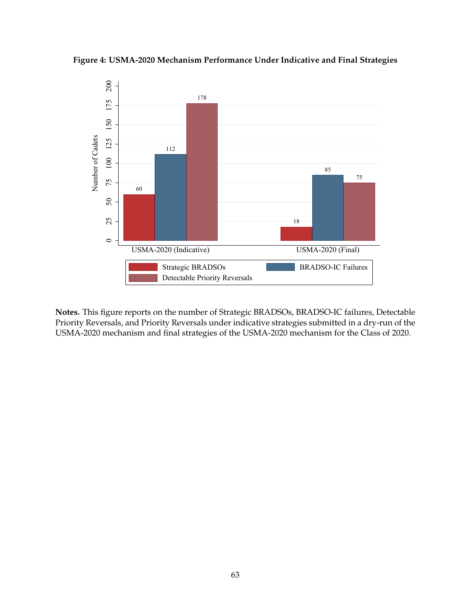<span id="page-62-0"></span>**Figure 4: USMA-2020 Mechanism Performance Under Indicative and Final Strategies**



**Notes.** This figure reports on the number of Strategic BRADSOs, BRADSO-IC failures, Detectable Priority Reversals, and Priority Reversals under indicative strategies submitted in a dry-run of the USMA-2020 mechanism and final strategies of the USMA-2020 mechanism for the Class of 2020.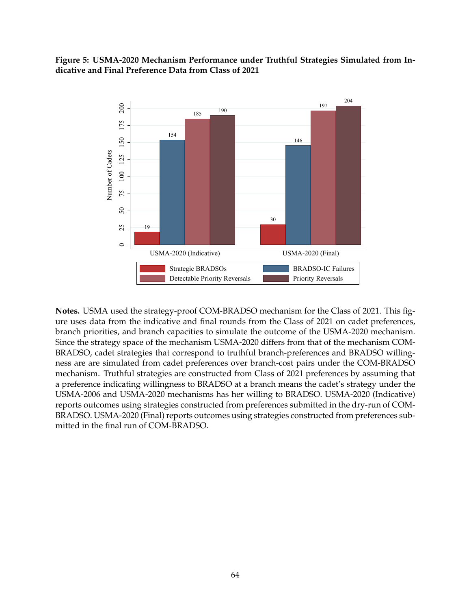### <span id="page-63-0"></span>**Figure 5: USMA-2020 Mechanism Performance under Truthful Strategies Simulated from Indicative and Final Preference Data from Class of 2021**



**Notes.** USMA used the strategy-proof COM-BRADSO mechanism for the Class of 2021. This figure uses data from the indicative and final rounds from the Class of 2021 on cadet preferences, branch priorities, and branch capacities to simulate the outcome of the USMA-2020 mechanism. Since the strategy space of the mechanism USMA-2020 differs from that of the mechanism COM-BRADSO, cadet strategies that correspond to truthful branch-preferences and BRADSO willingness are are simulated from cadet preferences over branch-cost pairs under the COM-BRADSO mechanism. Truthful strategies are constructed from Class of 2021 preferences by assuming that a preference indicating willingness to BRADSO at a branch means the cadet's strategy under the USMA-2006 and USMA-2020 mechanisms has her willing to BRADSO. USMA-2020 (Indicative) reports outcomes using strategies constructed from preferences submitted in the dry-run of COM-BRADSO. USMA-2020 (Final) reports outcomes using strategies constructed from preferences submitted in the final run of COM-BRADSO.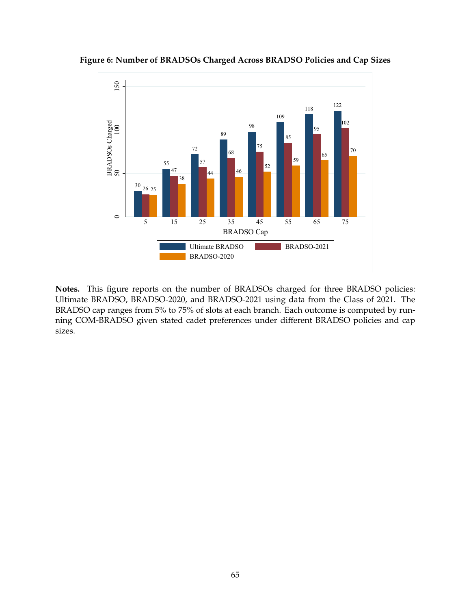<span id="page-64-0"></span>



**Notes.** This figure reports on the number of BRADSOs charged for three BRADSO policies: Ultimate BRADSO, BRADSO-2020, and BRADSO-2021 using data from the Class of 2021. The BRADSO cap ranges from 5% to 75% of slots at each branch. Each outcome is computed by running COM-BRADSO given stated cadet preferences under different BRADSO policies and cap sizes.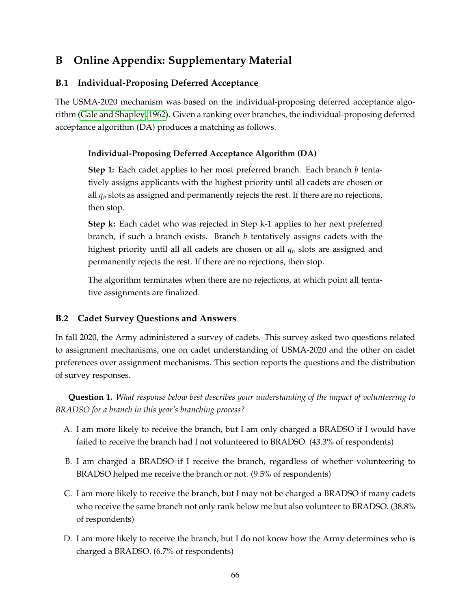# <span id="page-65-2"></span>**B Online Appendix: Supplementary Material**

# <span id="page-65-0"></span>**B.1 Individual-Proposing Deferred Acceptance**

The USMA-2020 mechanism was based on the individual-proposing deferred acceptance algorithm [\(Gale and Shapley, 1962\)](#page-38-5). Given a ranking over branches, the individual-proposing deferred acceptance algorithm (DA) produces a matching as follows.

### **Individual-Proposing Deferred Acceptance Algorithm (DA)**

**Step 1:** Each cadet applies to her most preferred branch. Each branch *b* tentatively assigns applicants with the highest priority until all cadets are chosen or all  $q_b$  slots as assigned and permanently rejects the rest. If there are no rejections, then stop.

**Step k:** Each cadet who was rejected in Step k-1 applies to her next preferred branch, if such a branch exists. Branch *b* tentatively assigns cadets with the highest priority until all all cadets are chosen or all *q<sup>b</sup>* slots are assigned and permanently rejects the rest. If there are no rejections, then stop.

The algorithm terminates when there are no rejections, at which point all tentative assignments are finalized.

# <span id="page-65-1"></span>**B.2 Cadet Survey Questions and Answers**

In fall 2020, the Army administered a survey of cadets. This survey asked two questions related to assignment mechanisms, one on cadet understanding of USMA-2020 and the other on cadet preferences over assignment mechanisms. This section reports the questions and the distribution of survey responses.

**Question 1.** *What response below best describes your understanding of the impact of volunteering to BRADSO for a branch in this year's branching process?*

- A. I am more likely to receive the branch, but I am only charged a BRADSO if I would have failed to receive the branch had I not volunteered to BRADSO. (43.3% of respondents)
- B. I am charged a BRADSO if I receive the branch, regardless of whether volunteering to BRADSO helped me receive the branch or not. (9.5% of respondents)
- C. I am more likely to receive the branch, but I may not be charged a BRADSO if many cadets who receive the same branch not only rank below me but also volunteer to BRADSO. (38.8% of respondents)
- D. I am more likely to receive the branch, but I do not know how the Army determines who is charged a BRADSO. (6.7% of respondents)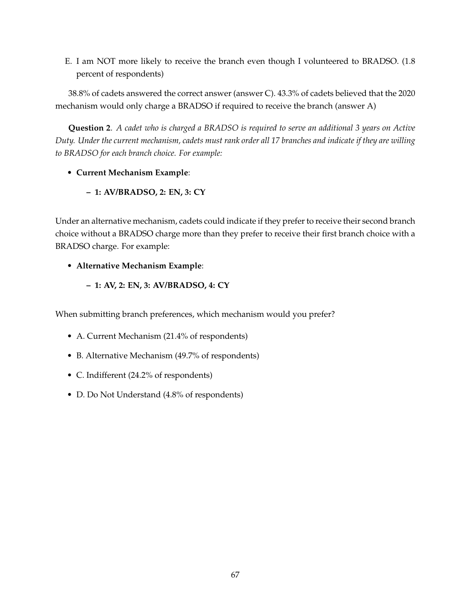E. I am NOT more likely to receive the branch even though I volunteered to BRADSO. (1.8 percent of respondents)

38.8% of cadets answered the correct answer (answer C). 43.3% of cadets believed that the 2020 mechanism would only charge a BRADSO if required to receive the branch (answer A)

**Question 2**. *A cadet who is charged a BRADSO is required to serve an additional 3 years on Active Duty. Under the current mechanism, cadets must rank order all 17 branches and indicate if they are willing to BRADSO for each branch choice. For example:*

### • **Current Mechanism Example**:

**– 1: AV/BRADSO, 2: EN, 3: CY**

Under an alternative mechanism, cadets could indicate if they prefer to receive their second branch choice without a BRADSO charge more than they prefer to receive their first branch choice with a BRADSO charge. For example:

- **Alternative Mechanism Example**:
	- **– 1: AV, 2: EN, 3: AV/BRADSO, 4: CY**

When submitting branch preferences, which mechanism would you prefer?

- A. Current Mechanism (21.4% of respondents)
- B. Alternative Mechanism (49.7% of respondents)
- C. Indifferent (24.2% of respondents)
- D. Do Not Understand (4.8% of respondents)